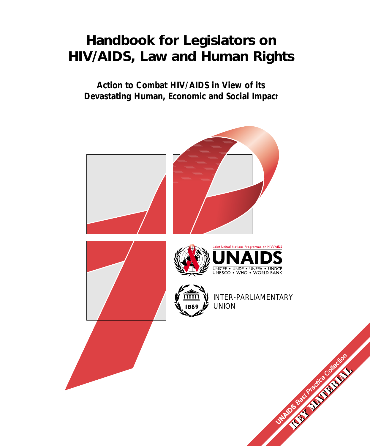# **Handbook for Legislators on HIV/AIDS, Law and Human Rights**

**Action to Combat HIV/AIDS in View of its Devastating Human, Economic and Social Impac**t

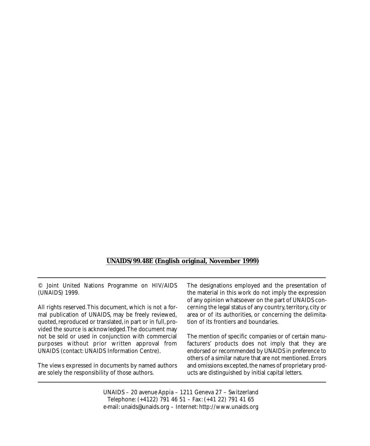#### **UNAIDS/99.48E (English original, November 1999)**

© Joint United Nations Programme on HIV/AIDS (UNAIDS) 1999.

All rights reserved.This document, which is not a formal publication of UNAIDS, may be freely reviewed, quoted, reproduced or translated, in part or in full, provided the source is acknowledged.The document may not be sold or used in conjunction with commercial purposes without prior written approval from UNAIDS (contact: UNAIDS Information Centre).

The views expressed in documents by named authors are solely the responsibility of those authors.

The designations employed and the presentation of the material in this work do not imply the expression of any opinion whatsoever on the part of UNAIDS concerning the legal status of any country, territory, city or area or of its authorities, or concerning the delimitation of its frontiers and boundaries.

The mention of specific companies or of certain manufacturers' products does not imply that they are endorsed or recommended by UNAIDS in preference to others of a similar nature that are not mentioned.Errors and omissions excepted, the names of proprietary products are distinguished by initial capital letters.

UNAIDS – 20 avenue Appia – 1211 Geneva 27 – Switzerland Telephone: (+4122) 791 46 51 – Fax: (+41 22) 791 41 65 e-mail: unaids@unaids.org – Internet: http://www.unaids.org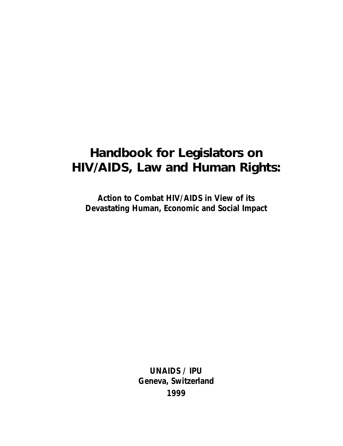# **Handbook for Legislators on HIV/AIDS, Law and Human Rights:**

**Action to Combat HIV/AIDS in View of its Devastating Human, Economic and Social Impact**

> **UNAIDS / IPU Geneva, Switzerland 1999**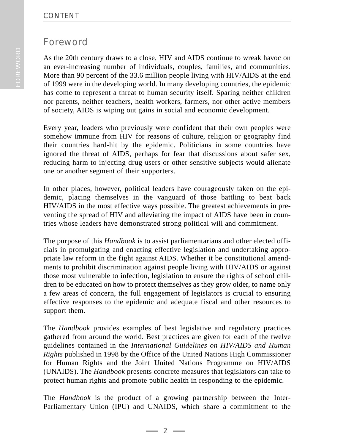#### Foreword

As the 20th century draws to a close, HIV and AIDS continue to wreak havoc on an ever-increasing number of individuals, couples, families, and communities. More than 90 percent of the 33.6 million people living with HIV/AIDS at the end of 1999 were in the developing world. In many developing countries, the epidemic has come to represent a threat to human security itself. Sparing neither children nor parents, neither teachers, health workers, farmers, nor other active members of society, AIDS is wiping out gains in social and economic development.

Every year, leaders who previously were confident that their own peoples were somehow immune from HIV for reasons of culture, religion or geography find their countries hard-hit by the epidemic. Politicians in some countries have ignored the threat of AIDS, perhaps for fear that discussions about safer sex, reducing harm to injecting drug users or other sensitive subjects would alienate one or another segment of their supporters.

In other places, however, political leaders have courageously taken on the epidemic, placing themselves in the vanguard of those battling to beat back HIV/AIDS in the most effective ways possible. The greatest achievements in preventing the spread of HIV and alleviating the impact of AIDS have been in countries whose leaders have demonstrated strong political will and commitment.

The purpose of this *Handbook* is to assist parliamentarians and other elected officials in promulgating and enacting effective legislation and undertaking appropriate law reform in the fight against AIDS. Whether it be constitutional amendments to prohibit discrimination against people living with HIV/AIDS or against those most vulnerable to infection, legislation to ensure the rights of school children to be educated on how to protect themselves as they grow older, to name only a few areas of concern, the full engagement of legislators is crucial to ensuring effective responses to the epidemic and adequate fiscal and other resources to support them.

The *Handbook* provides examples of best legislative and regulatory practices gathered from around the world. Best practices are given for each of the twelve guidelines contained in the *International Guidelines on HIV/AIDS and Human Rights* published in 1998 by the Office of the United Nations High Commissioner for Human Rights and the Joint United Nations Programme on HIV/AIDS (UNAIDS). The *Handbook* presents concrete measures that legislators can take to protect human rights and promote public health in responding to the epidemic.

The *Handbook* is the product of a growing partnership between the Inter-Parliamentary Union (IPU) and UNAIDS, which share a commitment to the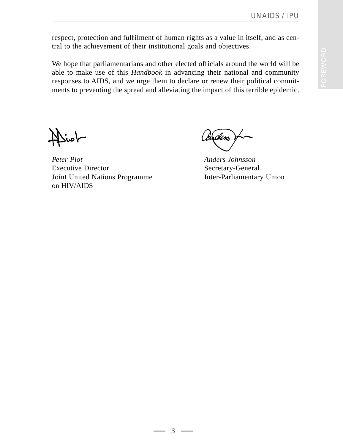respect, protection and fulfilment of human rights as a value in itself, and as central to the achievement of their institutional goals and objectives.

We hope that parliamentarians and other elected officials around the world will be able to make use of this *Handbook* in advancing their national and community responses to AIDS, and we urge them to declare or renew their political commitments to preventing the spread and alleviating the impact of this terrible epidemic.

*Peter Piot Anders Johnsson* Executive Director Secretary-General Joint United Nations Programme Inter-Parliamentary Union on HIV/AIDS

hdin

 $-3$   $-$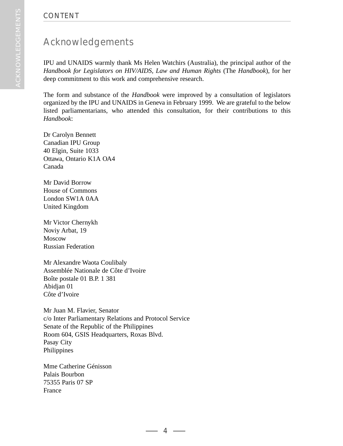# Acknowledgements

IPU and UNAIDS warmly thank Ms Helen Watchirs (Australia), the principal author of the *Handbook for Legislators on HIV/AIDS, Law and Human Rights* (The *Handbook*), for her deep commitment to this work and comprehensive research.

The form and substance of the *Handbook* were improved by a consultation of legislators organized by the IPU and UNAIDS in Geneva in February 1999. We are grateful to the below listed parliamentarians, who attended this consultation, for their contributions to this *Handbook*:

Dr Carolyn Bennett Canadian IPU Group 40 Elgin, Suite 1033 Ottawa, Ontario K1A OA4 Canada

Mr David Borrow House of Commons London SW1A 0AA United Kingdom

Mr Victor Chernykh Noviy Arbat, 19 Moscow Russian Federation

Mr Alexandre Waota Coulibaly Assemblée Nationale de Côte d'Ivoire Boîte postale 01 B.P. 1 381 Abidjan 01 Côte d'Ivoire

Mr Juan M. Flavier, Senator c/o Inter Parliamentary Relations and Protocol Service Senate of the Republic of the Philippines Room 604, GSIS Headquarters, Roxas Blvd. Pasay City Philippines

Mme Catherine Génisson Palais Bourbon 75355 Paris 07 SP France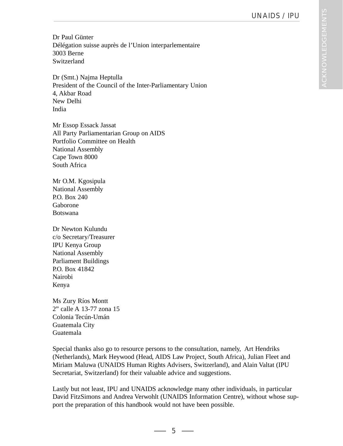#### UNAIDS / IPU

Dr Paul Günter Délégation suisse auprès de l'Union interparlementaire 3003 Berne Switzerland

Dr (Smt.) Najma Heptulla President of the Council of the Inter-Parliamentary Union 4, Akbar Road New Delhi India

Mr Essop Essack Jassat All Party Parliamentarian Group on AIDS Portfolio Committee on Health National Assembly Cape Town 8000 South Africa

Mr O.M. Kgosipula National Assembly P.O. Box 240 Gaborone Botswana

Dr Newton Kulundu c/o Secretary/Treasurer IPU Kenya Group National Assembly Parliament Buildings P.O. Box 41842 Nairobi Kenya

Ms Zury Ríos Montt 2" calle A 13-77 zona 15 Colonia Tecún-Umán Guatemala City Guatemala

Special thanks also go to resource persons to the consultation, namely, Art Hendriks (Netherlands), Mark Heywood (Head, AIDS Law Project, South Africa), Julian Fleet and Miriam Maluwa (UNAIDS Human Rights Advisers, Switzerland), and Alain Valtat (IPU Secretariat, Switzerland) for their valuable advice and suggestions.

Lastly but not least, IPU and UNAIDS acknowledge many other individuals, in particular David FitzSimons and Andrea Verwohlt (UNAIDS Information Centre), without whose support the preparation of this handbook would not have been possible.

 $-5-$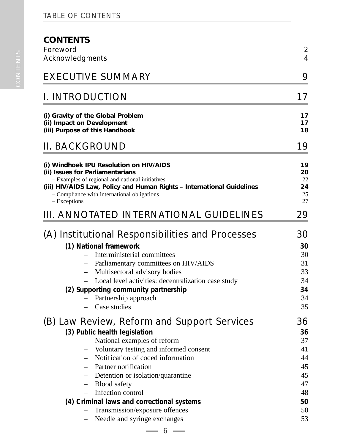| <b>CONTENTS</b>                                                        |                         |
|------------------------------------------------------------------------|-------------------------|
| Foreword                                                               | $\mathbf{2}$            |
| <b>Acknowledgments</b>                                                 | $\overline{\mathbf{4}}$ |
| <b>EXECUTIVE SUMMARY</b>                                               | 9                       |
| <b>I. INTRODUCTION</b>                                                 | 17                      |
| (i) Gravity of the Global Problem                                      | 17                      |
| (ii) Impact on Development                                             | 17                      |
| (iii) Purpose of this Handbook                                         | 18                      |
| <b>II. BACKGROUND</b>                                                  | 19                      |
| (i) Windhoek IPU Resolution on HIV/AIDS                                | 19                      |
| (ii) Issues for Parliamentarians                                       | 20                      |
| - Examples of regional and national initiatives                        | 22                      |
| (iii) HIV/AIDS Law, Policy and Human Rights - International Guidelines | 24<br>25                |
| - Compliance with international obligations<br>- Exceptions            | 27                      |
| III. ANNOTATED INTERNATIONAL GUIDELINES                                | 29                      |
|                                                                        |                         |
| (A) Institutional Responsibilities and Processes                       | 30                      |
| (1) National framework                                                 | 30                      |
| Interministerial committees                                            | 30                      |
| Parliamentary committees on HIV/AIDS                                   | 31                      |
| Multisectoral advisory bodies<br>$-$                                   | 33                      |
| Local level activities: decentralization case study                    | 34                      |
| (2) Supporting community partnership                                   | 34                      |
| Partnership approach                                                   | 34                      |
| Case studies                                                           | 35                      |
| (B) Law Review, Reform and Support Services                            | 36                      |
| (3) Public health legislation                                          | 36                      |
| National examples of reform                                            | 37                      |
| - Voluntary testing and informed consent                               | 41                      |
| - Notification of coded information                                    | 44                      |
| - Partner notification                                                 | 45                      |
| $-$ Detention or isolation/quarantine                                  | 45                      |
| - Blood safety                                                         | 47                      |
| - Infection control                                                    | 48                      |
| (4) Criminal laws and correctional systems                             | 50                      |
| Transmission/exposure offences                                         | 50                      |
| Needle and syringe exchanges                                           | 53                      |
|                                                                        |                         |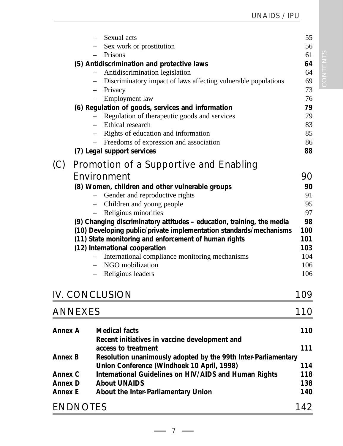CONTENTS

CONTENTS

| (7) Legal support services                                     | 88                                     |
|----------------------------------------------------------------|----------------------------------------|
| Freedoms of expression and association                         | 86                                     |
| Rights of education and information                            | 85                                     |
| Ethical research                                               | 83                                     |
| - Regulation of therapeutic goods and services                 | 79                                     |
| (6) Regulation of goods, services and information              | 79.                                    |
| Employment law                                                 | 76                                     |
| Privacy                                                        | 73                                     |
| Discriminatory impact of laws affecting vulnerable populations | 69                                     |
| - Antidiscrimination legislation                               | 64                                     |
| (5) Antidiscrimination and protective laws                     | 64                                     |
| Prisons                                                        | 61                                     |
| Sex work or prostitution                                       | 56                                     |
| - Sexual acts                                                  | 55                                     |
|                                                                | Promotion of a Supportive and Enabling |

| <u>LIIVII VIIII IGI IL</u>                                                | 7 V |
|---------------------------------------------------------------------------|-----|
| (8) Women, children and other vulnerable groups                           | 90  |
| - Gender and reproductive rights                                          | 91  |
| Children and young people                                                 | 95  |
| - Religious minorities                                                    | 97  |
| (9) Changing discriminatory attitudes - education, training, the media    | 98  |
| (10) Developing public/private implementation standards/mechanisms<br>100 |     |
| (11) State monitoring and enforcement of human rights                     |     |
| (12) International cooperation                                            |     |
| International compliance monitoring mechanisms                            | 104 |
| - NGO mobilization                                                        | 106 |
| Religious leaders                                                         | 106 |
|                                                                           |     |

## IV. CONCLUSION 109

| <b>ANNEXES</b>  |                                                                       | 110 |
|-----------------|-----------------------------------------------------------------------|-----|
| Annex A         | <b>Medical facts</b><br>Recent initiatives in vaccine development and | 110 |
|                 | access to treatment                                                   | 111 |
| <b>Annex B</b>  | Resolution unanimously adopted by the 99th Inter-Parliamentary        |     |
|                 | Union Conference (Windhoek 10 April, 1998)                            | 114 |
| Annex C         | International Guidelines on HIV/AIDS and Human Rights                 | 118 |
| <b>Annex D</b>  | <b>About UNAIDS</b>                                                   | 138 |
| <b>Annex E</b>  | About the Inter-Parliamentary Union                                   | 140 |
| <b>ENDNOTES</b> |                                                                       | 142 |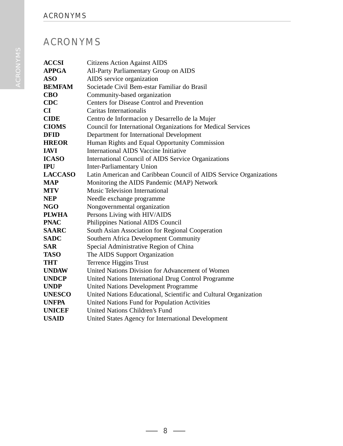## ACRONYMS

| <b>ACCSI</b>   | <b>Citizens Action Against AIDS</b>                                |
|----------------|--------------------------------------------------------------------|
| <b>APPGA</b>   | All-Party Parliamentary Group on AIDS                              |
| ASO            | AIDS service organization                                          |
| <b>BEMFAM</b>  | Societade Civil Bem-estar Familiar do Brasil                       |
| <b>CBO</b>     | Community-based organization                                       |
| $\bf CDC$      | Centers for Disease Control and Prevention                         |
| CI             | Caritas Internationalis                                            |
| <b>CIDE</b>    | Centro de Informacion y Desarrello de la Mujer                     |
| <b>CIOMS</b>   | Council for International Organizations for Medical Services       |
| DFID           | Department for International Development                           |
| <b>HREOR</b>   | Human Rights and Equal Opportunity Commission                      |
| IAVI           | <b>International AIDS Vaccine Initiative</b>                       |
| <b>ICASO</b>   | International Council of AIDS Service Organizations                |
| IPU            | <b>Inter-Parliamentary Union</b>                                   |
| <b>LACCASO</b> | Latin American and Caribbean Council of AIDS Service Organizations |
| MAP            | Monitoring the AIDS Pandemic (MAP) Network                         |
| MTV            | Music Television International                                     |
| NEP            | Needle exchange programme                                          |
| NGO            | Nongovernmental organization                                       |
| PLWHA          | Persons Living with HIV/AIDS                                       |
| <b>PNAC</b>    | Philippines National AIDS Council                                  |
| <b>SAARC</b>   | South Asian Association for Regional Cooperation                   |
| SADC           | Southern Africa Development Community                              |
| SAR            | Special Administrative Region of China                             |
| TASO           | The AIDS Support Organization                                      |
| THT            | Terrence Higgins Trust                                             |
| <b>UNDAW</b>   | United Nations Division for Advancement of Women                   |
| <b>UNDCP</b>   | United Nations International Drug Control Programme                |
| <b>UNDP</b>    | <b>United Nations Development Programme</b>                        |
| <b>UNESCO</b>  | United Nations Educational, Scientific and Cultural Organization   |
| <b>UNFPA</b>   | United Nations Fund for Population Activities                      |
| UNICEF         | United Nations Children's Fund                                     |
| <b>USAID</b>   | United States Agency for International Development                 |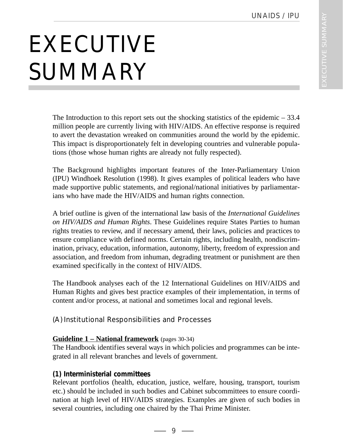# EXECUTIVE SUMMARY

The Introduction to this report sets out the shocking statistics of the epidemic  $-33.4$ million people are currently living with HIV/AIDS. An effective response is required to avert the devastation wreaked on communities around the world by the epidemic. This impact is disproportionately felt in developing countries and vulnerable populations (those whose human rights are already not fully respected).

The Background highlights important features of the Inter-Parliamentary Union (IPU) Windhoek Resolution (1998). It gives examples of political leaders who have made supportive public statements, and regional/national initiatives by parliamentarians who have made the HIV/AIDS and human rights connection.

A brief outline is given of the international law basis of the *International Guidelines on HIV/AIDS and Human Rights*. These Guidelines require States Parties to human rights treaties to review, and if necessary amend, their laws, policies and practices to ensure compliance with defined norms. Certain rights, including health, nondiscrimination, privacy, education, information, autonomy, liberty, freedom of expression and association, and freedom from inhuman, degrading treatment or punishment are then examined specifically in the context of HIV/AIDS.

The Handbook analyses each of the 12 International Guidelines on HIV/AIDS and Human Rights and gives best practice examples of their implementation, in terms of content and/or process, at national and sometimes local and regional levels.

#### (A) Institutional Responsibilities and Processes

#### **Guideline 1 – National framework** (pages 30-34)

The Handbook identifies several ways in which policies and programmes can be integrated in all relevant branches and levels of government.

#### **(1) Interministerial committees**

Relevant portfolios (health, education, justice, welfare, housing, transport, tourism etc.) should be included in such bodies and Cabinet subcommittees to ensure coordination at high level of HIV/AIDS strategies. Examples are given of such bodies in several countries, including one chaired by the Thai Prime Minister.

 $-9-$ 

EXECUTIVE SUMMARY

**XECUTIVE SUMMARY**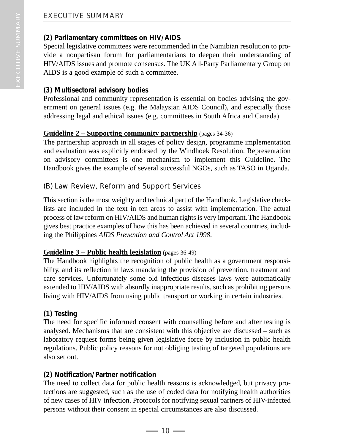#### **(2) Parliamentary committees on HIV/AIDS**

Special legislative committees were recommended in the Namibian resolution to provide a nonpartisan forum for parliamentarians to deepen their understanding of HIV/AIDS issues and promote consensus. The UK All-Party Parliamentary Group on AIDS is a good example of such a committee.

#### **(3) Multisectoral advisory bodies**

Professional and community representation is essential on bodies advising the government on general issues (e.g. the Malaysian AIDS Council), and especially those addressing legal and ethical issues (e.g. committees in South Africa and Canada).

#### **Guideline 2 – Supporting community partnership** (pages 34-36)

The partnership approach in all stages of policy design, programme implementation and evaluation was explicitly endorsed by the Windhoek Resolution. Representation on advisory committees is one mechanism to implement this Guideline. The Handbook gives the example of several successful NGOs, such as TASO in Uganda.

#### (B) Law Review, Reform and Support Services

This section is the most weighty and technical part of the Handbook. Legislative checklists are included in the text in ten areas to assist with implementation. The actual process of law reform on HIV/AIDS and human rights is very important. The Handbook gives best practice examples of how this has been achieved in several countries, including the Philippines *AIDS Prevention and Control Act 1998*.

#### **Guideline 3 – Public health legislation** (pages 36-49)

The Handbook highlights the recognition of public health as a government responsibility, and its reflection in laws mandating the provision of prevention, treatment and care services. Unfortunately some old infectious diseases laws were automatically extended to HIV/AIDS with absurdly inappropriate results, such as prohibiting persons living with HIV/AIDS from using public transport or working in certain industries.

### **(1) Testing**

The need for specific informed consent with counselling before and after testing is analysed. Mechanisms that are consistent with this objective are discussed – such as laboratory request forms being given legislative force by inclusion in public health regulations. Public policy reasons for not obliging testing of targeted populations are also set out.

#### **(2) Notification/Partner notification**

The need to collect data for public health reasons is acknowledged, but privacy protections are suggested, such as the use of coded data for notifying health authorities of new cases of HIV infection. Protocols for notifying sexual partners of HIV-infected persons without their consent in special circumstances are also discussed.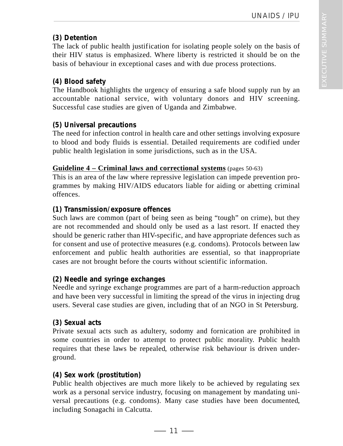#### **(3) Detention**

The lack of public health justification for isolating people solely on the basis of their HIV status is emphasized. Where liberty is restricted it should be on the basis of behaviour in exceptional cases and with due process protections.

#### **(4) Blood safety**

The Handbook highlights the urgency of ensuring a safe blood supply run by an accountable national service, with voluntary donors and HIV screening. Successful case studies are given of Uganda and Zimbabwe.

#### **(5) Universal precautions**

The need for infection control in health care and other settings involving exposure to blood and body fluids is essential. Detailed requirements are codified under public health legislation in some jurisdictions, such as in the USA.

#### **Guideline 4 – Criminal laws and correctional systems** (pages 50-63)

This is an area of the law where repressive legislation can impede prevention programmes by making HIV/AIDS educators liable for aiding or abetting criminal offences.

#### **(1) Transmission/exposure offences**

Such laws are common (part of being seen as being "tough" on crime), but they are not recommended and should only be used as a last resort. If enacted they should be generic rather than HIV-specific, and have appropriate defences such as for consent and use of protective measures (e.g. condoms). Protocols between law enforcement and public health authorities are essential, so that inappropriate cases are not brought before the courts without scientific information.

#### **(2) Needle and syringe exchanges**

Needle and syringe exchange programmes are part of a harm-reduction approach and have been very successful in limiting the spread of the virus in injecting drug users. Several case studies are given, including that of an NGO in St Petersburg.

#### **(3) Sexual acts**

Private sexual acts such as adultery, sodomy and fornication are prohibited in some countries in order to attempt to protect public morality. Public health requires that these laws be repealed, otherwise risk behaviour is driven underground.

#### **(4) Sex work (prostitution)**

Public health objectives are much more likely to be achieved by regulating sex work as a personal service industry, focusing on management by mandating universal precautions (e.g. condoms). Many case studies have been documented, including Sonagachi in Calcutta.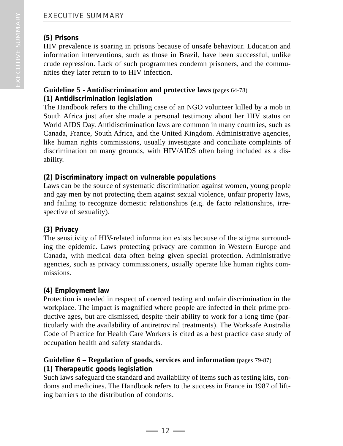#### **(5) Prisons**

HIV prevalence is soaring in prisons because of unsafe behaviour. Education and information interventions, such as those in Brazil, have been successful, unlike crude repression. Lack of such programmes condemn prisoners, and the communities they later return to to HIV infection.

#### **Guideline 5 - Antidiscrimination and protective laws** (pages 64-78)

#### **(1) Antidiscrimination legislation**

The Handbook refers to the chilling case of an NGO volunteer killed by a mob in South Africa just after she made a personal testimony about her HIV status on World AIDS Day. Antidiscrimination laws are common in many countries, such as Canada, France, South Africa, and the United Kingdom. Administrative agencies, like human rights commissions, usually investigate and conciliate complaints of discrimination on many grounds, with HIV/AIDS often being included as a disability.

#### **(2) Discriminatory impact on vulnerable populations**

Laws can be the source of systematic discrimination against women, young people and gay men by not protecting them against sexual violence, unfair property laws, and failing to recognize domestic relationships (e.g. de facto relationships, irrespective of sexuality).

#### **(3) Privacy**

The sensitivity of HIV-related information exists because of the stigma surrounding the epidemic. Laws protecting privacy are common in Western Europe and Canada, with medical data often being given special protection. Administrative agencies, such as privacy commissioners, usually operate like human rights commissions.

#### **(4) Employment law**

Protection is needed in respect of coerced testing and unfair discrimination in the workplace. The impact is magnified where people are infected in their prime productive ages, but are dismissed, despite their ability to work for a long time (particularly with the availability of antiretroviral treatments). The Worksafe Australia Code of Practice for Health Care Workers is cited as a best practice case study of occupation health and safety standards.

#### **Guideline 6 – Regulation of goods, services and information** (pages 79-87)

#### **(1) Therapeutic goods legislation**

Such laws safeguard the standard and availability of items such as testing kits, condoms and medicines. The Handbook refers to the success in France in 1987 of lifting barriers to the distribution of condoms.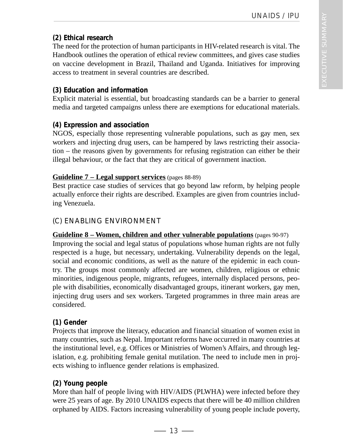#### **(2) Ethical research**

The need for the protection of human participants in HIV-related research is vital. The Handbook outlines the operation of ethical review committees, and gives case studies on vaccine development in Brazil, Thailand and Uganda. Initiatives for improving access to treatment in several countries are described.

#### **(3) Education and information**

Explicit material is essential, but broadcasting standards can be a barrier to general media and targeted campaigns unless there are exemptions for educational materials.

#### **(4) Expression and association**

NGOS, especially those representing vulnerable populations, such as gay men, sex workers and injecting drug users, can be hampered by laws restricting their association – the reasons given by governments for refusing registration can either be their illegal behaviour, or the fact that they are critical of government inaction.

#### **Guideline 7 – Legal support services** (pages 88-89)

Best practice case studies of services that go beyond law reform, by helping people actually enforce their rights are described. Examples are given from countries including Venezuela.

#### (C) ENABLING ENVIRONMENT

**Guideline 8 – Women, children and other vulnerable populations** (pages 90-97) Improving the social and legal status of populations whose human rights are not fully respected is a huge, but necessary, undertaking. Vulnerability depends on the legal, social and economic conditions, as well as the nature of the epidemic in each country. The groups most commonly affected are women, children, religious or ethnic minorities, indigenous people, migrants, refugees, internally displaced persons, people with disabilities, economically disadvantaged groups, itinerant workers, gay men, injecting drug users and sex workers. Targeted programmes in three main areas are considered.

#### **(1) Gender**

Projects that improve the literacy, education and financial situation of women exist in many countries, such as Nepal. Important reforms have occurred in many countries at the institutional level, e.g. Offices or Ministries of Women's Affairs, and through legislation, e.g. prohibiting female genital mutilation. The need to include men in projects wishing to influence gender relations is emphasized.

#### **(2) Young people**

More than half of people living with HIV/AIDS (PLWHA) were infected before they were 25 years of age. By 2010 UNAIDS expects that there will be 40 million children orphaned by AIDS. Factors increasing vulnerability of young people include poverty,

 $-13-$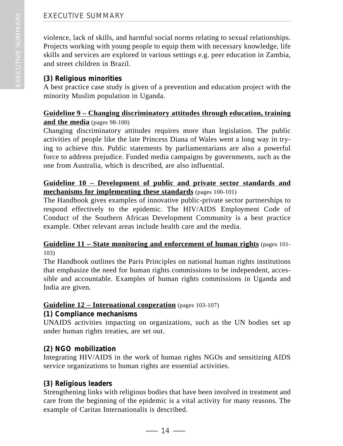#### EXECUTIVE SUMMARY

violence, lack of skills, and harmful social norms relating to sexual relationships. Projects working with young people to equip them with necessary knowledge, life skills and services are explored in various settings e.g. peer education in Zambia, and street children in Brazil.

#### **(3) Religious minorities**

A best practice case study is given of a prevention and education project with the minority Muslim population in Uganda.

#### **Guideline 9 – Changing discriminatory attitudes through education, training and the media** (pages 98-100)

Changing discriminatory attitudes requires more than legislation. The public activities of people like the late Princess Diana of Wales went a long way in trying to achieve this. Public statements by parliamentarians are also a powerful force to address prejudice. Funded media campaigns by governments, such as the one from Australia, which is described, are also influential.

#### **Guideline 10 – Development of public and private sector standards and mechanisms for implementing these standards** (pages 100-101)

The Handbook gives examples of innovative public-private sector partnerships to respond effectively to the epidemic. The HIV/AIDS Employment Code of Conduct of the Southern African Development Community is a best practice example. Other relevant areas include health care and the media.

#### **Guideline 11 – State monitoring and enforcement of human rights** (pages 101- 103)

The Handbook outlines the Paris Principles on national human rights institutions that emphasize the need for human rights commissions to be independent, accessible and accountable. Examples of human rights commissions in Uganda and India are given.

#### **Guideline 12 – International cooperation** (pages 103-107)

#### **(1) Compliance mechanisms**

UNAIDS activities impacting on organizations, such as the UN bodies set up under human rights treaties, are set out.

#### **(2) NGO mobilization**

Integrating HIV/AIDS in the work of human rights NGOs and sensitizing AIDS service organizations to human rights are essential activities.

#### **(3) Religious leaders**

Strengthening links with religious bodies that have been involved in treatment and care from the beginning of the epidemic is a vital activity for many reasons. The example of Caritas Internationalis is described.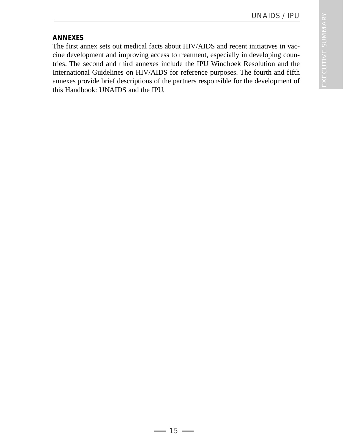#### **ANNEXES**

The first annex sets out medical facts about HIV/AIDS and recent initiatives in vaccine development and improving access to treatment, especially in developing countries. The second and third annexes include the IPU Windhoek Resolution and the International Guidelines on HIV/AIDS for reference purposes. The fourth and fifth annexes provide brief descriptions of the partners responsible for the development of this Handbook: UNAIDS and the IPU.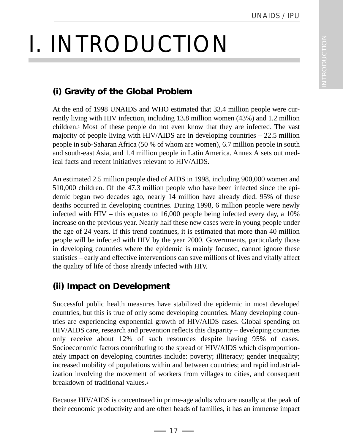# I. INTRODUCTION

### **(i) Gravity of the Global Problem**

At the end of 1998 UNAIDS and WHO estimated that 33.4 million people were currently living with HIV infection, including 13.8 million women (43%) and 1.2 million children.1 Most of these people do not even know that they are infected. The vast majority of people living with HIV/AIDS are in developing countries  $-22.5$  million people in sub-Saharan Africa (50 % of whom are women), 6.7 million people in south and south-east Asia, and 1.4 million people in Latin America. Annex A sets out medical facts and recent initiatives relevant to HIV/AIDS.

An estimated 2.5 million people died of AIDS in 1998, including 900,000 women and 510,000 children. Of the 47.3 million people who have been infected since the epidemic began two decades ago, nearly 14 million have already died. 95% of these deaths occurred in developing countries. During 1998, 6 million people were newly infected with HIV – this equates to 16,000 people being infected every day, a 10% increase on the previous year. Nearly half these new cases were in young people under the age of 24 years. If this trend continues, it is estimated that more than 40 million people will be infected with HIV by the year 2000. Governments, particularly those in developing countries where the epidemic is mainly focused, cannot ignore these statistics – early and effective interventions can save millions of lives and vitally affect the quality of life of those already infected with HIV.

#### **(ii) Impact on Development**

Successful public health measures have stabilized the epidemic in most developed countries, but this is true of only some developing countries. Many developing countries are experiencing exponential growth of HIV/AIDS cases. Global spending on HIV/AIDS care, research and prevention reflects this disparity – developing countries only receive about 12% of such resources despite having 95% of cases. Socioeconomic factors contributing to the spread of HIV/AIDS which disproportionately impact on developing countries include: poverty; illiteracy; gender inequality; increased mobility of populations within and between countries; and rapid industrialization involving the movement of workers from villages to cities, and consequent breakdown of traditional values.<sup>2</sup>

Because HIV/AIDS is concentrated in prime-age adults who are usually at the peak of their economic productivity and are often heads of families, it has an immense impact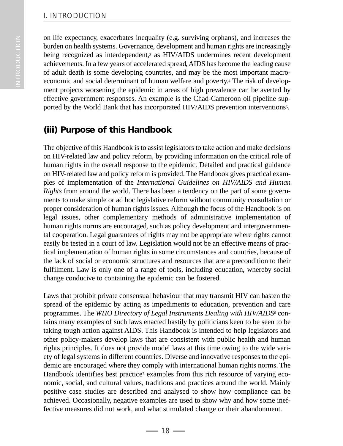on life expectancy, exacerbates inequality (e.g. surviving orphans), and increases the burden on health systems. Governance, development and human rights are increasingly being recognized as interdependent,<sup>3</sup> as HIV/AIDS undermines recent development achievements. In a few years of accelerated spread, AIDS has become the leading cause of adult death is some developing countries, and may be the most important macroeconomic and social determinant of human welfare and poverty.4 The risk of development projects worsening the epidemic in areas of high prevalence can be averted by effective government responses. An example is the Chad-Cameroon oil pipeline supported by the World Bank that has incorporated HIV/AIDS prevention interventions5.

#### **(iii) Purpose of this Handbook**

The objective of this Handbook is to assist legislators to take action and make decisions on HIV-related law and policy reform, by providing information on the critical role of human rights in the overall response to the epidemic. Detailed and practical guidance on HIV-related law and policy reform is provided. The Handbook gives practical examples of implementation of the *International Guidelines on HIV/AIDS and Human Rights* from around the world. There has been a tendency on the part of some governments to make simple or ad hoc legislative reform without community consultation or proper consideration of human rights issues. Although the focus of the Handbook is on legal issues, other complementary methods of administrative implementation of human rights norms are encouraged, such as policy development and intergovernmental cooperation. Legal guarantees of rights may not be appropriate where rights cannot easily be tested in a court of law. Legislation would not be an effective means of practical implementation of human rights in some circumstances and countries, because of the lack of social or economic structures and resources that are a precondition to their fulfilment. Law is only one of a range of tools, including education, whereby social change conducive to containing the epidemic can be fostered.

Laws that prohibit private consensual behaviour that may transmit HIV can hasten the spread of the epidemic by acting as impediments to education, prevention and care programmes. The *WHO Directory of Legal Instruments Dealing with HIV/AIDS*<sup>6</sup> contains many examples of such laws enacted hastily by politicians keen to be seen to be taking tough action against AIDS. This Handbook is intended to help legislators and other policy-makers develop laws that are consistent with public health and human rights principles. It does not provide model laws at this time owing to the wide variety of legal systems in different countries. Diverse and innovative responses to the epidemic are encouraged where they comply with international human rights norms. The Handbook identifies best practice<sup>7</sup> examples from this rich resource of varying eco-nomic, social, and cultural values, traditions and practices around the world. Mainly positive case studies are described and analysed to show how compliance can be achieved. Occasionally, negative examples are used to show why and how some ineffective measures did not work, and what stimulated change or their abandonment.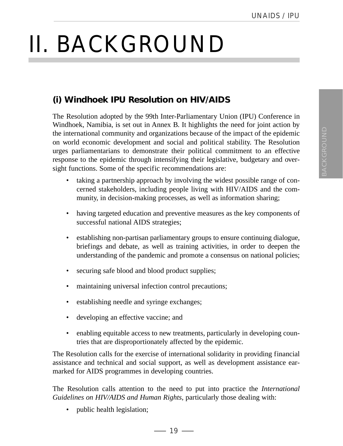# II. BACKGROUND

### **(i) Windhoek IPU Resolution on HIV/AIDS**

The Resolution adopted by the 99th Inter-Parliamentary Union (IPU) Conference in Windhoek, Namibia, is set out in Annex B. It highlights the need for joint action by the international community and organizations because of the impact of the epidemic on world economic development and social and political stability. The Resolution urges parliamentarians to demonstrate their political commitment to an effective response to the epidemic through intensifying their legislative, budgetary and oversight functions. Some of the specific recommendations are:

- taking a partnership approach by involving the widest possible range of concerned stakeholders, including people living with HIV/AIDS and the community, in decision-making processes, as well as information sharing;
- having targeted education and preventive measures as the key components of successful national AIDS strategies;
- establishing non-partisan parliamentary groups to ensure continuing dialogue, briefings and debate, as well as training activities, in order to deepen the understanding of the pandemic and promote a consensus on national policies;
- securing safe blood and blood product supplies;
- maintaining universal infection control precautions;
- establishing needle and syringe exchanges;
- developing an effective vaccine; and
- enabling equitable access to new treatments, particularly in developing countries that are disproportionately affected by the epidemic.

The Resolution calls for the exercise of international solidarity in providing financial assistance and technical and social support, as well as development assistance earmarked for AIDS programmes in developing countries.

The Resolution calls attention to the need to put into practice the *International Guidelines on HIV/AIDS and Human Rights*, particularly those dealing with:

• public health legislation;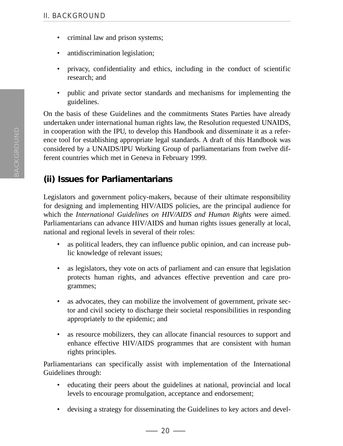- criminal law and prison systems;
- antidiscrimination legislation:
- privacy, confidentiality and ethics, including in the conduct of scientific research; and
- public and private sector standards and mechanisms for implementing the guidelines.

On the basis of these Guidelines and the commitments States Parties have already undertaken under international human rights law, the Resolution requested UNAIDS, in cooperation with the IPU, to develop this Handbook and disseminate it as a reference tool for establishing appropriate legal standards. A draft of this Handbook was considered by a UNAIDS/IPU Working Group of parliamentarians from twelve different countries which met in Geneva in February 1999.

### **(ii) Issues for Parliamentarians**

Legislators and government policy-makers, because of their ultimate responsibility for designing and implementing HIV/AIDS policies, are the principal audience for which the *International Guidelines on HIV/AIDS and Human Rights* were aimed. Parliamentarians can advance HIV/AIDS and human rights issues generally at local, national and regional levels in several of their roles:

- as political leaders, they can influence public opinion, and can increase public knowledge of relevant issues;
- as legislators, they vote on acts of parliament and can ensure that legislation protects human rights, and advances effective prevention and care programmes;
- as advocates, they can mobilize the involvement of government, private sector and civil society to discharge their societal responsibilities in responding appropriately to the epidemic; and
- as resource mobilizers, they can allocate financial resources to support and enhance effective HIV/AIDS programmes that are consistent with human rights principles.

Parliamentarians can specifically assist with implementation of the International Guidelines through:

- educating their peers about the guidelines at national, provincial and local levels to encourage promulgation, acceptance and endorsement;
- devising a strategy for disseminating the Guidelines to key actors and devel-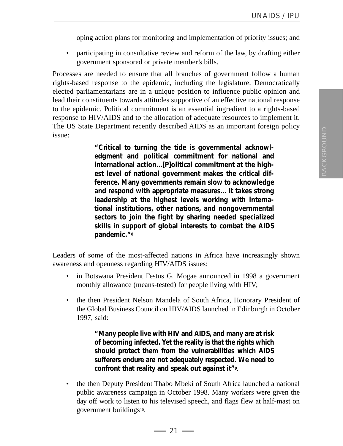oping action plans for monitoring and implementation of priority issues; and

• participating in consultative review and reform of the law, by drafting either government sponsored or private member's bills.

Processes are needed to ensure that all branches of government follow a human rights-based response to the epidemic, including the legislature. Democratically elected parliamentarians are in a unique position to influence public opinion and lead their constituents towards attitudes supportive of an effective national response to the epidemic. Political commitment is an essential ingredient to a rights-based response to HIV/AIDS and to the allocation of adequate resources to implement it. The US State Department recently described AIDS as an important foreign policy issue:

> **"Critical to turning the tide is governmental acknowledgment and political commitment for national and international action...[P]olitical commitment at the highest level of national government makes the critical difference. Many governments remain slow to acknowledge and respond with appropriate measures... It takes strong leadership at the highest levels working with international institutions, other nations, and nongovernmental sectors to join the fight by sharing needed specialized skills in support of global interests to combat the AIDS pandemic."8**

Leaders of some of the most-affected nations in Africa have increasingly shown awareness and openness regarding HIV/AIDS issues:

- in Botswana President Festus G. Mogae announced in 1998 a government monthly allowance (means-tested) for people living with HIV;
- the then President Nelson Mandela of South Africa, Honorary President of the Global Business Council on HIV/AIDS launched in Edinburgh in October 1997, said:

**"Many people live with HIV and AIDS, and many are at risk of becoming infected. Yet the reality is that the rights which should protect them from the vulnerabilities which AIDS sufferers endure are not adequately respected. We need to confront that reality and speak out against it"9.**

• the then Deputy President Thabo Mbeki of South Africa launched a national public awareness campaign in October 1998. Many workers were given the day off work to listen to his televised speech, and flags flew at half-mast on government buildings10.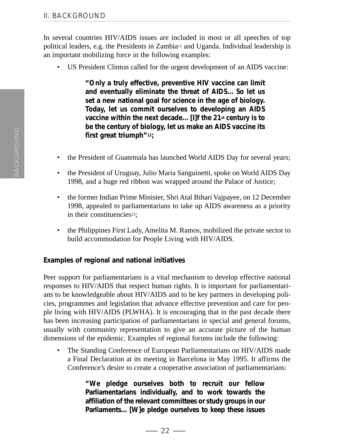In several countries HIV/AIDS issues are included in most or all speeches of top political leaders, e.g. the Presidents in Zambia<sup>11</sup> and Uganda. Individual leadership is an important mobilizing force in the following examples:

• US President Clinton called for the urgent development of an AIDS vaccine:

**"Only a truly effective, preventive HIV vaccine can limit and eventually eliminate the threat of AIDS... So let us set a new national goal for science in the age of biology. Today, let us commit ourselves to developing an AIDS vaccine within the next decade... [I]f the 21st century is to be the century of biology, let us make an AIDS vaccine its first great triumph"12;**

- the President of Guatemala has launched World AIDS Day for several years;
- the President of Uruguay, Julio Maria Sanguinetti, spoke on World AIDS Day 1998, and a huge red ribbon was wrapped around the Palace of Justice;
- the former Indian Prime Minister, Shri Atal Bihari Vajpayee, on 12 December 1998, appealed to parliamentarians to take up AIDS awareness as a priority in their constituencies<sup>13</sup>;
- the Philippines First Lady, Amelita M. Ramos, mobilized the private sector to build accommodation for People Living with HIV/AIDS.

#### **Examples of regional and national initiatives**

Peer support for parliamentarians is a vital mechanism to develop effective national responses to HIV/AIDS that respect human rights. It is important for parliamentarians to be knowledgeable about HIV/AIDS and to be key partners in developing policies, programmes and legislation that advance effective prevention and care for people living with HIV/AIDS (PLWHA). It is encouraging that in the past decade there has been increasing participation of parliamentarians in special and general forums, usually with community representation to give an accurate picture of the human dimensions of the epidemic. Examples of regional forums include the following:

• The Standing Conference of European Parliamentarians on HIV/AIDS made a Final Declaration at its meeting in Barcelona in May 1995. It affirms the Conference's desire to create a cooperative association of parliamentarians:

> **"We pledge ourselves both to recruit our fellow Parliamentarians individually, and to work towards the affiliation of the relevant committees or study groups in our Parliaments... [W]e pledge ourselves to keep these issues**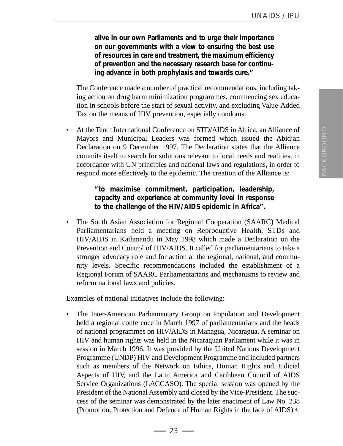**alive in our own Parliaments and to urge their importance on our governments with a view to ensuring the best use of resources in care and treatment, the maximum efficiency of prevention and the necessary research base for continuing advance in both prophylaxis and towards cure."**

The Conference made a number of practical recommendations, including taking action on drug harm minimization programmes, commencing sex education in schools before the start of sexual activity, and excluding Value-Added Tax on the means of HIV prevention, especially condoms.

• At the Tenth International Conference on STD/AIDS in Africa, an Alliance of Mayors and Municipal Leaders was formed which issued the Abidjan Declaration on 9 December 1997. The Declaration states that the Alliance commits itself to search for solutions relevant to local needs and realities, in accordance with UN principles and national laws and regulations, in order to respond more effectively to the epidemic. The creation of the Alliance is:

#### **"to maximise commitment, participation, leadership, capacity and experience at community level in response to the challenge of the HIV/AIDS epidemic in Africa".**

• The South Asian Association for Regional Cooperation (SAARC) Medical Parliamentarians held a meeting on Reproductive Health, STDs and HIV/AIDS in Kathmandu in May 1998 which made a Declaration on the Prevention and Control of HIV/AIDS. It called for parliamentarians to take a stronger advocacy role and for action at the regional, national, and community levels. Specific recommendations included the establishment of a Regional Forum of SAARC Parliamentarians and mechanisms to review and reform national laws and policies.

Examples of national initiatives include the following:

• The Inter-American Parliamentary Group on Population and Development held a regional conference in March 1997 of parliamentarians and the heads of national programmes on HIV/AIDS in Managua, Nicaragua. A seminar on HIV and human rights was held in the Nicaraguan Parliament while it was in session in March 1996. It was provided by the United Nations Development Programme (UNDP) HIV and Development Programme and included partners such as members of the Network on Ethics, Human Rights and Judicial Aspects of HIV, and the Latin America and Caribbean Council of AIDS Service Organizations (LACCASO). The special session was opened by the President of the National Assembly and closed by the Vice-President. The success of the seminar was demonstrated by the later enactment of Law No. 238 (Promotion, Protection and Defence of Human Rights in the face of AIDS)14.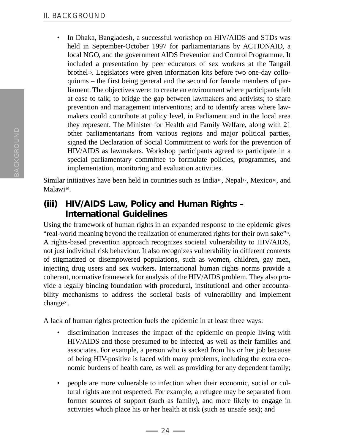• In Dhaka, Bangladesh, a successful workshop on HIV/AIDS and STDs was held in September-October 1997 for parliamentarians by ACTIONAID, a local NGO, and the government AIDS Prevention and Control Programme. It included a presentation by peer educators of sex workers at the Tangail brothel<sup>15</sup>. Legislators were given information kits before two one-day colloquiums – the first being general and the second for female members of parliament. The objectives were: to create an environment where participants felt at ease to talk; to bridge the gap between lawmakers and activists; to share prevention and management interventions; and to identify areas where lawmakers could contribute at policy level, in Parliament and in the local area they represent. The Minister for Health and Family Welfare, along with 21 other parliamentarians from various regions and major political parties, signed the Declaration of Social Commitment to work for the prevention of HIV/AIDS as lawmakers. Workshop participants agreed to participate in a special parliamentary committee to formulate policies, programmes, and implementation, monitoring and evaluation activities.

Similar initiatives have been held in countries such as India<sup>16</sup>, Nepal<sup>17</sup>, Mexico<sup>18</sup>, and Malawi19.

#### **(iii) HIV/AIDS Law, Policy and Human Rights – International Guidelines**

Using the framework of human rights in an expanded response to the epidemic gives "real-world meaning beyond the realization of enumerated rights for their own sake" $\infty$ . A rights-based prevention approach recognizes societal vulnerability to HIV/AIDS, not just individual risk behaviour. It also recognizes vulnerability in different contexts of stigmatized or disempowered populations, such as women, children, gay men, injecting drug users and sex workers. International human rights norms provide a coherent, normative framework for analysis of the HIV/AIDS problem. They also provide a legally binding foundation with procedural, institutional and other accountability mechanisms to address the societal basis of vulnerability and implement change<sup>21</sup>.

A lack of human rights protection fuels the epidemic in at least three ways:

- discrimination increases the impact of the epidemic on people living with HIV/AIDS and those presumed to be infected, as well as their families and associates. For example, a person who is sacked from his or her job because of being HIV-positive is faced with many problems, including the extra economic burdens of health care, as well as providing for any dependent family;
- people are more vulnerable to infection when their economic, social or cultural rights are not respected. For example, a refugee may be separated from former sources of support (such as family), and more likely to engage in activities which place his or her health at risk (such as unsafe sex); and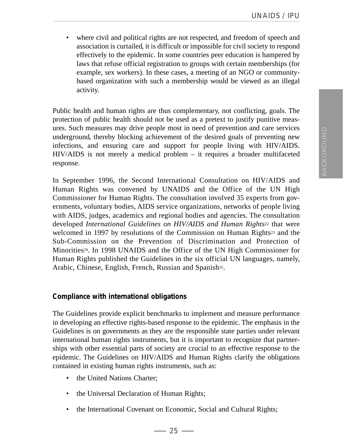• where civil and political rights are not respected, and freedom of speech and association is curtailed, it is difficult or impossible for civil society to respond effectively to the epidemic. In some countries peer education is hampered by laws that refuse official registration to groups with certain memberships (for example, sex workers). In these cases, a meeting of an NGO or communitybased organization with such a membership would be viewed as an illegal activity.

Public health and human rights are thus complementary, not conflicting, goals. The protection of public health should not be used as a pretext to justify punitive measures. Such measures may drive people most in need of prevention and care services underground, thereby blocking achievement of the desired goals of preventing new infections, and ensuring care and support for people living with HIV/AIDS. HIV/AIDS is not merely a medical problem – it requires a broader multifaceted response.

In September 1996, the Second International Consultation on HIV/AIDS and Human Rights was convened by UNAIDS and the Office of the UN High Commissioner for Human Rights. The consultation involved 35 experts from governments, voluntary bodies, AIDS service organizations, networks of people living with AIDS, judges, academics and regional bodies and agencies. The consultation developed *International Guidelines on HIV/AIDS and Human Rights*<sup>22</sup> that were welcomed in 1997 by resolutions of the Commission on Human Rights<sup>23</sup> and the Sub-Commission on the Prevention of Discrimination and Protection of Minorities24. In 1998 UNAIDS and the Office of the UN High Commissioner for Human Rights published the Guidelines in the six official UN languages, namely, Arabic, Chinese, English, French, Russian and Spanish<sup>25</sup>.

#### **Compliance with international obligations**

The Guidelines provide explicit benchmarks to implement and measure performance in developing an effective rights-based response to the epidemic. The emphasis in the Guidelines is on governments as they are the responsible state parties under relevant international human rights instruments, but it is important to recognize that partnerships with other essential parts of society are crucial to an effective response to the epidemic. The Guidelines on HIV/AIDS and Human Rights clarify the obligations contained in existing human rights instruments, such as:

- the United Nations Charter:
- the Universal Declaration of Human Rights;
- the International Covenant on Economic, Social and Cultural Rights;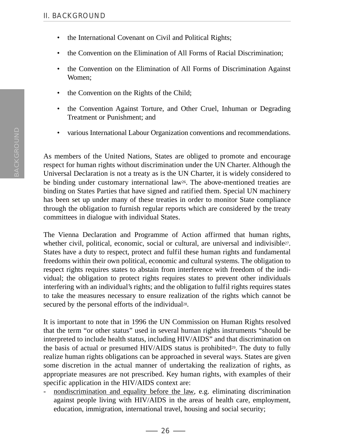- the International Covenant on Civil and Political Rights;
- the Convention on the Elimination of All Forms of Racial Discrimination:
- the Convention on the Elimination of All Forms of Discrimination Against Women;
- the Convention on the Rights of the Child;
- the Convention Against Torture, and Other Cruel, Inhuman or Degrading Treatment or Punishment; and
- various International Labour Organization conventions and recommendations.

As members of the United Nations, States are obliged to promote and encourage respect for human rights without discrimination under the UN Charter. Although the Universal Declaration is not a treaty as is the UN Charter, it is widely considered to be binding under customary international law26. The above-mentioned treaties are binding on States Parties that have signed and ratified them. Special UN machinery has been set up under many of these treaties in order to monitor State compliance through the obligation to furnish regular reports which are considered by the treaty committees in dialogue with individual States.

The Vienna Declaration and Programme of Action affirmed that human rights, whether civil, political, economic, social or cultural, are universal and indivisible<sup>27</sup>. States have a duty to respect, protect and fulfil these human rights and fundamental freedoms within their own political, economic and cultural systems. The obligation to respect rights requires states to abstain from interference with freedom of the individual; the obligation to protect rights requires states to prevent other individuals interfering with an individual's rights; and the obligation to fulfil rights requires states to take the measures necessary to ensure realization of the rights which cannot be secured by the personal efforts of the individual<sup>28</sup>.

It is important to note that in 1996 the UN Commission on Human Rights resolved that the term "or other status" used in several human rights instruments "should be interpreted to include health status, including HIV/AIDS" and that discrimination on the basis of actual or presumed HIV/AIDS status is prohibited<sup>29</sup>. The duty to fully realize human rights obligations can be approached in several ways. States are given some discretion in the actual manner of undertaking the realization of rights, as appropriate measures are not prescribed. Key human rights, with examples of their specific application in the HIV/AIDS context are:

nondiscrimination and equality before the law, e.g. eliminating discrimination against people living with HIV/AIDS in the areas of health care, employment, education, immigration, international travel, housing and social security;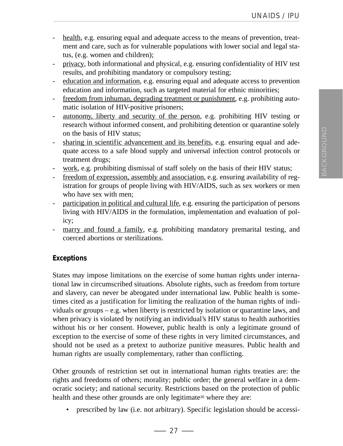- health, e.g. ensuring equal and adequate access to the means of prevention, treatment and care, such as for vulnerable populations with lower social and legal status, (e.g. women and children);
- privacy, both informational and physical, e.g. ensuring confidentiality of HIV test results, and prohibiting mandatory or compulsory testing;
- education and information, e.g. ensuring equal and adequate access to prevention education and information, such as targeted material for ethnic minorities;
- freedom from inhuman, degrading treatment or punishment, e.g. prohibiting automatic isolation of HIV-positive prisoners;
- autonomy, liberty and security of the person, e.g. prohibiting HIV testing or research without informed consent, and prohibiting detention or quarantine solely on the basis of HIV status;
- sharing in scientific advancement and its benefits, e.g. ensuring equal and adequate access to a safe blood supply and universal infection control protocols or treatment drugs;
- work, e.g. prohibiting dismissal of staff solely on the basis of their HIV status;
- freedom of expression, assembly and association, e.g. ensuring availability of registration for groups of people living with HIV/AIDS, such as sex workers or men who have sex with men;
- participation in political and cultural life, e.g. ensuring the participation of persons living with HIV/AIDS in the formulation, implementation and evaluation of policy;
- marry and found a family, e.g. prohibiting mandatory premarital testing, and coerced abortions or sterilizations.

#### **Exceptions**

States may impose limitations on the exercise of some human rights under international law in circumscribed situations. Absolute rights, such as freedom from torture and slavery, can never be abrogated under international law. Public health is sometimes cited as a justification for limiting the realization of the human rights of individuals or groups – e.g. when liberty is restricted by isolation or quarantine laws, and when privacy is violated by notifying an individual's HIV status to health authorities without his or her consent. However, public health is only a legitimate ground of exception to the exercise of some of these rights in very limited circumstances, and should not be used as a pretext to authorize punitive measures. Public health and human rights are usually complementary, rather than conflicting.

Other grounds of restriction set out in international human rights treaties are: the rights and freedoms of others; morality; public order; the general welfare in a democratic society; and national security. Restrictions based on the protection of public health and these other grounds are only legitimate<sup>30</sup> where they are:

• prescribed by law (i.e. not arbitrary). Specific legislation should be accessi-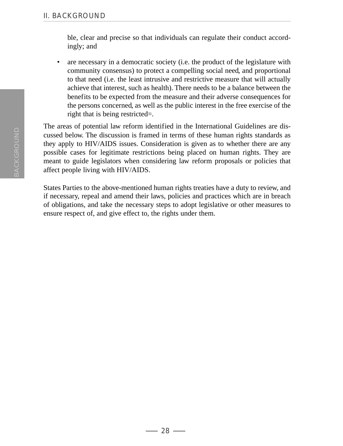ble, clear and precise so that individuals can regulate their conduct accordingly; and

• are necessary in a democratic society (i.e. the product of the legislature with community consensus) to protect a compelling social need, and proportional to that need (i.e. the least intrusive and restrictive measure that will actually achieve that interest, such as health). There needs to be a balance between the benefits to be expected from the measure and their adverse consequences for the persons concerned, as well as the public interest in the free exercise of the right that is being restricted<sup>31</sup>.

The areas of potential law reform identified in the International Guidelines are discussed below. The discussion is framed in terms of these human rights standards as they apply to HIV/AIDS issues. Consideration is given as to whether there are any possible cases for legitimate restrictions being placed on human rights. They are meant to guide legislators when considering law reform proposals or policies that affect people living with HIV/AIDS.

States Parties to the above-mentioned human rights treaties have a duty to review, and if necessary, repeal and amend their laws, policies and practices which are in breach of obligations, and take the necessary steps to adopt legislative or other measures to ensure respect of, and give effect to, the rights under them.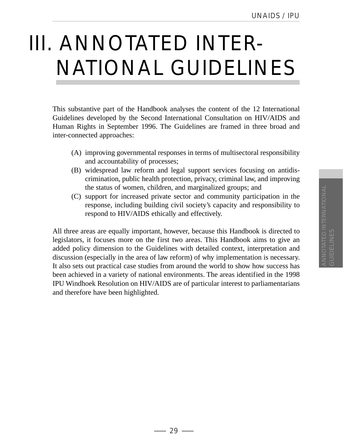# III. ANNOTATED INTER-NATIONAL GUIDELINES

This substantive part of the Handbook analyses the content of the 12 International Guidelines developed by the Second International Consultation on HIV/AIDS and Human Rights in September 1996. The Guidelines are framed in three broad and inter-connected approaches:

- (A) improving governmental responses in terms of multisectoral responsibility and accountability of processes;
- (B) widespread law reform and legal support services focusing on antidiscrimination, public health protection, privacy, criminal law, and improving the status of women, children, and marginalized groups; and
- (C) support for increased private sector and community participation in the response, including building civil society's capacity and responsibility to respond to HIV/AIDS ethically and effectively.

All three areas are equally important, however, because this Handbook is directed to legislators, it focuses more on the first two areas. This Handbook aims to give an added policy dimension to the Guidelines with detailed context, interpretation and discussion (especially in the area of law reform) of why implementation is necessary. It also sets out practical case studies from around the world to show how success has been achieved in a variety of national environments. The areas identified in the 1998 IPU Windhoek Resolution on HIV/AIDS are of particular interest to parliamentarians and therefore have been highlighted.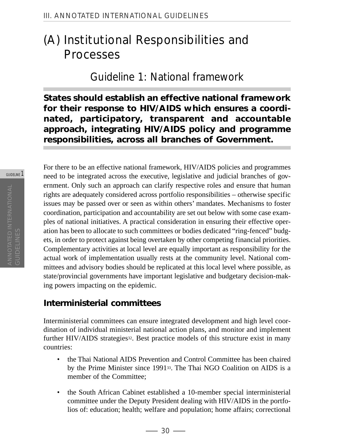# (A) Institutional Responsibilities and Processes

Guideline 1: National framework

**States should establish an effective national framework for their response to HIV/AIDS which ensures a coordinated, participatory, transparent and accountable approach, integrating HIV/AIDS policy and programme responsibilities, across all branches of Government.**

For there to be an effective national framework, HIV/AIDS policies and programmes need to be integrated across the executive, legislative and judicial branches of government. Only such an approach can clarify respective roles and ensure that human rights are adequately considered across portfolio responsibilities – otherwise specific issues may be passed over or seen as within others' mandates. Mechanisms to foster coordination, participation and accountability are set out below with some case examples of national initiatives. A practical consideration in ensuring their effective operation has been to allocate to such committees or bodies dedicated "ring-fenced" budgets, in order to protect against being overtaken by other competing financial priorities. Complementary activities at local level are equally important as responsibility for the actual work of implementation usually rests at the community level. National committees and advisory bodies should be replicated at this local level where possible, as state/provincial governments have important legislative and budgetary decision-making powers impacting on the epidemic.

#### **Interministerial committees**

Interministerial committees can ensure integrated development and high level coordination of individual ministerial national action plans, and monitor and implement further HIV/AIDS strategies<sup>32</sup>. Best practice models of this structure exist in many countries:

- the Thai National AIDS Prevention and Control Committee has been chaired by the Prime Minister since 199133. The Thai NGO Coalition on AIDS is a member of the Committee;
- the South African Cabinet established a 10-member special interministerial committee under the Deputy President dealing with HIV/AIDS in the portfolios of: education; health; welfare and population; home affairs; correctional

 $-30 -$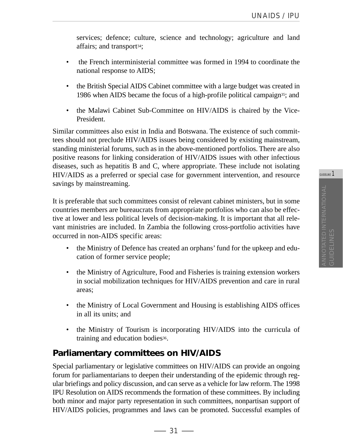services; defence; culture, science and technology; agriculture and land affairs; and transport<sup>34</sup>;

- the French interministerial committee was formed in 1994 to coordinate the national response to AIDS;
- the British Special AIDS Cabinet committee with a large budget was created in 1986 when AIDS became the focus of a high-profile political campaign<sup>35</sup>; and
- the Malawi Cabinet Sub-Committee on HIV/AIDS is chaired by the Vice-President.

Similar committees also exist in India and Botswana. The existence of such committees should not preclude HIV/AIDS issues being considered by existing mainstream, standing ministerial forums, such as in the above-mentioned portfolios. There are also positive reasons for linking consideration of HIV/AIDS issues with other infectious diseases, such as hepatitis B and C, where appropriate. These include not isolating HIV/AIDS as a preferred or special case for government intervention, and resource savings by mainstreaming.

It is preferable that such committees consist of relevant cabinet ministers, but in some countries members are bureaucrats from appropriate portfolios who can also be effective at lower and less political levels of decision-making. It is important that all relevant ministries are included. In Zambia the following cross-portfolio activities have occurred in non-AIDS specific areas:

- the Ministry of Defence has created an orphans' fund for the upkeep and education of former service people;
- the Ministry of Agriculture, Food and Fisheries is training extension workers in social mobilization techniques for HIV/AIDS prevention and care in rural areas;
- the Ministry of Local Government and Housing is establishing AIDS offices in all its units; and
- the Ministry of Tourism is incorporating HIV/AIDS into the curricula of training and education bodies<sup>36</sup>.

#### **Parliamentary committees on HIV/AIDS**

Special parliamentary or legislative committees on HIV/AIDS can provide an ongoing forum for parliamentarians to deepen their understanding of the epidemic through regular briefings and policy discussion, and can serve as a vehicle for law reform. The 1998 IPU Resolution on AIDS recommends the formation of these committees. By including both minor and major party representation in such committees, nonpartisan support of HIV/AIDS policies, programmes and laws can be promoted. Successful examples of GUIDELINE<sup>1</sup>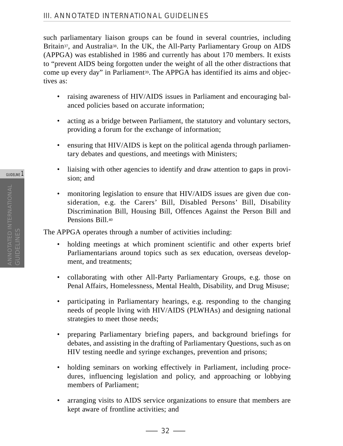such parliamentary liaison groups can be found in several countries, including Britain<sup>37</sup>, and Australia<sup>38</sup>. In the UK, the All-Party Parliamentary Group on AIDS (APPGA) was established in 1986 and currently has about 170 members. It exists to "prevent AIDS being forgotten under the weight of all the other distractions that come up every day" in Parliament<sup>39</sup>. The APPGA has identified its aims and objectives as:

- raising awareness of HIV/AIDS issues in Parliament and encouraging balanced policies based on accurate information;
- acting as a bridge between Parliament, the statutory and voluntary sectors, providing a forum for the exchange of information;
- ensuring that HIV/AIDS is kept on the political agenda through parliamentary debates and questions, and meetings with Ministers;
- liaising with other agencies to identify and draw attention to gaps in provision; and
- monitoring legislation to ensure that HIV/AIDS issues are given due consideration, e.g. the Carers' Bill, Disabled Persons' Bill, Disability Discrimination Bill, Housing Bill, Offences Against the Person Bill and Pensions Bill.<sup>40</sup>

The APPGA operates through a number of activities including:

- holding meetings at which prominent scientific and other experts brief Parliamentarians around topics such as sex education, overseas development, and treatments;
- collaborating with other All-Party Parliamentary Groups, e.g. those on Penal Affairs, Homelessness, Mental Health, Disability, and Drug Misuse;
- participating in Parliamentary hearings, e.g. responding to the changing needs of people living with HIV/AIDS (PLWHAs) and designing national strategies to meet those needs;
- preparing Parliamentary briefing papers, and background briefings for debates, and assisting in the drafting of Parliamentary Questions, such as on HIV testing needle and syringe exchanges, prevention and prisons;
- holding seminars on working effectively in Parliament, including procedures, influencing legislation and policy, and approaching or lobbying members of Parliament;
- arranging visits to AIDS service organizations to ensure that members are kept aware of frontline activities; and

GUIDELINE 1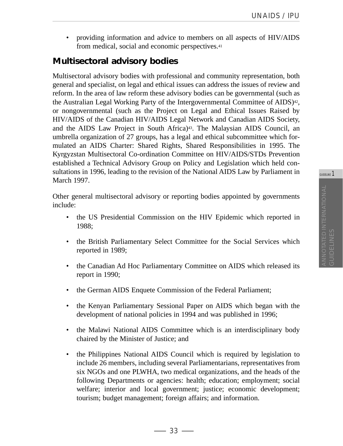ANNOTATED INTERNATIONAL

annotated international<br>Guidelines

GUIDELINE<sup>1</sup>

GUIDELINES

• providing information and advice to members on all aspects of HIV/AIDS from medical, social and economic perspectives.41

#### **Multisectoral advisory bodies**

Multisectoral advisory bodies with professional and community representation, both general and specialist, on legal and ethical issues can address the issues of review and reform. In the area of law reform these advisory bodies can be governmental (such as the Australian Legal Working Party of the Intergovernmental Committee of  $\text{AIDS}^{42}$ , or nongovernmental (such as the Project on Legal and Ethical Issues Raised by HIV/AIDS of the Canadian HIV/AIDS Legal Network and Canadian AIDS Society, and the AIDS Law Project in South Africa)43. The Malaysian AIDS Council, an umbrella organization of 27 groups, has a legal and ethical subcommittee which formulated an AIDS Charter: Shared Rights, Shared Responsibilities in 1995. The Kyrgyzstan Multisectoral Co-ordination Committee on HIV/AIDS/STDs Prevention established a Technical Advisory Group on Policy and Legislation which held consultations in 1996, leading to the revision of the National AIDS Law by Parliament in March 1997.

Other general multisectoral advisory or reporting bodies appointed by governments include:

- the US Presidential Commission on the HIV Epidemic which reported in 1988;
- the British Parliamentary Select Committee for the Social Services which reported in 1989;
- the Canadian Ad Hoc Parliamentary Committee on AIDS which released its report in 1990;
- the German AIDS Enquete Commission of the Federal Parliament;
- the Kenyan Parliamentary Sessional Paper on AIDS which began with the development of national policies in 1994 and was published in 1996;
- the Malawi National AIDS Committee which is an interdisciplinary body chaired by the Minister of Justice; and
- the Philippines National AIDS Council which is required by legislation to include 26 members, including several Parliamentarians, representatives from six NGOs and one PLWHA, two medical organizations, and the heads of the following Departments or agencies: health; education; employment; social welfare; interior and local government; justice; economic development; tourism; budget management; foreign affairs; and information.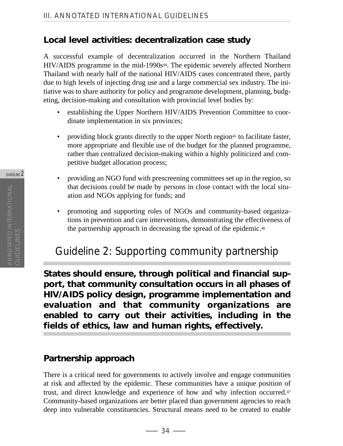#### **Local level activities: decentralization case study**

A successful example of decentralization occurred in the Northern Thailand HIV/AIDS programme in the mid-1990s<sup>44</sup>. The epidemic severely affected Northern Thailand with nearly half of the national HIV/AIDS cases concentrated there, partly due to high levels of injecting drug use and a large commercial sex industry. The initiative was to share authority for policy and programme development, planning, budgeting, decision-making and consultation with provincial level bodies by:

- establishing the Upper Northern HIV/AIDS Prevention Committee to coordinate implementation in six provinces;
- providing block grants directly to the upper North region<sup>45</sup> to facilitate faster, more appropriate and flexible use of the budget for the planned programme, rather than centralized decision-making within a highly politicized and competitive budget allocation process;
- providing an NGO fund with prescreening committees set up in the region, so that decisions could be made by persons in close contact with the local situation and NGOs applying for funds; and
- promoting and supporting roles of NGOs and community-based organizations in prevention and care interventions, demonstrating the effectiveness of the partnership approach in decreasing the spread of the epidemic.46

# Guideline 2: Supporting community partnership

**States should ensure, through political and financial support, that community consultation occurs in all phases of HIV/AIDS policy design, programme implementation and evaluation and that community organizations are enabled to carry out their activities, including in the fields of ethics, law and human rights, effectively.**

#### **Partnership approach**

There is a critical need for governments to actively involve and engage communities at risk and affected by the epidemic. These communities have a unique position of trust, and direct knowledge and experience of how and why infection occurred.47 Community-based organizations are better placed than government agencies to reach deep into vulnerable constituencies. Structural means need to be created to enable

GUIDELINE 2

GUIDELINES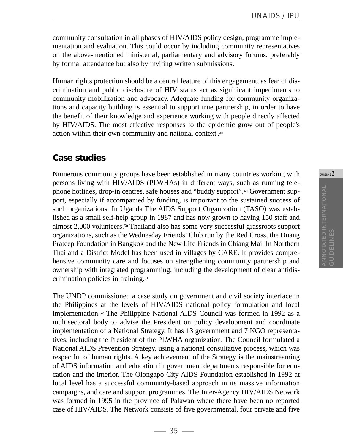community consultation in all phases of HIV/AIDS policy design, programme implementation and evaluation. This could occur by including community representatives on the above-mentioned ministerial, parliamentary and advisory forums, preferably by formal attendance but also by inviting written submissions.

Human rights protection should be a central feature of this engagement, as fear of discrimination and public disclosure of HIV status act as significant impediments to community mobilization and advocacy. Adequate funding for community organizations and capacity building is essential to support true partnership, in order to have the benefit of their knowledge and experience working with people directly affected by HIV/AIDS. The most effective responses to the epidemic grow out of people's action within their own community and national context .48

#### **Case studies**

Numerous community groups have been established in many countries working with persons living with HIV/AIDS (PLWHAs) in different ways, such as running telephone hotlines, drop-in centres, safe houses and "buddy support".49 Government support, especially if accompanied by funding, is important to the sustained success of such organizations. In Uganda The AIDS Support Organization (TASO) was established as a small self-help group in 1987 and has now grown to having 150 staff and almost 2,000 volunteers.50 Thailand also has some very successful grassroots support organizations, such as the Wednesday Friends' Club run by the Red Cross, the Duang Prateep Foundation in Bangkok and the New Life Friends in Chiang Mai. In Northern Thailand a District Model has been used in villages by CARE. It provides comprehensive community care and focuses on strengthening community partnership and ownership with integrated programming, including the development of clear antidiscrimination policies in training.51

The UNDP commissioned a case study on government and civil society interface in the Philippines at the levels of HIV/AIDS national policy formulation and local implementation.52 The Philippine National AIDS Council was formed in 1992 as a multisectoral body to advise the President on policy development and coordinate implementation of a National Strategy. It has 13 government and 7 NGO representatives, including the President of the PLWHA organization. The Council formulated a National AIDS Prevention Strategy, using a national consultative process, which was respectful of human rights. A key achievement of the Strategy is the mainstreaming of AIDS information and education in government departments responsible for education and the interior. The Olongapo City AIDS Foundation established in 1992 at local level has a successful community-based approach in its massive information campaigns, and care and support programmes. The Inter-Agency HIV/AIDS Network was formed in 1995 in the province of Palawan where there have been no reported case of HIV/AIDS. The Network consists of five governmental, four private and five GUIDELINE 2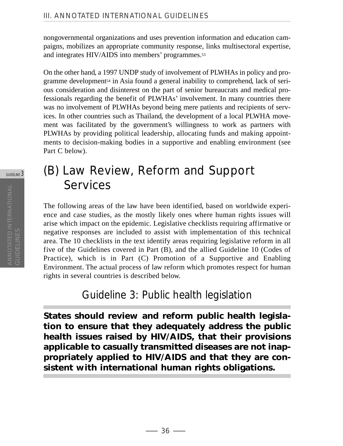nongovernmental organizations and uses prevention information and education campaigns, mobilizes an appropriate community response, links multisectoral expertise, and integrates HIV/AIDS into members' programmes.<sup>53</sup>

On the other hand, a 1997 UNDP study of involvement of PLWHAs in policy and programme development<sup>54</sup> in Asia found a general inability to comprehend, lack of serious consideration and disinterest on the part of senior bureaucrats and medical professionals regarding the benefit of PLWHAs' involvement. In many countries there was no involvement of PLWHAs beyond being mere patients and recipients of services. In other countries such as Thailand, the development of a local PLWHA movement was facilitated by the government's willingness to work as partners with PLWHAs by providing political leadership, allocating funds and making appointments to decision-making bodies in a supportive and enabling environment (see Part C below).

# (B) Law Review, Reform and Support Services

The following areas of the law have been identified, based on worldwide experience and case studies, as the mostly likely ones where human rights issues will arise which impact on the epidemic. Legislative checklists requiring affirmative or negative responses are included to assist with implementation of this technical area. The 10 checklists in the text identify areas requiring legislative reform in all five of the Guidelines covered in Part (B), and the allied Guideline 10 (Codes of Practice), which is in Part (C) Promotion of a Supportive and Enabling Environment. The actual process of law reform which promotes respect for human rights in several countries is described below.

Guideline 3: Public health legislation

**States should review and reform public health legislation to ensure that they adequately address the public health issues raised by HIV/AIDS, that their provisions applicable to casually transmitted diseases are not inappropriately applied to HIV/AIDS and that they are consistent with international human rights obligations.**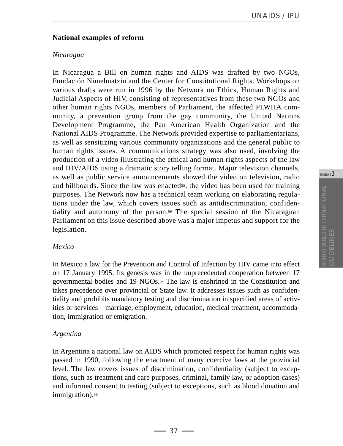## **National examples of reform**

## *Nicaragua*

In Nicaragua a Bill on human rights and AIDS was drafted by two NGOs, Fundación Nimehuatzin and the Center for Constitutional Rights. Workshops on various drafts were run in 1996 by the Network on Ethics, Human Rights and Judicial Aspects of HIV, consisting of representatives from these two NGOs and other human rights NGOs, members of Parliament, the affected PLWHA community, a prevention group from the gay community, the United Nations Development Programme, the Pan American Health Organization and the National AIDS Programme. The Network provided expertise to parliamentarians, as well as sensitizing various community organizations and the general public to human rights issues. A communications strategy was also used, involving the production of a video illustrating the ethical and human rights aspects of the law and HIV/AIDS using a dramatic story telling format. Major television channels, as well as public service announcements showed the video on television, radio and billboards. Since the law was enacted<sup>55</sup>, the video has been used for training purposes. The Network now has a technical team working on elaborating regulations under the law, which covers issues such as antidiscrimination, confidentiality and autonomy of the person.56 The special session of the Nicaraguan Parliament on this issue described above was a major impetus and support for the legislation.

#### *Mexico*

In Mexico a law for the Prevention and Control of Infection by HIV came into effect on 17 January 1995. Its genesis was in the unprecedented cooperation between 17 governmental bodies and 19 NGOs.57 The law is enshrined in the Constitution and takes precedence over provincial or State law. It addresses issues such as confidentiality and prohibits mandatory testing and discrimination in specified areas of activities or services – marriage, employment, education, medical treatment, accommodation, immigration or emigration.

#### *Argentina*

In Argentina a national law on AIDS which promoted respect for human rights was passed in 1990, following the enactment of many coercive laws at the provincial level. The law covers issues of discrimination, confidentiality (subject to exceptions, such as treatment and care purposes, criminal, family law, or adoption cases) and informed consent to testing (subject to exceptions, such as blood donation and immigration).<sup>58</sup>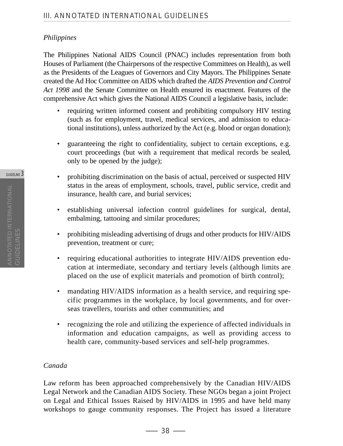### *Philippines*

The Philippines National AIDS Council (PNAC) includes representation from both Houses of Parliament (the Chairpersons of the respective Committees on Health), as well as the Presidents of the Leagues of Governors and City Mayors. The Philippines Senate created the Ad Hoc Committee on AIDS which drafted the *AIDS Prevention and Control Act 1998* and the Senate Committee on Health ensured its enactment. Features of the comprehensive Act which gives the National AIDS Council a legislative basis, include:

- requiring written informed consent and prohibiting compulsory HIV testing (such as for employment, travel, medical services, and admission to educational institutions), unless authorized by the Act (e.g. blood or organ donation);
- guaranteeing the right to confidentiality, subject to certain exceptions, e.g. court proceedings (but with a requirement that medical records be sealed, only to be opened by the judge);
- prohibiting discrimination on the basis of actual, perceived or suspected HIV status in the areas of employment, schools, travel, public service, credit and insurance, health care, and burial services;
- establishing universal infection control guidelines for surgical, dental, embalming, tattooing and similar procedures;
- prohibiting misleading advertising of drugs and other products for HIV/AIDS prevention, treatment or cure;
- requiring educational authorities to integrate HIV/AIDS prevention education at intermediate, secondary and tertiary levels (although limits are placed on the use of explicit materials and promotion of birth control);
- mandating HIV/AIDS information as a health service, and requiring specific programmes in the workplace, by local governments, and for overseas travellers, tourists and other communities; and
- recognizing the role and utilizing the experience of affected individuals in information and education campaigns, as well as providing access to health care, community-based services and self-help programmes.

### *Canada*

Law reform has been approached comprehensively by the Canadian HIV/AIDS Legal Network and the Canadian AIDS Society. These NGOs began a joint Project on Legal and Ethical Issues Raised by HIV/AIDS in 1995 and have held many workshops to gauge community responses. The Project has issued a literature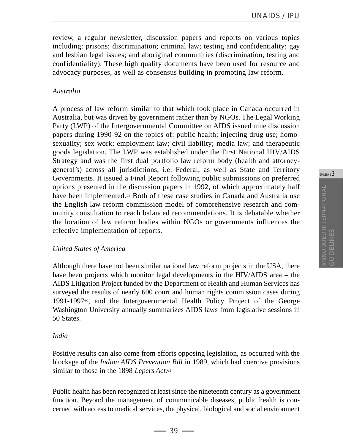review, a regular newsletter, discussion papers and reports on various topics including: prisons; discrimination; criminal law; testing and confidentiality; gay and lesbian legal issues; and aboriginal communities (discrimination, testing and confidentiality). These high quality documents have been used for resource and advocacy purposes, as well as consensus building in promoting law reform.

#### *Australia*

A process of law reform similar to that which took place in Canada occurred in Australia, but was driven by government rather than by NGOs. The Legal Working Party (LWP) of the Intergovernmental Committee on AIDS issued nine discussion papers during 1990-92 on the topics of: public health; injecting drug use; homosexuality; sex work; employment law; civil liability; media law; and therapeutic goods legislation. The LWP was established under the First National HIV/AIDS Strategy and was the first dual portfolio law reform body (health and attorneygeneral's) across all jurisdictions, i.e. Federal, as well as State and Territory Governments. It issued a Final Report following public submissions on preferred options presented in the discussion papers in 1992, of which approximately half have been implemented.59 Both of these case studies in Canada and Australia use the English law reform commission model of comprehensive research and community consultation to reach balanced recommendations. It is debatable whether the location of law reform bodies within NGOs or governments influences the effective implementation of reports.

#### *United States of America*

Although there have not been similar national law reform projects in the USA, there have been projects which monitor legal developments in the HIV/AIDS area – the AIDS Litigation Project funded by the Department of Health and Human Services has surveyed the results of nearly 600 court and human rights commission cases during 1991-199760, and the Intergovernmental Health Policy Project of the George Washington University annually summarizes AIDS laws from legislative sessions in 50 States.

#### *India*

Positive results can also come from efforts opposing legislation, as occurred with the blockage of the *Indian AIDS Prevention Bill* in 1989, which had coercive provisions similar to those in the 1898 *Lepers Act*.61

Public health has been recognized at least since the nineteenth century as a government function. Beyond the management of communicable diseases, public health is concerned with access to medical services, the physical, biological and social environment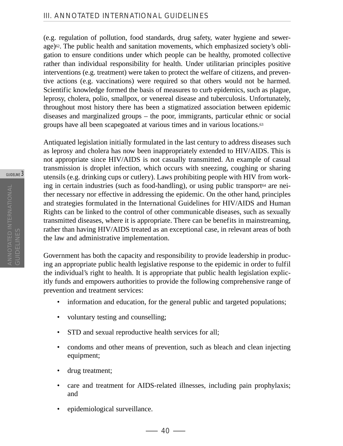(e.g. regulation of pollution, food standards, drug safety, water hygiene and sewer $age)$ <sup> $62$ </sup>. The public health and sanitation movements, which emphasized society's obligation to ensure conditions under which people can be healthy, promoted collective rather than individual responsibility for health. Under utilitarian principles positive interventions (e.g. treatment) were taken to protect the welfare of citizens, and preventive actions (e.g. vaccinations) were required so that others would not be harmed. Scientific knowledge formed the basis of measures to curb epidemics, such as plague, leprosy, cholera, polio, smallpox, or venereal disease and tuberculosis. Unfortunately, throughout most history there has been a stigmatized association between epidemic diseases and marginalized groups – the poor, immigrants, particular ethnic or social groups have all been scapegoated at various times and in various locations.63

Antiquated legislation initially formulated in the last century to address diseases such as leprosy and cholera has now been inappropriately extended to HIV/AIDS. This is not appropriate since HIV/AIDS is not casually transmitted. An example of casual transmission is droplet infection, which occurs with sneezing, coughing or sharing utensils (e.g. drinking cups or cutlery). Laws prohibiting people with HIV from working in certain industries (such as food-handling), or using public transport<sup>64</sup> are neither necessary nor effective in addressing the epidemic. On the other hand, principles and strategies formulated in the International Guidelines for HIV/AIDS and Human Rights can be linked to the control of other communicable diseases, such as sexually transmitted diseases, where it is appropriate. There can be benefits in mainstreaming, rather than having HIV/AIDS treated as an exceptional case, in relevant areas of both the law and administrative implementation.

Government has both the capacity and responsibility to provide leadership in producing an appropriate public health legislative response to the epidemic in order to fulfil the individual's right to health. It is appropriate that public health legislation explicitly funds and empowers authorities to provide the following comprehensive range of prevention and treatment services:

- information and education, for the general public and targeted populations;
- voluntary testing and counselling;
- STD and sexual reproductive health services for all:
- condoms and other means of prevention, such as bleach and clean injecting equipment;
- drug treatment;
- care and treatment for AIDS-related illnesses, including pain prophylaxis; and
- epidemiological surveillance.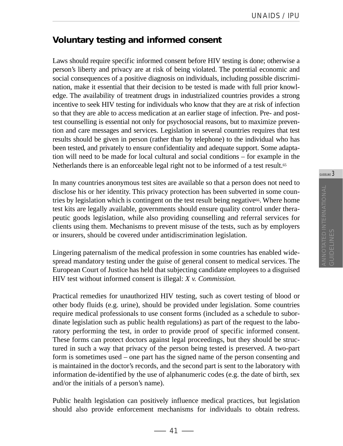# **Voluntary testing and informed consent**

Laws should require specific informed consent before HIV testing is done; otherwise a person's liberty and privacy are at risk of being violated. The potential economic and social consequences of a positive diagnosis on individuals, including possible discrimination, make it essential that their decision to be tested is made with full prior knowledge. The availability of treatment drugs in industrialized countries provides a strong incentive to seek HIV testing for individuals who know that they are at risk of infection so that they are able to access medication at an earlier stage of infection. Pre- and posttest counselling is essential not only for psychosocial reasons, but to maximize prevention and care messages and services. Legislation in several countries requires that test results should be given in person (rather than by telephone) to the individual who has been tested, and privately to ensure confidentiality and adequate support. Some adaptation will need to be made for local cultural and social conditions – for example in the Netherlands there is an enforceable legal right not to be informed of a test result.<sup>65</sup>

In many countries anonymous test sites are available so that a person does not need to disclose his or her identity. This privacy protection has been subverted in some countries by legislation which is contingent on the test result being negative<sup> $66$ </sup>. Where home test kits are legally available, governments should ensure quality control under therapeutic goods legislation, while also providing counselling and referral services for clients using them. Mechanisms to prevent misuse of the tests, such as by employers or insurers, should be covered under antidiscrimination legislation.

Lingering paternalism of the medical profession in some countries has enabled widespread mandatory testing under the guise of general consent to medical services. The European Court of Justice has held that subjecting candidate employees to a disguised HIV test without informed consent is illegal: *X v. Commission.*

Practical remedies for unauthorized HIV testing, such as covert testing of blood or other body fluids (e.g. urine), should be provided under legislation. Some countries require medical professionals to use consent forms (included as a schedule to subordinate legislation such as public health regulations) as part of the request to the laboratory performing the test, in order to provide proof of specific informed consent. These forms can protect doctors against legal proceedings, but they should be structured in such a way that privacy of the person being tested is preserved. A two-part form is sometimes used – one part has the signed name of the person consenting and is maintained in the doctor's records, and the second part is sent to the laboratory with information de-identified by the use of alphanumeric codes (e.g. the date of birth, sex and/or the initials of a person's name).

Public health legislation can positively influence medical practices, but legislation should also provide enforcement mechanisms for individuals to obtain redress.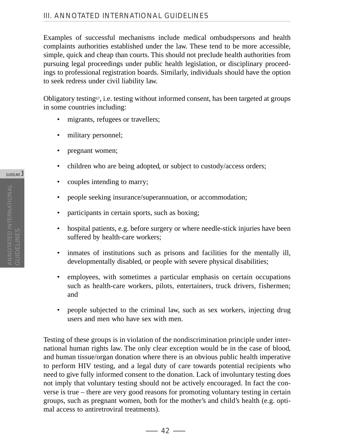Examples of successful mechanisms include medical ombudspersons and health complaints authorities established under the law. These tend to be more accessible, simple, quick and cheap than courts. This should not preclude health authorities from pursuing legal proceedings under public health legislation, or disciplinary proceedings to professional registration boards. Similarly, individuals should have the option to seek redress under civil liability law.

Obligatory testing $\sigma$ , i.e. testing without informed consent, has been targeted at groups in some countries including:

- migrants, refugees or travellers;
- military personnel;
- pregnant women;
- children who are being adopted, or subject to custody/access orders;
- couples intending to marry;
- people seeking insurance/superannuation, or accommodation;
- participants in certain sports, such as boxing:
- hospital patients, e.g. before surgery or where needle-stick injuries have been suffered by health-care workers;
- inmates of institutions such as prisons and facilities for the mentally ill, developmentally disabled, or people with severe physical disabilities;
- employees, with sometimes a particular emphasis on certain occupations such as health-care workers, pilots, entertainers, truck drivers, fishermen; and
- people subjected to the criminal law, such as sex workers, injecting drug users and men who have sex with men.

Testing of these groups is in violation of the nondiscrimination principle under international human rights law. The only clear exception would be in the case of blood, and human tissue/organ donation where there is an obvious public health imperative to perform HIV testing, and a legal duty of care towards potential recipients who need to give fully informed consent to the donation. Lack of involuntary testing does not imply that voluntary testing should not be actively encouraged. In fact the converse is true – there are very good reasons for promoting voluntary testing in certain groups, such as pregnant women, both for the mother's and child's health (e.g. optimal access to antiretroviral treatments).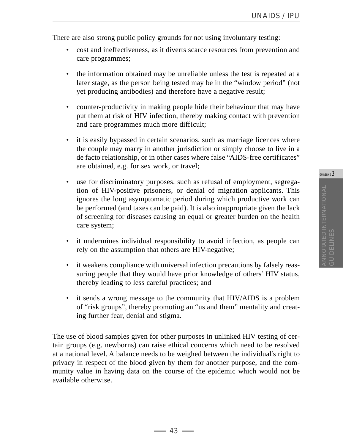There are also strong public policy grounds for not using involuntary testing:

- cost and ineffectiveness, as it diverts scarce resources from prevention and care programmes;
- the information obtained may be unreliable unless the test is repeated at a later stage, as the person being tested may be in the "window period" (not yet producing antibodies) and therefore have a negative result;
- counter-productivity in making people hide their behaviour that may have put them at risk of HIV infection, thereby making contact with prevention and care programmes much more difficult;
- it is easily bypassed in certain scenarios, such as marriage licences where the couple may marry in another jurisdiction or simply choose to live in a de facto relationship, or in other cases where false "AIDS-free certificates" are obtained, e.g. for sex work, or travel;
- use for discriminatory purposes, such as refusal of employment, segregation of HIV-positive prisoners, or denial of migration applicants. This ignores the long asymptomatic period during which productive work can be performed (and taxes can be paid). It is also inappropriate given the lack of screening for diseases causing an equal or greater burden on the health care system;
- it undermines individual responsibility to avoid infection, as people can rely on the assumption that others are HIV-negative;
- it weakens compliance with universal infection precautions by falsely reassuring people that they would have prior knowledge of others' HIV status, thereby leading to less careful practices; and
- it sends a wrong message to the community that HIV/AIDS is a problem of "risk groups", thereby promoting an "us and them" mentality and creating further fear, denial and stigma.

The use of blood samples given for other purposes in unlinked HIV testing of certain groups (e.g. newborns) can raise ethical concerns which need to be resolved at a national level. A balance needs to be weighed between the individual's right to privacy in respect of the blood given by them for another purpose, and the community value in having data on the course of the epidemic which would not be available otherwise.

GUIDELINE<sup>3</sup>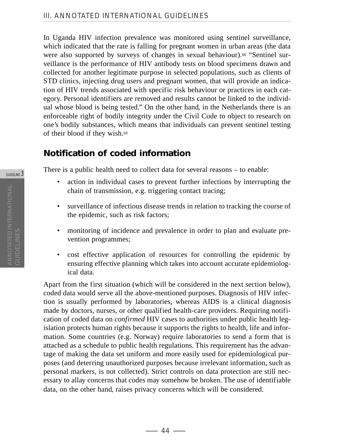In Uganda HIV infection prevalence was monitored using sentinel surveillance, which indicated that the rate is falling for pregnant women in urban areas (the data were also supported by surveys of changes in sexual behaviour).<sup>68</sup> "Sentinel surveillance is the performance of HIV antibody tests on blood specimens drawn and collected for another legitimate purpose in selected populations, such as clients of STD clinics, injecting drug users and pregnant women, that will provide an indication of HIV trends associated with specific risk behaviour or practices in each category. Personal identifiers are removed and results cannot be linked to the individual whose blood is being tested." On the other hand, in the Netherlands there is an enforceable right of bodily integrity under the Civil Code to object to research on one's bodily substances, which means that individuals can prevent sentinel testing of their blood if they wish.69

## **Notification of coded information**

There is a public health need to collect data for several reasons – to enable:

- action in individual cases to prevent further infections by interrupting the chain of transmission, e.g. triggering contact tracing;
- surveillance of infectious disease trends in relation to tracking the course of the epidemic, such as risk factors;
- monitoring of incidence and prevalence in order to plan and evaluate prevention programmes;
- cost effective application of resources for controlling the epidemic by ensuring effective planning which takes into account accurate epidemiological data.

Apart from the first situation (which will be considered in the next section below), coded data would serve all the above-mentioned purposes. Diagnosis of HIV infection is usually performed by laboratories, whereas AIDS is a clinical diagnosis made by doctors, nurses, or other qualified health-care providers. Requiring notification of coded data on *confirmed* HIV cases to authorities under public health legislation protects human rights because it supports the rights to health, life and information. Some countries (e.g. Norway) require laboratories to send a form that is attached as a schedule to public health regulations. This requirement has the advantage of making the data set uniform and more easily used for epidemiological purposes (and deterring unauthorized purposes because irrelevant information, such as personal markers, is not collected). Strict controls on data protection are still necessary to allay concerns that codes may somehow be broken. The use of identifiable data, on the other hand, raises privacy concerns which will be considered.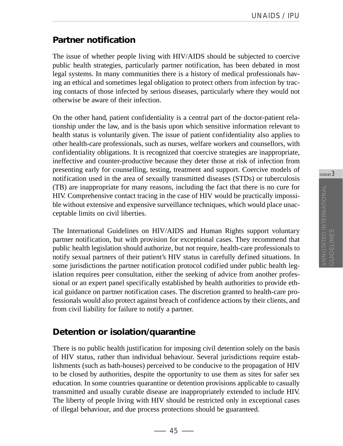# **Partner notification**

The issue of whether people living with HIV/AIDS should be subjected to coercive public health strategies, particularly partner notification, has been debated in most legal systems. In many communities there is a history of medical professionals having an ethical and sometimes legal obligation to protect others from infection by tracing contacts of those infected by serious diseases, particularly where they would not otherwise be aware of their infection.

On the other hand, patient confidentiality is a central part of the doctor-patient relationship under the law, and is the basis upon which sensitive information relevant to health status is voluntarily given. The issue of patient confidentiality also applies to other health-care professionals, such as nurses, welfare workers and counsellors, with confidentiality obligations. It is recognized that coercive strategies are inappropriate, ineffective and counter-productive because they deter those at risk of infection from presenting early for counselling, testing, treatment and support. Coercive models of notification used in the area of sexually transmitted diseases (STDs) or tuberculosis (TB) are inappropriate for many reasons, including the fact that there is no cure for HIV. Comprehensive contact tracing in the case of HIV would be practically impossible without extensive and expensive surveillance techniques, which would place unacceptable limits on civil liberties.

The International Guidelines on HIV/AIDS and Human Rights support voluntary partner notification, but with provision for exceptional cases. They recommend that public health legislation should authorize, but not require, health-care professionals to notify sexual partners of their patient's HIV status in carefully defined situations. In some jurisdictions the partner notification protocol codified under public health legislation requires peer consultation, either the seeking of advice from another professional or an expert panel specifically established by health authorities to provide ethical guidance on partner notification cases. The discretion granted to health-care professionals would also protect against breach of confidence actions by their clients, and from civil liability for failure to notify a partner.

# **Detention or isolation/quarantine**

There is no public health justification for imposing civil detention solely on the basis of HIV status, rather than individual behaviour. Several jurisdictions require establishments (such as bath-houses) perceived to be conducive to the propagation of HIV to be closed by authorities, despite the opportunity to use them as sites for safer sex education. In some countries quarantine or detention provisions applicable to casually transmitted and usually curable disease are inappropriately extended to include HIV. The liberty of people living with HIV should be restricted only in exceptional cases of illegal behaviour, and due process protections should be guaranteed.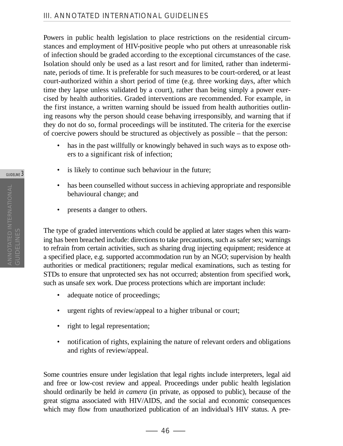Powers in public health legislation to place restrictions on the residential circumstances and employment of HIV-positive people who put others at unreasonable risk of infection should be graded according to the exceptional circumstances of the case. Isolation should only be used as a last resort and for limited, rather than indeterminate, periods of time. It is preferable for such measures to be court-ordered, or at least court-authorized within a short period of time (e.g. three working days, after which time they lapse unless validated by a court), rather than being simply a power exercised by health authorities. Graded interventions are recommended. For example, in the first instance, a written warning should be issued from health authorities outlining reasons why the person should cease behaving irresponsibly, and warning that if they do not do so, formal proceedings will be instituted. The criteria for the exercise of coercive powers should be structured as objectively as possible – that the person:

- has in the past willfully or knowingly behaved in such ways as to expose others to a significant risk of infection;
- is likely to continue such behaviour in the future;
- has been counselled without success in achieving appropriate and responsible behavioural change; and
- presents a danger to others.

The type of graded interventions which could be applied at later stages when this warning has been breached include: directions to take precautions, such as safer sex; warnings to refrain from certain activities, such as sharing drug injecting equipment; residence at a specified place, e.g. supported accommodation run by an NGO; supervision by health authorities or medical practitioners; regular medical examinations, such as testing for STDs to ensure that unprotected sex has not occurred; abstention from specified work, such as unsafe sex work. Due process protections which are important include:

- adequate notice of proceedings;
- urgent rights of review/appeal to a higher tribunal or court;
- right to legal representation;
- notification of rights, explaining the nature of relevant orders and obligations and rights of review/appeal.

Some countries ensure under legislation that legal rights include interpreters, legal aid and free or low-cost review and appeal. Proceedings under public health legislation should ordinarily be held *in camera* (in private, as opposed to public), because of the great stigma associated with HIV/AIDS, and the social and economic consequences which may flow from unauthorized publication of an individual's HIV status. A pre-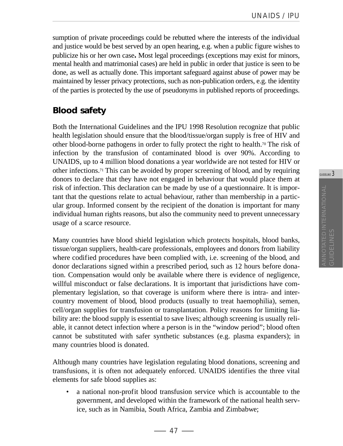sumption of private proceedings could be rebutted where the interests of the individual and justice would be best served by an open hearing, e.g. when a public figure wishes to publicize his or her own case**.** Most legal proceedings (exceptions may exist for minors, mental health and matrimonial cases) are held in public in order that justice is seen to be done, as well as actually done. This important safeguard against abuse of power may be maintained by lesser privacy protections, such as non-publication orders, e.g. the identity of the parties is protected by the use of pseudonyms in published reports of proceedings.

# **Blood safety**

Both the International Guidelines and the IPU 1998 Resolution recognize that public health legislation should ensure that the blood/tissue/organ supply is free of HIV and other blood-borne pathogens in order to fully protect the right to health.<sup>70</sup> The risk of infection by the transfusion of contaminated blood is over 90%. According to UNAIDS, up to 4 million blood donations a year worldwide are not tested for HIV or other infections.71 This can be avoided by proper screening of blood, and by requiring donors to declare that they have not engaged in behaviour that would place them at risk of infection. This declaration can be made by use of a questionnaire. It is important that the questions relate to actual behaviour, rather than membership in a particular group. Informed consent by the recipient of the donation is important for many individual human rights reasons, but also the community need to prevent unnecessary usage of a scarce resource.

Many countries have blood shield legislation which protects hospitals, blood banks, tissue/organ suppliers, health-care professionals, employees and donors from liability where codified procedures have been complied with, i.e. screening of the blood, and donor declarations signed within a prescribed period, such as 12 hours before donation. Compensation would only be available where there is evidence of negligence, willful misconduct or false declarations. It is important that jurisdictions have complementary legislation, so that coverage is uniform where there is intra- and intercountry movement of blood, blood products (usually to treat haemophilia), semen, cell/organ supplies for transfusion or transplantation. Policy reasons for limiting liability are: the blood supply is essential to save lives; although screening is usually reliable, it cannot detect infection where a person is in the "window period"; blood often cannot be substituted with safer synthetic substances (e.g. plasma expanders); in many countries blood is donated.

Although many countries have legislation regulating blood donations, screening and transfusions, it is often not adequately enforced. UNAIDS identifies the three vital elements for safe blood supplies as:

• a national non-profit blood transfusion service which is accountable to the government, and developed within the framework of the national health service, such as in Namibia, South Africa, Zambia and Zimbabwe;

GUIDELINE<sup>3</sup>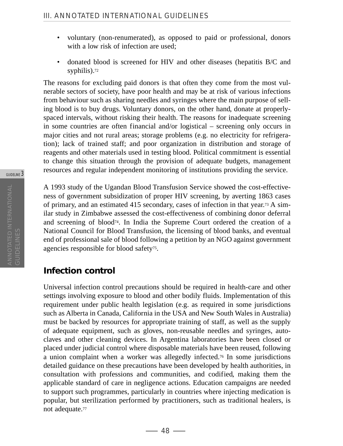- voluntary (non-renumerated), as opposed to paid or professional, donors with a low risk of infection are used;
- donated blood is screened for HIV and other diseases (hepatitis B/C and syphilis).<sup>72</sup>

The reasons for excluding paid donors is that often they come from the most vulnerable sectors of society, have poor health and may be at risk of various infections from behaviour such as sharing needles and syringes where the main purpose of selling blood is to buy drugs. Voluntary donors, on the other hand, donate at properlyspaced intervals, without risking their health. The reasons for inadequate screening in some countries are often financial and/or logistical – screening only occurs in major cities and not rural areas; storage problems (e.g. no electricity for refrigeration); lack of trained staff; and poor organization in distribution and storage of reagents and other materials used in testing blood. Political commitment is essential to change this situation through the provision of adequate budgets, management resources and regular independent monitoring of institutions providing the service.

A 1993 study of the Ugandan Blood Transfusion Service showed the cost-effectiveness of government subsidization of proper HIV screening, by averting 1863 cases of primary, and an estimated 415 secondary, cases of infection in that year.73 A similar study in Zimbabwe assessed the cost-effectiveness of combining donor deferral and screening of blood74. In India the Supreme Court ordered the creation of a National Council for Blood Transfusion, the licensing of blood banks, and eventual end of professional sale of blood following a petition by an NGO against government agencies responsible for blood safety75.

#### **Infection control**

Universal infection control precautions should be required in health-care and other settings involving exposure to blood and other bodily fluids. Implementation of this requirement under public health legislation (e.g. as required in some jurisdictions such as Alberta in Canada, California in the USA and New South Wales in Australia) must be backed by resources for appropriate training of staff, as well as the supply of adequate equipment, such as gloves, non-reusable needles and syringes, autoclaves and other cleaning devices. In Argentina laboratories have been closed or placed under judicial control where disposable materials have been reused, following a union complaint when a worker was allegedly infected.76 In some jurisdictions detailed guidance on these precautions have been developed by health authorities, in consultation with professions and communities, and codified, making them the applicable standard of care in negligence actions. Education campaigns are needed to support such programmes, particularly in countries where injecting medication is popular, but sterilization performed by practitioners, such as traditional healers, is not adequate.77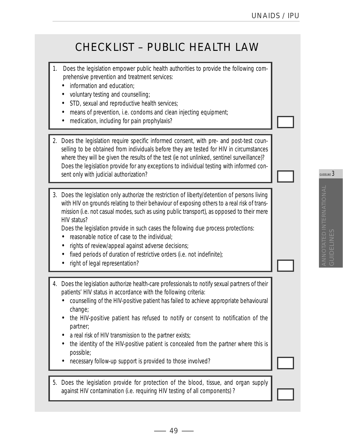# CHECKLIST – PUBLIC HEALTH LAW

- Does the legislation empower public health authorities to provide the following comprehensive prevention and treatment services:
	- information and education:
	- voluntary testing and counselling;
	- STD, sexual and reproductive health services;
	- means of prevention, i.e. condoms and clean injecting equipment;
	- medication, including for pain prophylaxis?
- 2. Does the legislation require specific informed consent, with pre- and post-test counselling to be obtained from individuals before they are tested for HIV in circumstances where they will be given the results of the test (ie not unlinked, sentinel surveillance)? Does the legislation provide for any exceptions to individual testing with informed consent only with judicial authorization?
- 3. Does the legislation only authorize the restriction of liberty/detention of persons living with HIV on grounds relating to their behaviour of exposing others to a real risk of transmission (i.e. not casual modes, such as using public transport), as opposed to their mere HIV status?

Does the legislation provide in such cases the following due process protections:

- reasonable notice of case to the individual:
- rights of review/appeal against adverse decisions;
- fixed periods of duration of restrictive orders (i.e. not indefinite);
- right of legal representation?
- 4. Does the legislation authorize health-care professionals to notify sexual partners of their patients' HIV status in accordance with the following criteria:
	- counselling of the HIV-positive patient has failed to achieve appropriate behavioural change;
	- the HIV-positive patient has refused to notify or consent to notification of the partner;
	- a real risk of HIV transmission to the partner exists;
	- the identity of the HIV-positive patient is concealed from the partner where this is possible;
	- necessary follow-up support is provided to those involved?
- 5. Does the legislation provide for protection of the blood, tissue, and organ supply against HIV contamination (i.e. requiring HIV testing of all components) ?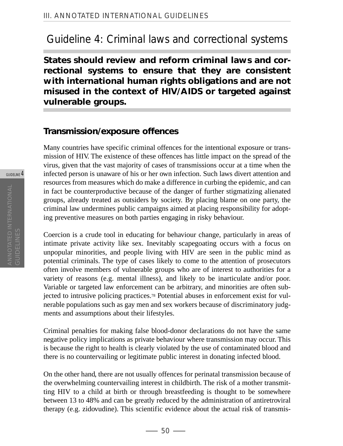# Guideline 4: Criminal laws and correctional systems

**States should review and reform criminal laws and correctional systems to ensure that they are consistent with international human rights obligations and are not misused in the context of HIV/AIDS or targeted against vulnerable groups.** 

### **Transmission/exposure offences**

Many countries have specific criminal offences for the intentional exposure or transmission of HIV. The existence of these offences has little impact on the spread of the virus, given that the vast majority of cases of transmissions occur at a time when the infected person is unaware of his or her own infection. Such laws divert attention and resources from measures which do make a difference in curbing the epidemic, and can in fact be counterproductive because of the danger of further stigmatizing alienated groups, already treated as outsiders by society. By placing blame on one party, the criminal law undermines public campaigns aimed at placing responsibility for adopting preventive measures on both parties engaging in risky behaviour.

Coercion is a crude tool in educating for behaviour change, particularly in areas of intimate private activity like sex. Inevitably scapegoating occurs with a focus on unpopular minorities, and people living with HIV are seen in the public mind as potential criminals. The type of cases likely to come to the attention of prosecutors often involve members of vulnerable groups who are of interest to authorities for a variety of reasons (e.g. mental illness), and likely to be inarticulate and/or poor. Variable or targeted law enforcement can be arbitrary, and minorities are often subjected to intrusive policing practices.78 Potential abuses in enforcement exist for vulnerable populations such as gay men and sex workers because of discriminatory judgments and assumptions about their lifestyles.

Criminal penalties for making false blood-donor declarations do not have the same negative policy implications as private behaviour where transmission may occur. This is because the right to health is clearly violated by the use of contaminated blood and there is no countervailing or legitimate public interest in donating infected blood.

On the other hand, there are not usually offences for perinatal transmission because of the overwhelming countervailing interest in childbirth. The risk of a mother transmitting HIV to a child at birth or through breastfeeding is thought to be somewhere between 13 to 48% and can be greatly reduced by the administration of antiretroviral therapy (e.g. zidovudine). This scientific evidence about the actual risk of transmis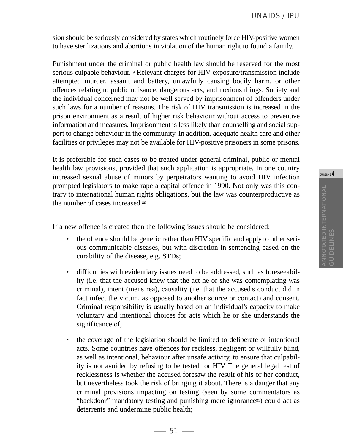sion should be seriously considered by states which routinely force HIV-positive women to have sterilizations and abortions in violation of the human right to found a family.

Punishment under the criminal or public health law should be reserved for the most serious culpable behaviour.<sup>79</sup> Relevant charges for HIV exposure/transmission include attempted murder, assault and battery, unlawfully causing bodily harm, or other offences relating to public nuisance, dangerous acts, and noxious things. Society and the individual concerned may not be well served by imprisonment of offenders under such laws for a number of reasons. The risk of HIV transmission is increased in the prison environment as a result of higher risk behaviour without access to preventive information and measures. Imprisonment is less likely than counselling and social support to change behaviour in the community. In addition, adequate health care and other facilities or privileges may not be available for HIV-positive prisoners in some prisons.

It is preferable for such cases to be treated under general criminal, public or mental health law provisions, provided that such application is appropriate. In one country increased sexual abuse of minors by perpetrators wanting to avoid HIV infection prompted legislators to make rape a capital offence in 1990. Not only was this contrary to international human rights obligations, but the law was counterproductive as the number of cases increased.80

If a new offence is created then the following issues should be considered:

- the offence should be generic rather than HIV specific and apply to other serious communicable diseases, but with discretion in sentencing based on the curability of the disease, e.g. STDs;
- difficulties with evidentiary issues need to be addressed, such as foreseeability (i.e. that the accused knew that the act he or she was contemplating was criminal), intent (mens rea), causality (i.e. that the accused's conduct did in fact infect the victim, as opposed to another source or contact) and consent. Criminal responsibility is usually based on an individual's capacity to make voluntary and intentional choices for acts which he or she understands the significance of;
- the coverage of the legislation should be limited to deliberate or intentional acts. Some countries have offences for reckless, negligent or willfully blind, as well as intentional, behaviour after unsafe activity, to ensure that culpability is not avoided by refusing to be tested for HIV. The general legal test of recklessness is whether the accused foresaw the result of his or her conduct, but nevertheless took the risk of bringing it about. There is a danger that any criminal provisions impacting on testing (seen by some commentators as "backdoor" mandatory testing and punishing mere ignorance<sup>81</sup>) could act as deterrents and undermine public health;

GUIDELINE<sup>4</sup>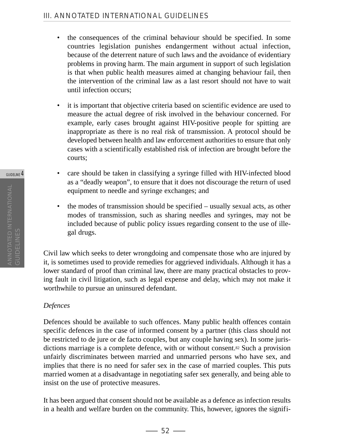- the consequences of the criminal behaviour should be specified. In some countries legislation punishes endangerment without actual infection, because of the deterrent nature of such laws and the avoidance of evidentiary problems in proving harm. The main argument in support of such legislation is that when public health measures aimed at changing behaviour fail, then the intervention of the criminal law as a last resort should not have to wait until infection occurs;
- it is important that objective criteria based on scientific evidence are used to measure the actual degree of risk involved in the behaviour concerned. For example, early cases brought against HIV-positive people for spitting are inappropriate as there is no real risk of transmission. A protocol should be developed between health and law enforcement authorities to ensure that only cases with a scientifically established risk of infection are brought before the courts;
- care should be taken in classifying a syringe filled with HIV-infected blood as a "deadly weapon", to ensure that it does not discourage the return of used equipment to needle and syringe exchanges; and
- the modes of transmission should be specified usually sexual acts, as other modes of transmission, such as sharing needles and syringes, may not be included because of public policy issues regarding consent to the use of illegal drugs.

Civil law which seeks to deter wrongdoing and compensate those who are injured by it, is sometimes used to provide remedies for aggrieved individuals. Although it has a lower standard of proof than criminal law, there are many practical obstacles to proving fault in civil litigation, such as legal expense and delay, which may not make it worthwhile to pursue an uninsured defendant.

#### *Defences*

Defences should be available to such offences. Many public health offences contain specific defences in the case of informed consent by a partner (this class should not be restricted to de jure or de facto couples, but any couple having sex). In some jurisdictions marriage is a complete defence, with or without consent.82 Such a provision unfairly discriminates between married and unmarried persons who have sex, and implies that there is no need for safer sex in the case of married couples. This puts married women at a disadvantage in negotiating safer sex generally, and being able to insist on the use of protective measures.

It has been argued that consent should not be available as a defence as infection results in a health and welfare burden on the community. This, however, ignores the signifi-

GUIDELINE<sup>4</sup>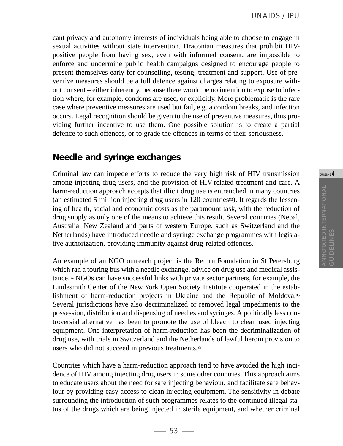ANNOTATED INTERNATIONAL

GUIDELINE<sup>4</sup>

GUIDELINES

**ANNOTATED IN**<br>GUIDELINES

cant privacy and autonomy interests of individuals being able to choose to engage in sexual activities without state intervention. Draconian measures that prohibit HIVpositive people from having sex, even with informed consent, are impossible to enforce and undermine public health campaigns designed to encourage people to present themselves early for counselling, testing, treatment and support. Use of preventive measures should be a full defence against charges relating to exposure without consent – either inherently, because there would be no intention to expose to infection where, for example, condoms are used, or explicitly. More problematic is the rare case where preventive measures are used but fail, e.g. a condom breaks, and infection occurs. Legal recognition should be given to the use of preventive measures, thus providing further incentive to use them. One possible solution is to create a partial defence to such offences, or to grade the offences in terms of their seriousness.

## **Needle and syringe exchanges**

Criminal law can impede efforts to reduce the very high risk of HIV transmission among injecting drug users, and the provision of HIV-related treatment and care. A harm-reduction approach accepts that illicit drug use is entrenched in many countries (an estimated 5 million injecting drug users in  $120$  countries<sup>83</sup>). It regards the lessening of health, social and economic costs as the paramount task, with the reduction of drug supply as only one of the means to achieve this result. Several countries (Nepal, Australia, New Zealand and parts of western Europe, such as Switzerland and the Netherlands) have introduced needle and syringe exchange programmes with legislative authorization, providing immunity against drug-related offences.

An example of an NGO outreach project is the Return Foundation in St Petersburg which ran a touring bus with a needle exchange, advice on drug use and medical assistance.84 NGOs can have successful links with private sector partners, for example, the Lindesmith Center of the New York Open Society Institute cooperated in the establishment of harm-reduction projects in Ukraine and the Republic of Moldova.85 Several jurisdictions have also decriminalized or removed legal impediments to the possession, distribution and dispensing of needles and syringes. A politically less controversial alternative has been to promote the use of bleach to clean used injecting equipment. One interpretation of harm-reduction has been the decriminalization of drug use, with trials in Switzerland and the Netherlands of lawful heroin provision to users who did not succeed in previous treatments.86

Countries which have a harm-reduction approach tend to have avoided the high incidence of HIV among injecting drug users in some other countries. This approach aims to educate users about the need for safe injecting behaviour, and facilitate safe behaviour by providing easy access to clean injecting equipment. The sensitivity in debate surrounding the introduction of such programmes relates to the continued illegal status of the drugs which are being injected in sterile equipment, and whether criminal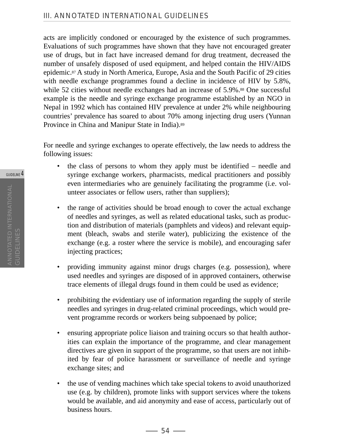acts are implicitly condoned or encouraged by the existence of such programmes. Evaluations of such programmes have shown that they have not encouraged greater use of drugs, but in fact have increased demand for drug treatment, decreased the number of unsafely disposed of used equipment, and helped contain the HIV/AIDS epidemic.87 A study in North America, Europe, Asia and the South Pacific of 29 cities with needle exchange programmes found a decline in incidence of HIV by 5.8%, while 52 cities without needle exchanges had an increase of 5.9%.<sup>88</sup> One successful example is the needle and syringe exchange programme established by an NGO in Nepal in 1992 which has contained HIV prevalence at under 2% while neighbouring countries' prevalence has soared to about 70% among injecting drug users (Yunnan Province in China and Manipur State in India).<sup>89</sup>

For needle and syringe exchanges to operate effectively, the law needs to address the following issues:

- the class of persons to whom they apply must be identified needle and syringe exchange workers, pharmacists, medical practitioners and possibly even intermediaries who are genuinely facilitating the programme (i.e. volunteer associates or fellow users, rather than suppliers);
- the range of activities should be broad enough to cover the actual exchange of needles and syringes, as well as related educational tasks, such as production and distribution of materials (pamphlets and videos) and relevant equipment (bleach, swabs and sterile water), publicizing the existence of the exchange (e.g. a roster where the service is mobile), and encouraging safer injecting practices;
- providing immunity against minor drugs charges (e.g. possession), where used needles and syringes are disposed of in approved containers, otherwise trace elements of illegal drugs found in them could be used as evidence;
- prohibiting the evidentiary use of information regarding the supply of sterile needles and syringes in drug-related criminal proceedings, which would prevent programme records or workers being subpoenaed by police;
- ensuring appropriate police liaison and training occurs so that health authorities can explain the importance of the programme, and clear management directives are given in support of the programme, so that users are not inhibited by fear of police harassment or surveillance of needle and syringe exchange sites; and
- the use of vending machines which take special tokens to avoid unauthorized use (e.g. by children), promote links with support services where the tokens would be available, and aid anonymity and ease of access, particularly out of business hours.

GUIDELINE<sup>4</sup>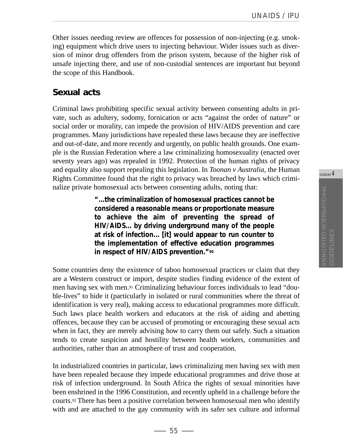Other issues needing review are offences for possession of non-injecting (e.g. smoking) equipment which drive users to injecting behaviour. Wider issues such as diversion of minor drug offenders from the prison system, because of the higher risk of unsafe injecting there, and use of non-custodial sentences are important but beyond the scope of this Handbook.

## **Sexual acts**

Criminal laws prohibiting specific sexual activity between consenting adults in private, such as adultery, sodomy, fornication or acts "against the order of nature" or social order or morality, can impede the provision of HIV/AIDS prevention and care programmes. Many jurisdictions have repealed these laws because they are ineffective and out-of-date, and more recently and urgently, on public health grounds. One example is the Russian Federation where a law criminalizing homosexuality (enacted over seventy years ago) was repealed in 1992. Protection of the human rights of privacy and equality also support repealing this legislation. In *Toonan v Australia,* the Human Rights Committee found that the right to privacy was breached by laws which criminalize private homosexual acts between consenting adults, noting that:

> **"...the criminalization of homosexual practices cannot be considered a reasonable means or proportionate measure to achieve the aim of preventing the spread of HIV/AIDS... by driving underground many of the people at risk of infection... [it] would appear to run counter to the implementation of effective education programmes in respect of HIV/AIDS prevention."90**

Some countries deny the existence of taboo homosexual practices or claim that they are a Western construct or import, despite studies finding evidence of the extent of men having sex with men.91 Criminalizing behaviour forces individuals to lead "double-lives" to hide it (particularly in isolated or rural communities where the threat of identification is very real), making access to educational programmes more difficult. Such laws place health workers and educators at the risk of aiding and abetting offences, because they can be accused of promoting or encouraging these sexual acts when in fact, they are merely advising how to carry them out safely. Such a situation tends to create suspicion and hostility between health workers, communities and authorities, rather than an atmosphere of trust and cooperation.

In industrialized countries in particular, laws criminalizing men having sex with men have been repealed because they impede educational programmes and drive those at risk of infection underground. In South Africa the rights of sexual minorities have been enshrined in the 1996 Constitution, and recently upheld in a challenge before the courts.92 There has been a positive correlation between homosexual men who identify with and are attached to the gay community with its safer sex culture and informal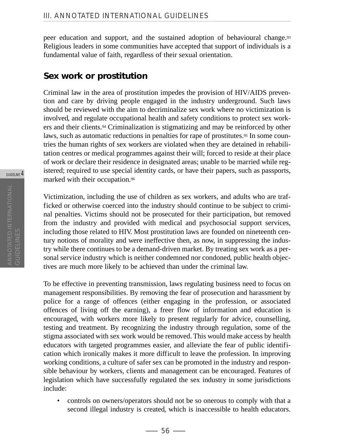peer education and support, and the sustained adoption of behavioural change.93 Religious leaders in some communities have accepted that support of individuals is a fundamental value of faith, regardless of their sexual orientation.

## **Sex work or prostitution**

Criminal law in the area of prostitution impedes the provision of HIV/AIDS prevention and care by driving people engaged in the industry underground. Such laws should be reviewed with the aim to decriminalize sex work where no victimization is involved, and regulate occupational health and safety conditions to protect sex workers and their clients.94 Criminalization is stigmatizing and may be reinforced by other laws, such as automatic reductions in penalties for rape of prostitutes.<sup>95</sup> In some countries the human rights of sex workers are violated when they are detained in rehabilitation centres or medical programmes against their will; forced to reside at their place of work or declare their residence in designated areas; unable to be married while registered; required to use special identity cards, or have their papers, such as passports, marked with their occupation.96

Victimization, including the use of children as sex workers, and adults who are trafficked or otherwise coerced into the industry should continue to be subject to criminal penalties. Victims should not be prosecuted for their participation, but removed from the industry and provided with medical and psychosocial support services, including those related to HIV. Most prostitution laws are founded on nineteenth century notions of morality and were ineffective then, as now, in suppressing the industry while there continues to be a demand-driven market. By treating sex work as a personal service industry which is neither condemned nor condoned, public health objectives are much more likely to be achieved than under the criminal law.

To be effective in preventing transmission, laws regulating business need to focus on management responsibilities. By removing the fear of prosecution and harassment by police for a range of offences (either engaging in the profession, or associated offences of living off the earning), a freer flow of information and education is encouraged, with workers more likely to present regularly for advice, counselling, testing and treatment. By recognizing the industry through regulation, some of the stigma associated with sex work would be removed. This would make access by health educators with targeted programmes easier, and alleviate the fear of public identification which ironically makes it more difficult to leave the profession. In improving working conditions, a culture of safer sex can be promoted in the industry and responsible behaviour by workers, clients and management can be encouraged. Features of legislation which have successfully regulated the sex industry in some jurisdictions include:

• controls on owners/operators should not be so onerous to comply with that a second illegal industry is created, which is inaccessible to health educators.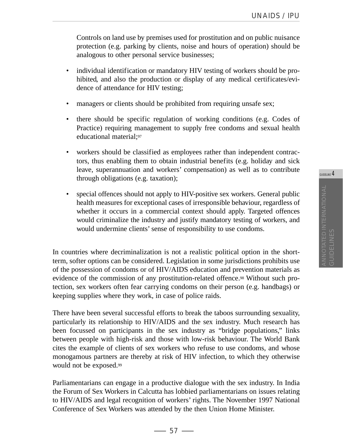Controls on land use by premises used for prostitution and on public nuisance protection (e.g. parking by clients, noise and hours of operation) should be analogous to other personal service businesses;

- individual identification or mandatory HIV testing of workers should be prohibited, and also the production or display of any medical certificates/evidence of attendance for HIV testing;
- managers or clients should be prohibited from requiring unsafe sex;
- there should be specific regulation of working conditions (e.g. Codes of Practice) requiring management to supply free condoms and sexual health educational material;97
- workers should be classified as employees rather than independent contractors, thus enabling them to obtain industrial benefits (e.g. holiday and sick leave, superannuation and workers' compensation) as well as to contribute through obligations (e.g. taxation);
- special offences should not apply to HIV-positive sex workers. General public health measures for exceptional cases of irresponsible behaviour, regardless of whether it occurs in a commercial context should apply. Targeted offences would criminalize the industry and justify mandatory testing of workers, and would undermine clients' sense of responsibility to use condoms.

In countries where decriminalization is not a realistic political option in the shortterm, softer options can be considered. Legislation in some jurisdictions prohibits use of the possession of condoms or of HIV/AIDS education and prevention materials as evidence of the commission of any prostitution-related offence.98 Without such protection, sex workers often fear carrying condoms on their person (e.g. handbags) or keeping supplies where they work, in case of police raids.

There have been several successful efforts to break the taboos surrounding sexuality, particularly its relationship to HIV/AIDS and the sex industry. Much research has been focussed on participants in the sex industry as "bridge populations," links between people with high-risk and those with low-risk behaviour. The World Bank cites the example of clients of sex workers who refuse to use condoms, and whose monogamous partners are thereby at risk of HIV infection, to which they otherwise would not be exposed.99

Parliamentarians can engage in a productive dialogue with the sex industry. In India the Forum of Sex Workers in Calcutta has lobbied parliamentarians on issues relating to HIV/AIDS and legal recognition of workers' rights. The November 1997 National Conference of Sex Workers was attended by the then Union Home Minister.

GUIDELINE<sup>4</sup>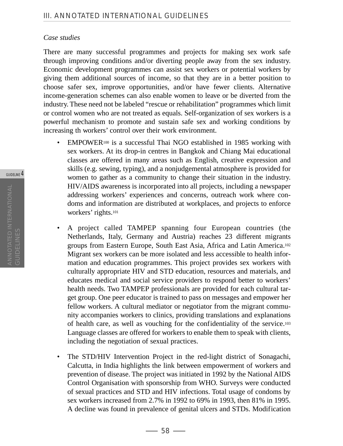#### *Case studies*

There are many successful programmes and projects for making sex work safe through improving conditions and/or diverting people away from the sex industry. Economic development programmes can assist sex workers or potential workers by giving them additional sources of income, so that they are in a better position to choose safer sex, improve opportunities, and/or have fewer clients. Alternative income-generation schemes can also enable women to leave or be diverted from the industry. These need not be labeled "rescue or rehabilitation" programmes which limit or control women who are not treated as equals. Self-organization of sex workers is a powerful mechanism to promote and sustain safe sex and working conditions by increasing th workers' control over their work environment.

- EMPOWER<sup>100</sup> is a successful Thai NGO established in 1985 working with sex workers. At its drop-in centres in Bangkok and Chiang Mai educational classes are offered in many areas such as English, creative expression and skills (e.g. sewing, typing), and a nonjudgemental atmosphere is provided for women to gather as a community to change their situation in the industry. HIV/AIDS awareness is incorporated into all projects, including a newspaper addressing workers' experiences and concerns, outreach work where condoms and information are distributed at workplaces, and projects to enforce workers' rights.101
- A project called TAMPEP spanning four European countries (the Netherlands, Italy, Germany and Austria) reaches 23 different migrants groups from Eastern Europe, South East Asia, Africa and Latin America.102 Migrant sex workers can be more isolated and less accessible to health information and education programmes. This project provides sex workers with culturally appropriate HIV and STD education, resources and materials, and educates medical and social service providers to respond better to workers' health needs. Two TAMPEP professionals are provided for each cultural target group. One peer educator is trained to pass on messages and empower her fellow workers. A cultural mediator or negotiator from the migrant community accompanies workers to clinics, providing translations and explanations of health care, as well as vouching for the confidentiality of the service.103 Language classes are offered for workers to enable them to speak with clients, including the negotiation of sexual practices.
- The STD/HIV Intervention Project in the red-light district of Sonagachi, Calcutta, in India highlights the link between empowerment of workers and prevention of disease. The project was initiated in 1992 by the National AIDS Control Organisation with sponsorship from WHO. Surveys were conducted of sexual practices and STD and HIV infections. Total usage of condoms by sex workers increased from 2.7% in 1992 to 69% in 1993, then 81% in 1995. A decline was found in prevalence of genital ulcers and STDs. Modification

GUIDELINE<sup>4</sup>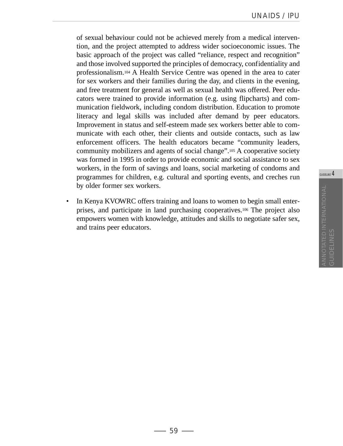of sexual behaviour could not be achieved merely from a medical intervention, and the project attempted to address wider socioeconomic issues. The basic approach of the project was called "reliance, respect and recognition" and those involved supported the principles of democracy, confidentiality and professionalism.104 A Health Service Centre was opened in the area to cater for sex workers and their families during the day, and clients in the evening, and free treatment for general as well as sexual health was offered. Peer educators were trained to provide information (e.g. using flipcharts) and communication fieldwork, including condom distribution. Education to promote literacy and legal skills was included after demand by peer educators. Improvement in status and self-esteem made sex workers better able to communicate with each other, their clients and outside contacts, such as law enforcement officers. The health educators became "community leaders, community mobilizers and agents of social change".105 A cooperative society was formed in 1995 in order to provide economic and social assistance to sex workers, in the form of savings and loans, social marketing of condoms and programmes for children, e.g. cultural and sporting events, and creches run by older former sex workers.

In Kenya KVOWRC offers training and loans to women to begin small enterprises, and participate in land purchasing cooperatives.106 The project also empowers women with knowledge, attitudes and skills to negotiate safer sex, and trains peer educators.

GUIDELINE<sup>4</sup>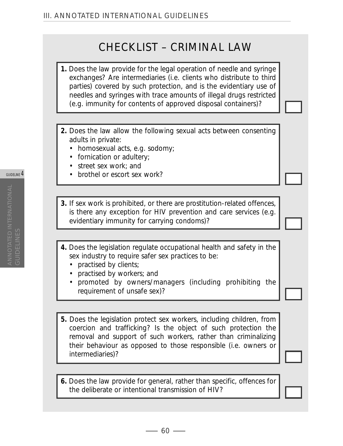# CHECKLIST – CRIMINAL LAW

- **1.** Does the law provide for the legal operation of needle and syringe exchanges? Are intermediaries (i.e. clients who distribute to third parties) covered by such protection, and is the evidentiary use of needles and syringes with trace amounts of illegal drugs restricted (e.g. immunity for contents of approved disposal containers)?
- **2.** Does the law allow the following sexual acts between consenting adults in private:
	- homosexual acts, e.g. sodomy;
	- fornication or adultery;
	- street sex work; and
	- brothel or escort sex work?
- **3.** If sex work is prohibited, or there are prostitution-related offences, is there any exception for HIV prevention and care services (e.g. evidentiary immunity for carrying condoms)?
- **4.** Does the legislation regulate occupational health and safety in the sex industry to require safer sex practices to be:
	- practised by clients;
	- practised by workers; and
	- promoted by owners/managers (including prohibiting the requirement of unsafe sex)?
- **5.** Does the legislation protect sex workers, including children, from coercion and trafficking? Is the object of such protection the removal and support of such workers, rather than criminalizing their behaviour as opposed to those responsible (i.e. owners or intermediaries)?
- **6.** Does the law provide for general, rather than specific, offences for the deliberate or intentional transmission of HIV?

#### GUIDELINE<sup>4</sup>

ANNOTATED INTERNATIONAL NNOTATED INTERNATIONAL<br>UIDELINES GUIDELINES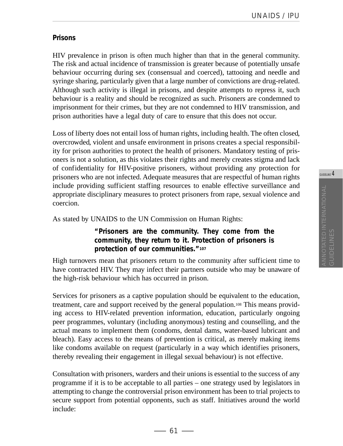## **Prisons**

HIV prevalence in prison is often much higher than that in the general community. The risk and actual incidence of transmission is greater because of potentially unsafe behaviour occurring during sex (consensual and coerced), tattooing and needle and syringe sharing, particularly given that a large number of convictions are drug-related. Although such activity is illegal in prisons, and despite attempts to repress it, such behaviour is a reality and should be recognized as such. Prisoners are condemned to imprisonment for their crimes, but they are not condemned to HIV transmission, and prison authorities have a legal duty of care to ensure that this does not occur.

Loss of liberty does not entail loss of human rights, including health. The often closed, overcrowded, violent and unsafe environment in prisons creates a special responsibility for prison authorities to protect the health of prisoners. Mandatory testing of prisoners is not a solution, as this violates their rights and merely creates stigma and lack of confidentiality for HIV-positive prisoners, without providing any protection for prisoners who are not infected. Adequate measures that are respectful of human rights include providing sufficient staffing resources to enable effective surveillance and appropriate disciplinary measures to protect prisoners from rape, sexual violence and coercion.

As stated by UNAIDS to the UN Commission on Human Rights:

#### **"Prisoners are the community. They come from the community, they return to it. Protection of prisoners is protection of our communities."107**

High turnovers mean that prisoners return to the community after sufficient time to have contracted HIV. They may infect their partners outside who may be unaware of the high-risk behaviour which has occurred in prison.

Services for prisoners as a captive population should be equivalent to the education, treatment, care and support received by the general population.108 This means providing access to HIV-related prevention information, education, particularly ongoing peer programmes, voluntary (including anonymous) testing and counselling, and the actual means to implement them (condoms, dental dams, water-based lubricant and bleach). Easy access to the means of prevention is critical, as merely making items like condoms available on request (particularly in a way which identifies prisoners, thereby revealing their engagement in illegal sexual behaviour) is not effective.

Consultation with prisoners, warders and their unions is essential to the success of any programme if it is to be acceptable to all parties – one strategy used by legislators in attempting to change the controversial prison environment has been to trial projects to secure support from potential opponents, such as staff. Initiatives around the world include: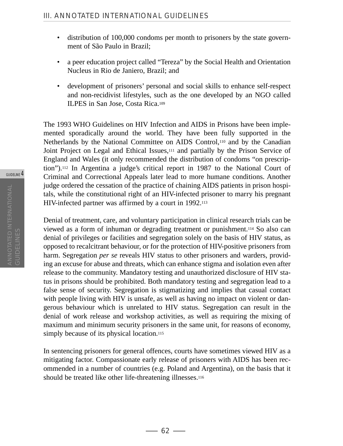- distribution of 100,000 condoms per month to prisoners by the state government of São Paulo in Brazil;
- a peer education project called "Tereza" by the Social Health and Orientation Nucleus in Rio de Janiero, Brazil; and
- development of prisoners' personal and social skills to enhance self-respect and non-recidivist lifestyles, such as the one developed by an NGO called ILPES in San Jose, Costa Rica.109

The 1993 WHO Guidelines on HIV Infection and AIDS in Prisons have been implemented sporadically around the world. They have been fully supported in the Netherlands by the National Committee on AIDS Control,110 and by the Canadian Joint Project on Legal and Ethical Issues,111 and partially by the Prison Service of England and Wales (it only recommended the distribution of condoms "on prescription").112 In Argentina a judge's critical report in 1987 to the National Court of Criminal and Correctional Appeals later lead to more humane conditions. Another judge ordered the cessation of the practice of chaining AIDS patients in prison hospitals, while the constitutional right of an HIV-infected prisoner to marry his pregnant HIV-infected partner was affirmed by a court in 1992.113

Denial of treatment, care, and voluntary participation in clinical research trials can be viewed as a form of inhuman or degrading treatment or punishment.114 So also can denial of privileges or facilities and segregation solely on the basis of HIV status, as opposed to recalcitrant behaviour, or for the protection of HIV-positive prisoners from harm. Segregation *per se* reveals HIV status to other prisoners and warders, providing an excuse for abuse and threats, which can enhance stigma and isolation even after release to the community. Mandatory testing and unauthorized disclosure of HIV status in prisons should be prohibited. Both mandatory testing and segregation lead to a false sense of security. Segregation is stigmatizing and implies that casual contact with people living with HIV is unsafe, as well as having no impact on violent or dangerous behaviour which is unrelated to HIV status. Segregation can result in the denial of work release and workshop activities, as well as requiring the mixing of maximum and minimum security prisoners in the same unit, for reasons of economy, simply because of its physical location.<sup>115</sup>

In sentencing prisoners for general offences, courts have sometimes viewed HIV as a mitigating factor. Compassionate early release of prisoners with AIDS has been recommended in a number of countries (e.g. Poland and Argentina), on the basis that it should be treated like other life-threatening illnesses.<sup>116</sup>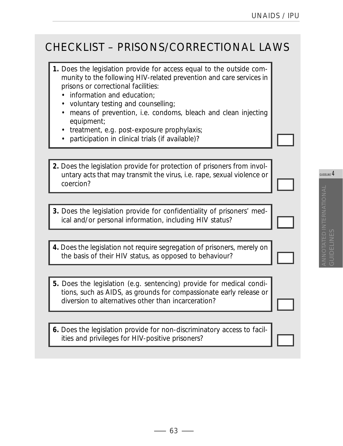# CHECKLIST – PRISONS/CORRECTIONAL LAWS

- **1.** Does the legislation provide for access equal to the outside community to the following HIV-related prevention and care services in prisons or correctional facilities:
	- information and education;
	- voluntary testing and counselling;
	- means of prevention, i.e. condoms, bleach and clean injecting equipment;
	- treatment, e.g. post-exposure prophylaxis;
	- participation in clinical trials (if available)?
- **2.** Does the legislation provide for protection of prisoners from involuntary acts that may transmit the virus, i.e. rape, sexual violence or coercion?
- **3.** Does the legislation provide for confidentiality of prisoners' medical and/or personal information, including HIV status?
- **4.** Does the legislation not require segregation of prisoners, merely on the basis of their HIV status, as opposed to behaviour?
- **5.** Does the legislation (e.g. sentencing) provide for medical conditions, such as AIDS, as grounds for compassionate early release or diversion to alternatives other than incarceration?
- **6.** Does the legislation provide for non-discriminatory access to facilities and privileges for HIV-positive prisoners?

GUIDELINE<sup>4</sup>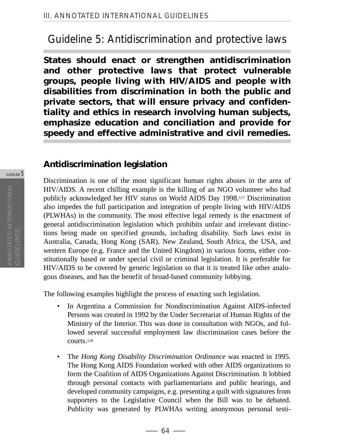# Guideline 5: Antidiscrimination and protective laws

**States should enact or strengthen antidiscrimination and other protective laws that protect vulnerable groups, people living with HIV/AIDS and people with disabilities from discrimination in both the public and private sectors, that will ensure privacy and confidentiality and ethics in research involving human subjects, emphasize education and conciliation and provide for speedy and effective administrative and civil remedies.** 

### **Antidiscrimination legislation**

Discrimination is one of the most significant human rights abuses in the area of HIV/AIDS. A recent chilling example is the killing of an NGO volunteer who had publicly acknowledged her HIV status on World AIDS Day 1998.117 Discrimination also impedes the full participation and integration of people living with HIV/AIDS (PLWHAs) in the community. The most effective legal remedy is the enactment of general antidiscrimination legislation which prohibits unfair and irrelevant distinctions being made on specified grounds, including disability. Such laws exist in Australia, Canada, Hong Kong (SAR), New Zealand, South Africa, the USA, and western Europe (e.g. France and the United Kingdom) in various forms, either constitutionally based or under special civil or criminal legislation. It is preferable for HIV/AIDS to be covered by generic legislation so that it is treated like other analogous diseases, and has the benefit of broad-based community lobbying.

The following examples highlight the process of enacting such legislation.

- In Argentina a Commission for Nondiscrimination Against AIDS-infected Persons was created in 1992 by the Under Secretariat of Human Rights of the Ministry of the Interior. This was done in consultation with NGOs, and followed several successful employment law discrimination cases before the courts.118
- The *Hong Kong Disability Discrimination Ordinance* was enacted in 1995. The Hong Kong AIDS Foundation worked with other AIDS organizations to form the Coalition of AIDS Organizations Against Discrimination. It lobbied through personal contacts with parliamentarians and public hearings, and developed community campaigns, e.g. presenting a quilt with signatures from supporters to the Legislative Council when the Bill was to be debated. Publicity was generated by PLWHAs writing anonymous personal testi-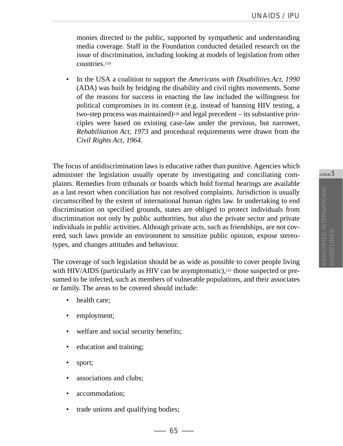monies directed to the public, supported by sympathetic and understanding media coverage. Staff in the Foundation conducted detailed research on the issue of discrimination, including looking at models of legislation from other countries.119

• In the USA a coalition to support the *Americans with Disabilities Act, 1990* (ADA) was built by bridging the disability and civil rights movements. Some of the reasons for success in enacting the law included the willingness for political compromises in its content (e.g. instead of banning HIV testing, a two-step process was maintained)120 and legal precedent – its substantive principles were based on existing case-law under the previous, but narrower, *Rehabilitation Act, 1973* and procedural requirements were drawn from the *Civil Rights Act, 1964*.

The focus of antidiscrimination laws is educative rather than punitive. Agencies which administer the legislation usually operate by investigating and conciliating complaints. Remedies from tribunals or boards which hold formal hearings are available as a last resort when conciliation has not resolved complaints. Jurisdiction is usually circumscribed by the extent of international human rights law. In undertaking to end discrimination on specified grounds, states are obliged to protect individuals from discrimination not only by public authorities, but also the private sector and private individuals in public activities. Although private acts, such as friendships, are not covered, such laws provide an environment to sensitize public opinion, expose stereotypes, and changes attitudes and behaviour.

The coverage of such legislation should be as wide as possible to cover people living with HIV/AIDS (particularly as HIV can be asymptomatic), $121$  those suspected or presumed to be infected, such as members of vulnerable populations, and their associates or family. The areas to be covered should include:

- health care:
- employment;
- welfare and social security benefits;
- education and training;
- sport;
- associations and clubs;
- accommodation;
- trade unions and qualifying bodies;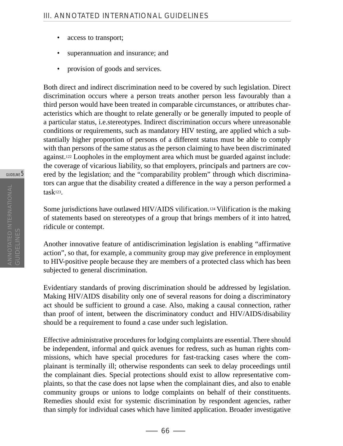- access to transport;
- superannuation and insurance; and
- provision of goods and services.

Both direct and indirect discrimination need to be covered by such legislation. Direct discrimination occurs where a person treats another person less favourably than a third person would have been treated in comparable circumstances, or attributes characteristics which are thought to relate generally or be generally imputed to people of a particular status, i.e.stereotypes. Indirect discrimination occurs where unreasonable conditions or requirements, such as mandatory HIV testing, are applied which a substantially higher proportion of persons of a different status must be able to comply with than persons of the same status as the person claiming to have been discriminated against.122 Loopholes in the employment area which must be guarded against include: the coverage of vicarious liability, so that employers, principals and partners are covered by the legislation; and the "comparability problem" through which discriminators can argue that the disability created a difference in the way a person performed a task123.

Some jurisdictions have outlawed HIV/AIDS vilification.124 Vilification is the making of statements based on stereotypes of a group that brings members of it into hatred, ridicule or contempt.

Another innovative feature of antidiscrimination legislation is enabling "affirmative action", so that, for example, a community group may give preference in employment to HIV-positive people because they are members of a protected class which has been subjected to general discrimination.

Evidentiary standards of proving discrimination should be addressed by legislation. Making HIV/AIDS disability only one of several reasons for doing a discriminatory act should be sufficient to ground a case. Also, making a causal connection, rather than proof of intent, between the discriminatory conduct and HIV/AIDS/disability should be a requirement to found a case under such legislation.

Effective administrative procedures for lodging complaints are essential. There should be independent, informal and quick avenues for redress, such as human rights commissions, which have special procedures for fast-tracking cases where the complainant is terminally ill; otherwise respondents can seek to delay proceedings until the complainant dies. Special protections should exist to allow representative complaints, so that the case does not lapse when the complainant dies, and also to enable community groups or unions to lodge complaints on behalf of their constituents. Remedies should exist for systemic discrimination by respondent agencies, rather than simply for individual cases which have limited application. Broader investigative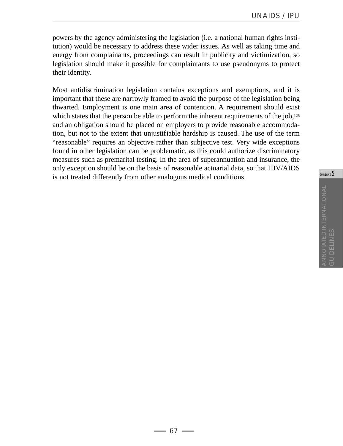powers by the agency administering the legislation (i.e. a national human rights institution) would be necessary to address these wider issues. As well as taking time and energy from complainants, proceedings can result in publicity and victimization, so legislation should make it possible for complaintants to use pseudonyms to protect their identity.

Most antidiscrimination legislation contains exceptions and exemptions, and it is important that these are narrowly framed to avoid the purpose of the legislation being thwarted. Employment is one main area of contention. A requirement should exist which states that the person be able to perform the inherent requirements of the job,<sup>125</sup> and an obligation should be placed on employers to provide reasonable accommodation, but not to the extent that unjustifiable hardship is caused. The use of the term "reasonable" requires an objective rather than subjective test. Very wide exceptions found in other legislation can be problematic, as this could authorize discriminatory measures such as premarital testing. In the area of superannuation and insurance, the only exception should be on the basis of reasonable actuarial data, so that HIV/AIDS is not treated differently from other analogous medical conditions.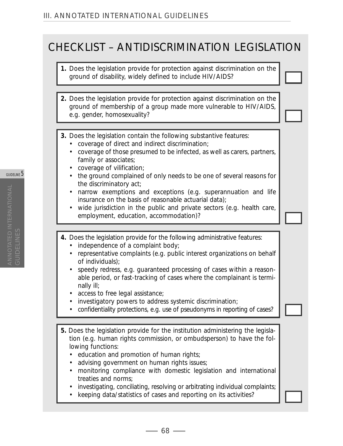# CHECKLIST – ANTIDISCRIMINATION LEGISLATION

- **1.** Does the legislation provide for protection against discrimination on the ground of disability, widely defined to include HIV/AIDS?
- **2.** Does the legislation provide for protection against discrimination on the ground of membership of a group made more vulnerable to HIV/AIDS, e.g. gender, homosexuality?
- **3.** Does the legislation contain the following substantive features:
	- coverage of direct and indirect discrimination;
	- coverage of those presumed to be infected, as well as carers, partners, family or associates;
	- coverage of vilification;
	- the ground complained of only needs to be one of several reasons for the discriminatory act;
	- narrow exemptions and exceptions (e.g. superannuation and life insurance on the basis of reasonable actuarial data);
	- wide jurisdiction in the public and private sectors (e.g. health care, employment, education, accommodation)?
- **4.** Does the legislation provide for the following administrative features:
	- independence of a complaint body;
	- representative complaints (e.g. public interest organizations on behalf of individuals);
	- speedy redress, e.g. guaranteed processing of cases within a reasonable period, or fast-tracking of cases where the complainant is terminally ill;
	- access to free legal assistance;
	- investigatory powers to address systemic discrimination;
	- confidentiality protections, e.g. use of pseudonyms in reporting of cases?
- **5.** Does the legislation provide for the institution administering the legislation (e.g. human rights commission, or ombudsperson) to have the following functions:
	- education and promotion of human rights;
	- advising government on human rights issues;
	- monitoring compliance with domestic legislation and international treaties and norms;
	- investigating, conciliating, resolving or arbitrating individual complaints;
	- keeping data/statistics of cases and reporting on its activities?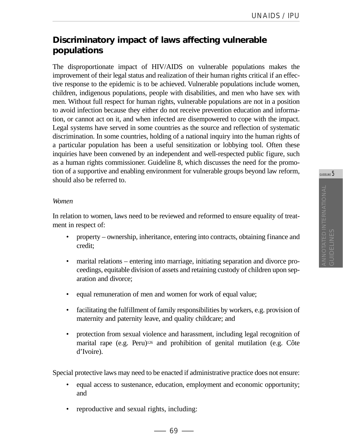# **Discriminatory impact of laws affecting vulnerable populations**

The disproportionate impact of HIV/AIDS on vulnerable populations makes the improvement of their legal status and realization of their human rights critical if an effective response to the epidemic is to be achieved. Vulnerable populations include women, children, indigenous populations, people with disabilities, and men who have sex with men. Without full respect for human rights, vulnerable populations are not in a position to avoid infection because they either do not receive prevention education and information, or cannot act on it, and when infected are disempowered to cope with the impact. Legal systems have served in some countries as the source and reflection of systematic discrimination. In some countries, holding of a national inquiry into the human rights of a particular population has been a useful sensitization or lobbying tool. Often these inquiries have been convened by an independent and well-respected public figure, such as a human rights commissioner. Guideline 8, which discusses the need for the promotion of a supportive and enabling environment for vulnerable groups beyond law reform, should also be referred to.

#### *Women*

In relation to women, laws need to be reviewed and reformed to ensure equality of treatment in respect of:

- property ownership, inheritance, entering into contracts, obtaining finance and credit;
- marital relations entering into marriage, initiating separation and divorce proceedings, equitable division of assets and retaining custody of children upon separation and divorce;
- equal remuneration of men and women for work of equal value;
- facilitating the fulfillment of family responsibilities by workers, e.g. provision of maternity and paternity leave, and quality childcare; and
- protection from sexual violence and harassment, including legal recognition of marital rape (e.g. Peru)<sup>126</sup> and prohibition of genital mutilation (e.g. Côte d'Ivoire).

Special protective laws may need to be enacted if administrative practice does not ensure:

- equal access to sustenance, education, employment and economic opportunity; and
- reproductive and sexual rights, including: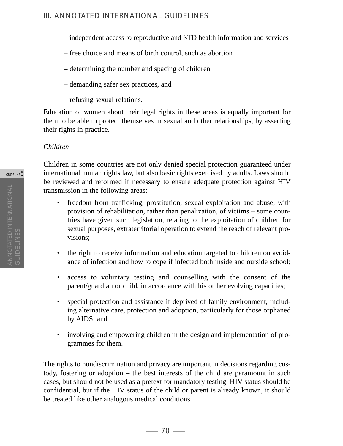- independent access to reproductive and STD health information and services
- free choice and means of birth control, such as abortion
- determining the number and spacing of children
- demanding safer sex practices, and
- refusing sexual relations.

Education of women about their legal rights in these areas is equally important for them to be able to protect themselves in sexual and other relationships, by asserting their rights in practice.

#### *Children*

Children in some countries are not only denied special protection guaranteed under international human rights law, but also basic rights exercised by adults. Laws should be reviewed and reformed if necessary to ensure adequate protection against HIV transmission in the following areas:

- freedom from trafficking, prostitution, sexual exploitation and abuse, with provision of rehabilitation, rather than penalization, of victims – some countries have given such legislation, relating to the exploitation of children for sexual purposes, extraterritorial operation to extend the reach of relevant provisions;
- the right to receive information and education targeted to children on avoidance of infection and how to cope if infected both inside and outside school;
- access to voluntary testing and counselling with the consent of the parent/guardian or child, in accordance with his or her evolving capacities;
- special protection and assistance if deprived of family environment, including alternative care, protection and adoption, particularly for those orphaned by AIDS; and
- involving and empowering children in the design and implementation of programmes for them.

The rights to nondiscrimination and privacy are important in decisions regarding custody, fostering or adoption – the best interests of the child are paramount in such cases, but should not be used as a pretext for mandatory testing. HIV status should be confidential, but if the HIV status of the child or parent is already known, it should be treated like other analogous medical conditions.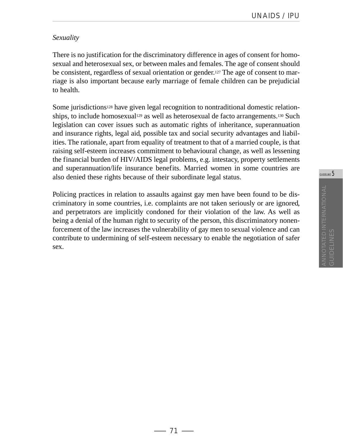#### *Sexuality*

There is no justification for the discriminatory difference in ages of consent for homosexual and heterosexual sex, or between males and females. The age of consent should be consistent, regardless of sexual orientation or gender.127 The age of consent to marriage is also important because early marriage of female children can be prejudicial to health.

Some jurisdictions<sup>128</sup> have given legal recognition to nontraditional domestic relationships, to include homosexual<sup>129</sup> as well as heterosexual de facto arrangements.<sup>130</sup> Such legislation can cover issues such as automatic rights of inheritance, superannuation and insurance rights, legal aid, possible tax and social security advantages and liabilities. The rationale, apart from equality of treatment to that of a married couple, is that raising self-esteem increases commitment to behavioural change, as well as lessening the financial burden of HIV/AIDS legal problems, e.g. intestacy, property settlements and superannuation/life insurance benefits. Married women in some countries are also denied these rights because of their subordinate legal status.

Policing practices in relation to assaults against gay men have been found to be discriminatory in some countries, i.e. complaints are not taken seriously or are ignored, and perpetrators are implicitly condoned for their violation of the law. As well as being a denial of the human right to security of the person, this discriminatory nonenforcement of the law increases the vulnerability of gay men to sexual violence and can contribute to undermining of self-esteem necessary to enable the negotiation of safer sex.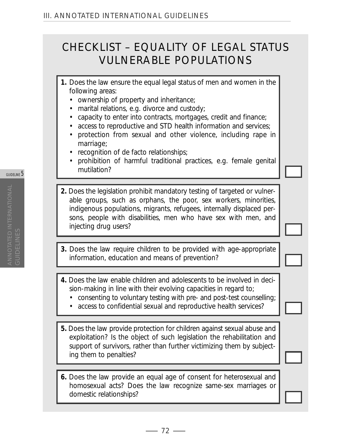# CHECKLIST – EQUALITY OF LEGAL STATUS VULNERABLE POPULATIONS

- **1.** Does the law ensure the equal legal status of men and women in the following areas:
	- ownership of property and inheritance;
	- marital relations, e.g. divorce and custody;
	- capacity to enter into contracts, mortgages, credit and finance;
	- access to reproductive and STD health information and services;
	- protection from sexual and other violence, including rape in marriage;
	- recognition of de facto relationships;
	- prohibition of harmful traditional practices, e.g. female genital mutilation?
- **2.** Does the legislation prohibit mandatory testing of targeted or vulnerable groups, such as orphans, the poor, sex workers, minorities, indigenous populations, migrants, refugees, internally displaced persons, people with disabilities, men who have sex with men, and injecting drug users?
- **3.** Does the law require children to be provided with age-appropriate information, education and means of prevention?
- **4.** Does the law enable children and adolescents to be involved in decision-making in line with their evolving capacities in regard to;
	- consenting to voluntary testing with pre- and post-test counselling;
	- access to confidential sexual and reproductive health services?
- **5.** Does the law provide protection for children against sexual abuse and exploitation? Is the object of such legislation the rehabilitation and support of survivors, rather than further victimizing them by subjecting them to penalties?
- **6.** Does the law provide an equal age of consent for heterosexual and homosexual acts? Does the law recognize same-sex marriages or domestic relationships?

GUIDELINE 5

ANNOTATED INTERNATIONAL (NNOTATED INTERNATIONAL<br>}UIDELINES GUIDELINES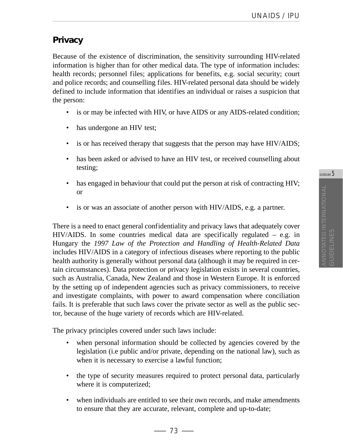## **Privacy**

Because of the existence of discrimination, the sensitivity surrounding HIV-related information is higher than for other medical data. The type of information includes: health records; personnel files; applications for benefits, e.g. social security; court and police records; and counselling files. HIV-related personal data should be widely defined to include information that identifies an individual or raises a suspicion that the person:

- is or may be infected with HIV, or have AIDS or any AIDS-related condition;
- has undergone an HIV test;
- is or has received therapy that suggests that the person may have HIV/AIDS;
- has been asked or advised to have an HIV test, or received counselling about testing;
- has engaged in behaviour that could put the person at risk of contracting HIV; or
- is or was an associate of another person with HIV/AIDS, e.g. a partner.

There is a need to enact general confidentiality and privacy laws that adequately cover HIV/AIDS. In some countries medical data are specifically regulated – e.g. in Hungary the *1997 Law of the Protection and Handling of Health-Related Data* includes HIV/AIDS in a category of infectious diseases where reporting to the public health authority is generally without personal data (although it may be required in certain circumstances). Data protection or privacy legislation exists in several countries, such as Australia, Canada, New Zealand and those in Western Europe. It is enforced by the setting up of independent agencies such as privacy commissioners, to receive and investigate complaints, with power to award compensation where conciliation fails. It is preferable that such laws cover the private sector as well as the public sector, because of the huge variety of records which are HIV-related.

The privacy principles covered under such laws include:

- when personal information should be collected by agencies covered by the legislation (i.e public and/or private, depending on the national law), such as when it is necessary to exercise a lawful function;
- the type of security measures required to protect personal data, particularly where it is computerized;
- when individuals are entitled to see their own records, and make amendments to ensure that they are accurate, relevant, complete and up-to-date;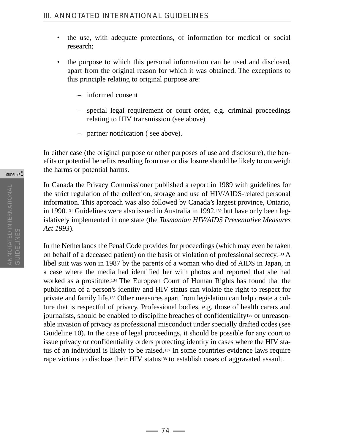- the use, with adequate protections, of information for medical or social research;
- the purpose to which this personal information can be used and disclosed, apart from the original reason for which it was obtained. The exceptions to this principle relating to original purpose are:
	- informed consent
	- special legal requirement or court order, e.g. criminal proceedings relating to HIV transmission (see above)
	- partner notification ( see above).

In either case (the original purpose or other purposes of use and disclosure), the benefits or potential benefits resulting from use or disclosure should be likely to outweigh the harms or potential harms.

In Canada the Privacy Commissioner published a report in 1989 with guidelines for the strict regulation of the collection, storage and use of HIV/AIDS-related personal information. This approach was also followed by Canada's largest province, Ontario, in 1990.131 Guidelines were also issued in Australia in 1992,132 but have only been legislatively implemented in one state (the *Tasmanian HIV/AIDS Preventative Measures Act 1993*).

In the Netherlands the Penal Code provides for proceedings (which may even be taken on behalf of a deceased patient) on the basis of violation of professional secrecy.133 A libel suit was won in 1987 by the parents of a woman who died of AIDS in Japan, in a case where the media had identified her with photos and reported that she had worked as a prostitute.134 The European Court of Human Rights has found that the publication of a person's identity and HIV status can violate the right to respect for private and family life.135 Other measures apart from legislation can help create a culture that is respectful of privacy. Professional bodies, e.g. those of health carers and journalists, should be enabled to discipline breaches of confidentiality136 or unreasonable invasion of privacy as professional misconduct under specially drafted codes (see Guideline 10). In the case of legal proceedings, it should be possible for any court to issue privacy or confidentiality orders protecting identity in cases where the HIV status of an individual is likely to be raised.137 In some countries evidence laws require rape victims to disclose their HIV status<sup>138</sup> to establish cases of aggravated assault.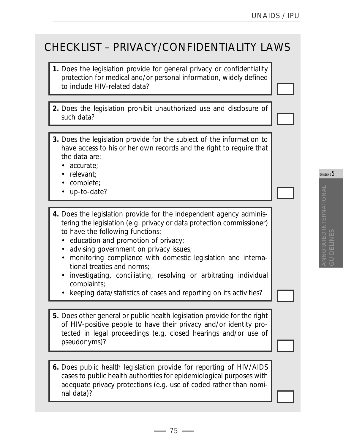# CHECKLIST – PRIVACY/CONFIDENTIALITY LAWS

- **1.** Does the legislation provide for general privacy or confidentiality protection for medical and/or personal information, widely defined to include HIV-related data?
- **2.** Does the legislation prohibit unauthorized use and disclosure of such data?
- **3.** Does the legislation provide for the subject of the information to have access to his or her own records and the right to require that the data are:
	- accurate:
	- relevant;
	- complete;
	- up-to-date?
- **4.** Does the legislation provide for the independent agency administering the legislation (e.g. privacy or data protection commissioner) to have the following functions:
	- education and promotion of privacy;
	- advising government on privacy issues;
	- monitoring compliance with domestic legislation and international treaties and norms;
	- investigating, conciliating, resolving or arbitrating individual complaints;
	- keeping data/statistics of cases and reporting on its activities?
- **5.** Does other general or public health legislation provide for the right of HIV-positive people to have their privacy and/or identity protected in legal proceedings (e.g. closed hearings and/or use of pseudonyms)?
- **6.** Does public health legislation provide for reporting of HIV/AIDS cases to public health authorities for epidemiological purposes with adequate privacy protections (e.g. use of coded rather than nominal data)?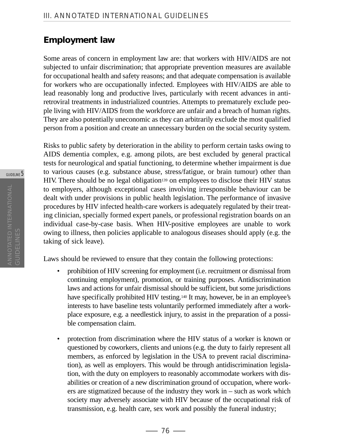### **Employment law**

Some areas of concern in employment law are: that workers with HIV/AIDS are not subjected to unfair discrimination; that appropriate prevention measures are available for occupational health and safety reasons; and that adequate compensation is available for workers who are occupationally infected. Employees with HIV/AIDS are able to lead reasonably long and productive lives, particularly with recent advances in antiretroviral treatments in industrialized countries. Attempts to prematurely exclude people living with HIV/AIDS from the workforce are unfair and a breach of human rights. They are also potentially uneconomic as they can arbitrarily exclude the most qualified person from a position and create an unnecessary burden on the social security system.

Risks to public safety by deterioration in the ability to perform certain tasks owing to AIDS dementia complex, e.g. among pilots, are best excluded by general practical tests for neurological and spatial functioning, to determine whether impairment is due to various causes (e.g. substance abuse, stress/fatigue, or brain tumour) other than HIV. There should be no legal obligation<sup>139</sup> on employees to disclose their HIV status to employers, although exceptional cases involving irresponsible behaviour can be dealt with under provisions in public health legislation. The performance of invasive procedures by HIV infected health-care workers is adequately regulated by their treating clinician, specially formed expert panels, or professional registration boards on an individual case-by-case basis. When HIV-positive employees are unable to work owing to illness, then policies applicable to analogous diseases should apply (e.g. the taking of sick leave).

Laws should be reviewed to ensure that they contain the following protections:

- prohibition of HIV screening for employment (i.e. recruitment or dismissal from continuing employment), promotion, or training purposes. Antidiscrimination laws and actions for unfair dismissal should be sufficient, but some jurisdictions have specifically prohibited HIV testing.<sup>140</sup> It may, however, be in an employee's interests to have baseline tests voluntarily performed immediately after a workplace exposure, e.g. a needlestick injury, to assist in the preparation of a possible compensation claim.
- protection from discrimination where the HIV status of a worker is known or questioned by coworkers, clients and unions (e.g. the duty to fairly represent all members, as enforced by legislation in the USA to prevent racial discrimination), as well as employers. This would be through antidiscrimination legislation, with the duty on employers to reasonably accommodate workers with disabilities or creation of a new discrimination ground of occupation, where workers are stigmatized because of the industry they work in – such as work which society may adversely associate with HIV because of the occupational risk of transmission, e.g. health care, sex work and possibly the funeral industry;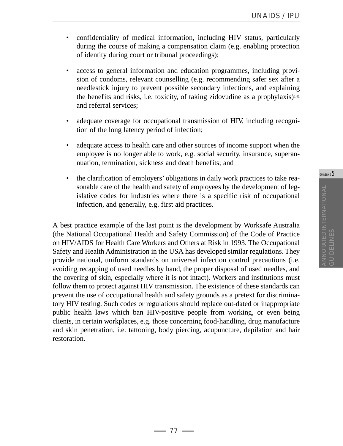ANNOTATED INTERNATIONAL

GUIDELINE 5

GUIDELINES

GUIDELINES

- confidentiality of medical information, including HIV status, particularly during the course of making a compensation claim (e.g. enabling protection of identity during court or tribunal proceedings);
- access to general information and education programmes, including provision of condoms, relevant counselling (e.g. recommending safer sex after a needlestick injury to prevent possible secondary infections, and explaining the benefits and risks, i.e. toxicity, of taking zidovudine as a prophylaxis)141 and referral services;
- adequate coverage for occupational transmission of HIV, including recognition of the long latency period of infection;
- adequate access to health care and other sources of income support when the employee is no longer able to work, e.g. social security, insurance, superannuation, termination, sickness and death benefits; and
- the clarification of employers' obligations in daily work practices to take reasonable care of the health and safety of employees by the development of legislative codes for industries where there is a specific risk of occupational infection, and generally, e.g. first aid practices.

A best practice example of the last point is the development by Worksafe Australia (the National Occupational Health and Safety Commission) of the Code of Practice on HIV/AIDS for Health Care Workers and Others at Risk in 1993. The Occupational Safety and Health Administration in the USA has developed similar regulations. They provide national, uniform standards on universal infection control precautions (i.e. avoiding recapping of used needles by hand, the proper disposal of used needles, and the covering of skin, especially where it is not intact). Workers and institutions must follow them to protect against HIV transmission. The existence of these standards can prevent the use of occupational health and safety grounds as a pretext for discriminatory HIV testing. Such codes or regulations should replace out-dated or inappropriate public health laws which ban HIV-positive people from working, or even being clients, in certain workplaces, e.g. those concerning food-handling, drug manufacture and skin penetration, i.e. tattooing, body piercing, acupuncture, depilation and hair restoration.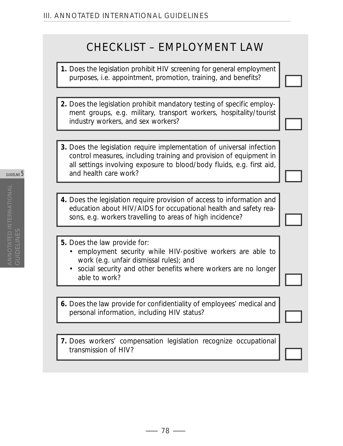# CHECKLIST – EMPLOYMENT LAW

- **1.** Does the legislation prohibit HIV screening for general employment purposes, i.e. appointment, promotion, training, and benefits?
- **2.** Does the legislation prohibit mandatory testing of specific employment groups, e.g. military, transport workers, hospitality/tourist industry workers, and sex workers?
- **3.** Does the legislation require implementation of universal infection control measures, including training and provision of equipment in all settings involving exposure to blood/body fluids, e.g. first aid, and health care work?
- **4.** Does the legislation require provision of access to information and education about HIV/AIDS for occupational health and safety reasons, e.g. workers travelling to areas of high incidence?
- **5.** Does the law provide for:
	- employment security while HIV-positive workers are able to work (e.g. unfair dismissal rules); and
	- social security and other benefits where workers are no longer able to work?
- **6.** Does the law provide for confidentiality of employees' medical and personal information, including HIV status?
- **7.** Does workers' compensation legislation recognize occupational transmission of HIV?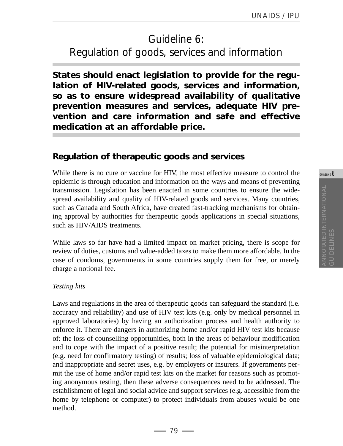# Guideline 6: Regulation of goods, services and information

**States should enact legislation to provide for the regulation of HIV-related goods, services and information, so as to ensure widespread availability of qualitative prevention measures and services, adequate HIV prevention and care information and safe and effective medication at an affordable price.** 

### **Regulation of therapeutic goods and services**

While there is no cure or vaccine for HIV, the most effective measure to control the epidemic is through education and information on the ways and means of preventing transmission. Legislation has been enacted in some countries to ensure the widespread availability and quality of HIV-related goods and services. Many countries, such as Canada and South Africa, have created fast-tracking mechanisms for obtaining approval by authorities for therapeutic goods applications in special situations, such as HIV/AIDS treatments.

While laws so far have had a limited impact on market pricing, there is scope for review of duties, customs and value-added taxes to make them more affordable. In the case of condoms, governments in some countries supply them for free, or merely charge a notional fee.

#### *Testing kits*

Laws and regulations in the area of therapeutic goods can safeguard the standard (i.e. accuracy and reliability) and use of HIV test kits (e.g. only by medical personnel in approved laboratories) by having an authorization process and health authority to enforce it. There are dangers in authorizing home and/or rapid HIV test kits because of: the loss of counselling opportunities, both in the areas of behaviour modification and to cope with the impact of a positive result; the potential for misinterpretation (e.g. need for confirmatory testing) of results; loss of valuable epidemiological data; and inappropriate and secret uses, e.g. by employers or insurers. If governments permit the use of home and/or rapid test kits on the market for reasons such as promoting anonymous testing, then these adverse consequences need to be addressed. The establishment of legal and social advice and support services (e.g. accessible from the home by telephone or computer) to protect individuals from abuses would be one method.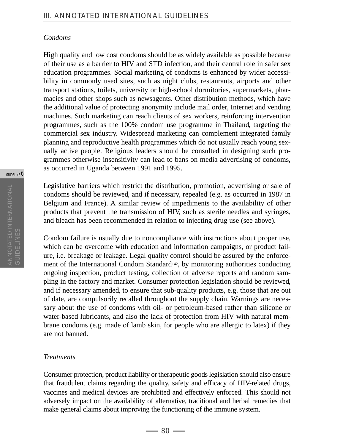#### *Condoms*

High quality and low cost condoms should be as widely available as possible because of their use as a barrier to HIV and STD infection, and their central role in safer sex education programmes. Social marketing of condoms is enhanced by wider accessibility in commonly used sites, such as night clubs, restaurants, airports and other transport stations, toilets, university or high-school dormitories, supermarkets, pharmacies and other shops such as newsagents. Other distribution methods, which have the additional value of protecting anonymity include mail order, Internet and vending machines. Such marketing can reach clients of sex workers, reinforcing intervention programmes, such as the 100% condom use programme in Thailand, targeting the commercial sex industry. Widespread marketing can complement integrated family planning and reproductive health programmes which do not usually reach young sexually active people. Religious leaders should be consulted in designing such programmes otherwise insensitivity can lead to bans on media advertising of condoms, as occurred in Uganda between 1991 and 1995.

Legislative barriers which restrict the distribution, promotion, advertising or sale of condoms should be reviewed, and if necessary, repealed (e.g. as occurred in 1987 in Belgium and France). A similar review of impediments to the availability of other products that prevent the transmission of HIV, such as sterile needles and syringes, and bleach has been recommended in relation to injecting drug use (see above).

Condom failure is usually due to noncompliance with instructions about proper use, which can be overcome with education and information campaigns, or product failure, i.e. breakage or leakage. Legal quality control should be assured by the enforcement of the International Condom Standard<sup>142</sup>, by monitoring authorities conducting ongoing inspection, product testing, collection of adverse reports and random sampling in the factory and market. Consumer protection legislation should be reviewed, and if necessary amended, to ensure that sub-quality products, e.g. those that are out of date, are compulsorily recalled throughout the supply chain. Warnings are necessary about the use of condoms with oil- or petroleum-based rather than silicone or water-based lubricants, and also the lack of protection from HIV with natural membrane condoms (e.g. made of lamb skin, for people who are allergic to latex) if they are not banned.

#### *Treatments*

Consumer protection, product liability or therapeutic goods legislation should also ensure that fraudulent claims regarding the quality, safety and efficacy of HIV-related drugs, vaccines and medical devices are prohibited and effectively enforced. This should not adversely impact on the availability of alternative, traditional and herbal remedies that make general claims about improving the functioning of the immune system.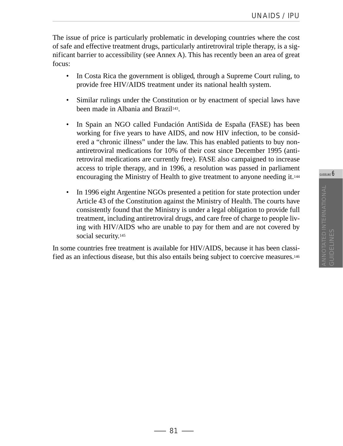The issue of price is particularly problematic in developing countries where the cost of safe and effective treatment drugs, particularly antiretroviral triple therapy, is a significant barrier to accessibility (see Annex A). This has recently been an area of great focus:

- In Costa Rica the government is obliged, through a Supreme Court ruling, to provide free HIV/AIDS treatment under its national health system.
- Similar rulings under the Constitution or by enactment of special laws have been made in Albania and Brazil143.
- In Spain an NGO called Fundación AntiSida de España (FASE) has been working for five years to have AIDS, and now HIV infection, to be considered a "chronic illness" under the law. This has enabled patients to buy nonantiretroviral medications for 10% of their cost since December 1995 (antiretroviral medications are currently free). FASE also campaigned to increase access to triple therapy, and in 1996, a resolution was passed in parliament encouraging the Ministry of Health to give treatment to anyone needing it.144
- In 1996 eight Argentine NGOs presented a petition for state protection under Article 43 of the Constitution against the Ministry of Health. The courts have consistently found that the Ministry is under a legal obligation to provide full treatment, including antiretroviral drugs, and care free of charge to people living with HIV/AIDS who are unable to pay for them and are not covered by social security.<sup>145</sup>

In some countries free treatment is available for HIV/AIDS, because it has been classified as an infectious disease, but this also entails being subject to coercive measures.146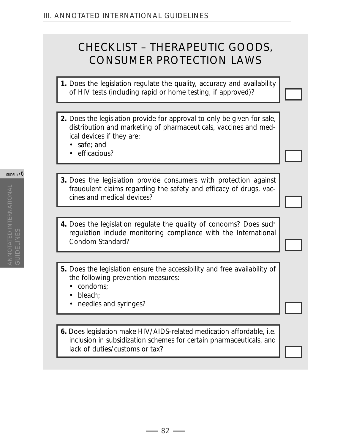# CHECKLIST – THERAPEUTIC GOODS, CONSUMER PROTECTION LAWS

- **1.** Does the legislation regulate the quality, accuracy and availability of HIV tests (including rapid or home testing, if approved)?
- **2.** Does the legislation provide for approval to only be given for sale, distribution and marketing of pharmaceuticals, vaccines and medical devices if they are:
	- safe; and
	- efficacious?
- **3.** Does the legislation provide consumers with protection against fraudulent claims regarding the safety and efficacy of drugs, vaccines and medical devices?
- **4.** Does the legislation regulate the quality of condoms? Does such regulation include monitoring compliance with the International Condom Standard?
- **5.** Does the legislation ensure the accessibility and free availability of the following prevention measures:
	- condoms;
	- bleach:
	- needles and syringes?
- **6.** Does legislation make HIV/AIDS-related medication affordable, i.e. inclusion in subsidization schemes for certain pharmaceuticals, and lack of duties/customs or tax?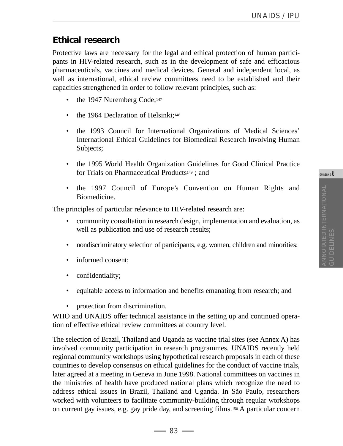ANNOTATED INTERNATIONAL

 $G$ UIDELINE  $6$ 

GUIDELINES

**ANNOTATED IN**<br>GUIDELINES

## **Ethical research**

Protective laws are necessary for the legal and ethical protection of human participants in HIV-related research, such as in the development of safe and efficacious pharmaceuticals, vaccines and medical devices. General and independent local, as well as international, ethical review committees need to be established and their capacities strengthened in order to follow relevant principles, such as:

- the 1947 Nuremberg Code;<sup>147</sup>
- the 1964 Declaration of Helsinki;<sup>148</sup>
- the 1993 Council for International Organizations of Medical Sciences' International Ethical Guidelines for Biomedical Research Involving Human Subjects;
- the 1995 World Health Organization Guidelines for Good Clinical Practice for Trials on Pharmaceutical Products149 ; and
- the 1997 Council of Europe's Convention on Human Rights and Biomedicine.

The principles of particular relevance to HIV-related research are:

- community consultation in research design, implementation and evaluation, as well as publication and use of research results;
- nondiscriminatory selection of participants, e.g. women, children and minorities;
- informed consent:
- confidentiality;
- equitable access to information and benefits emanating from research; and
- protection from discrimination.

WHO and UNAIDS offer technical assistance in the setting up and continued operation of effective ethical review committees at country level.

The selection of Brazil, Thailand and Uganda as vaccine trial sites (see Annex A) has involved community participation in research programmes. UNAIDS recently held regional community workshops using hypothetical research proposals in each of these countries to develop consensus on ethical guidelines for the conduct of vaccine trials, later agreed at a meeting in Geneva in June 1998. National committees on vaccines in the ministries of health have produced national plans which recognize the need to address ethical issues in Brazil, Thailand and Uganda. In São Paulo, researchers worked with volunteers to facilitate community-building through regular workshops on current gay issues, e.g. gay pride day, and screening films.150 A particular concern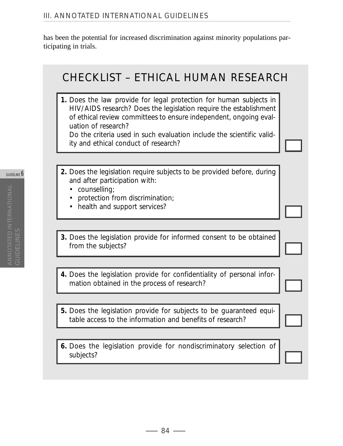has been the potential for increased discrimination against minority populations participating in trials.

# CHECKLIST – ETHICAL HUMAN RESEARCH

**1.** Does the law provide for legal protection for human subjects in HIV/AIDS research? Does the legislation require the establishment of ethical review committees to ensure independent, ongoing evaluation of research?

Do the criteria used in such evaluation include the scientific validity and ethical conduct of research?

- **2.** Does the legislation require subjects to be provided before, during and after participation with:
	- counselling;
	- protection from discrimination;
	- health and support services?
- **3.** Does the legislation provide for informed consent to be obtained from the subjects?
- **4.** Does the legislation provide for confidentiality of personal information obtained in the process of research?
- **5.** Does the legislation provide for subjects to be guaranteed equitable access to the information and benefits of research?
- **6.** Does the legislation provide for nondiscriminatory selection of subjects?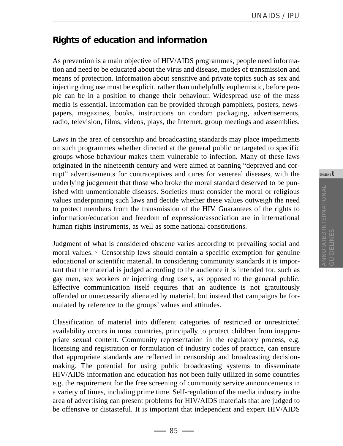## **Rights of education and information**

As prevention is a main objective of HIV/AIDS programmes, people need information and need to be educated about the virus and disease, modes of transmission and means of protection. Information about sensitive and private topics such as sex and injecting drug use must be explicit, rather than unhelpfully euphemistic, before people can be in a position to change their behaviour. Widespread use of the mass media is essential. Information can be provided through pamphlets, posters, newspapers, magazines, books, instructions on condom packaging, advertisements, radio, television, films, videos, plays, the Internet, group meetings and assemblies.

Laws in the area of censorship and broadcasting standards may place impediments on such programmes whether directed at the general public or targeted to specific groups whose behaviour makes them vulnerable to infection. Many of these laws originated in the nineteenth century and were aimed at banning "depraved and corrupt" advertisements for contraceptives and cures for venereal diseases, with the underlying judgement that those who broke the moral standard deserved to be punished with unmentionable diseases. Societies must consider the moral or religious values underpinning such laws and decide whether these values outweigh the need to protect members from the transmission of the HIV. Guarantees of the rights to information/education and freedom of expression/association are in international human rights instruments, as well as some national constitutions.

Judgment of what is considered obscene varies according to prevailing social and moral values.151 Censorship laws should contain a specific exemption for genuine educational or scientific material. In considering community standards it is important that the material is judged according to the audience it is intended for, such as gay men, sex workers or injecting drug users, as opposed to the general public. Effective communication itself requires that an audience is not gratuitously offended or unnecessarily alienated by material, but instead that campaigns be formulated by reference to the groups' values and attitudes.

Classification of material into different categories of restricted or unrestricted availability occurs in most countries, principally to protect children from inappropriate sexual content. Community representation in the regulatory process, e.g. licensing and registration or formulation of industry codes of practice, can ensure that appropriate standards are reflected in censorship and broadcasting decisionmaking. The potential for using public broadcasting systems to disseminate HIV/AIDS information and education has not been fully utilized in some countries e.g. the requirement for the free screening of community service announcements in a variety of times, including prime time. Self-regulation of the media industry in the area of advertising can present problems for HIV/AIDS materials that are judged to be offensive or distasteful. It is important that independent and expert HIV/AIDS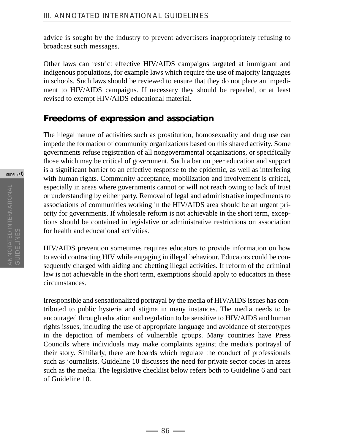advice is sought by the industry to prevent advertisers inappropriately refusing to broadcast such messages.

Other laws can restrict effective HIV/AIDS campaigns targeted at immigrant and indigenous populations, for example laws which require the use of majority languages in schools. Such laws should be reviewed to ensure that they do not place an impediment to HIV/AIDS campaigns. If necessary they should be repealed, or at least revised to exempt HIV/AIDS educational material.

### **Freedoms of expression and association**

The illegal nature of activities such as prostitution, homosexuality and drug use can impede the formation of community organizations based on this shared activity. Some governments refuse registration of all nongovernmental organizations, or specifically those which may be critical of government. Such a bar on peer education and support is a significant barrier to an effective response to the epidemic, as well as interfering with human rights. Community acceptance, mobilization and involvement is critical, especially in areas where governments cannot or will not reach owing to lack of trust or understanding by either party. Removal of legal and administrative impediments to associations of communities working in the HIV/AIDS area should be an urgent priority for governments. If wholesale reform is not achievable in the short term, exceptions should be contained in legislative or administrative restrictions on association for health and educational activities.

HIV/AIDS prevention sometimes requires educators to provide information on how to avoid contracting HIV while engaging in illegal behaviour. Educators could be consequently charged with aiding and abetting illegal activities. If reform of the criminal law is not achievable in the short term, exemptions should apply to educators in these circumstances.

Irresponsible and sensationalized portrayal by the media of HIV/AIDS issues has contributed to public hysteria and stigma in many instances. The media needs to be encouraged through education and regulation to be sensitive to HIV/AIDS and human rights issues, including the use of appropriate language and avoidance of stereotypes in the depiction of members of vulnerable groups. Many countries have Press Councils where individuals may make complaints against the media's portrayal of their story. Similarly, there are boards which regulate the conduct of professionals such as journalists. Guideline 10 discusses the need for private sector codes in areas such as the media. The legislative checklist below refers both to Guideline 6 and part of Guideline 10.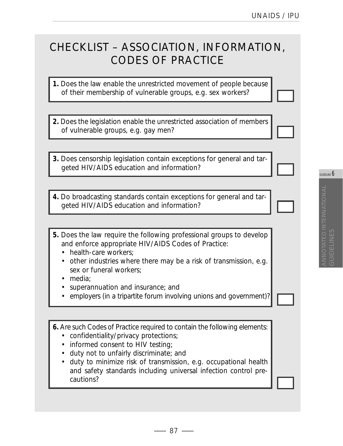# CHECKLIST – ASSOCIATION, INFORMATION, CODES OF PRACTICE

**1.** Does the law enable the unrestricted movement of people because of their membership of vulnerable groups, e.g. sex workers?

**2.** Does the legislation enable the unrestricted association of members of vulnerable groups, e.g. gay men?

**3.** Does censorship legislation contain exceptions for general and targeted HIV/AIDS education and information?

**4.** Do broadcasting standards contain exceptions for general and targeted HIV/AIDS education and information?

- **5.** Does the law require the following professional groups to develop and enforce appropriate HIV/AIDS Codes of Practice:
	- health-care workers:
	- other industries where there may be a risk of transmission, e.g. sex or funeral workers;
	- media;
	- superannuation and insurance; and
	- employers (in a tripartite forum involving unions and government)?

**6.** Are such Codes of Practice required to contain the following elements:

- confidentiality/privacy protections;
- informed consent to HIV testing;
- duty not to unfairly discriminate; and
- duty to minimize risk of transmission, e.g. occupational health and safety standards including universal infection control precautions?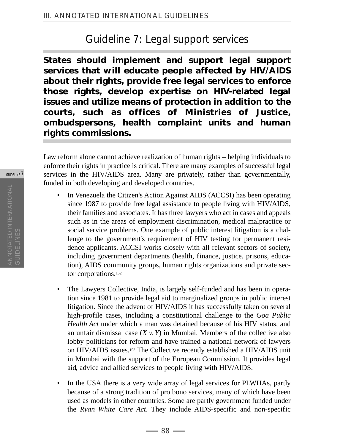## Guideline 7: Legal support services

**States should implement and support legal support services that will educate people affected by HIV/AIDS about their rights, provide free legal services to enforce those rights, develop expertise on HIV-related legal issues and utilize means of protection in addition to the courts, such as offices of Ministries of Justice, ombudspersons, health complaint units and human rights commissions.**

Law reform alone cannot achieve realization of human rights – helping individuals to enforce their rights in practice is critical. There are many examples of successful legal services in the HIV/AIDS area. Many are privately, rather than governmentally, funded in both developing and developed countries.

- In Venezuela the Citizen's Action Against AIDS (ACCSI) has been operating since 1987 to provide free legal assistance to people living with HIV/AIDS, their families and associates. It has three lawyers who act in cases and appeals such as in the areas of employment discrimination, medical malpractice or social service problems. One example of public interest litigation is a challenge to the government's requirement of HIV testing for permanent residence applicants. ACCSI works closely with all relevant sectors of society, including government departments (health, finance, justice, prisons, education), AIDS community groups, human rights organizations and private sector corporations.152
- The Lawyers Collective, India, is largely self-funded and has been in operation since 1981 to provide legal aid to marginalized groups in public interest litigation. Since the advent of HIV/AIDS it has successfully taken on several high-profile cases, including a constitutional challenge to the *Goa Public Health Act* under which a man was detained because of his HIV status, and an unfair dismissal case (*X v. Y*) in Mumbai. Members of the collective also lobby politicians for reform and have trained a national network of lawyers on HIV/AIDS issues.153 The Collective recently established a HIV/AIDS unit in Mumbai with the support of the European Commission. It provides legal aid, advice and allied services to people living with HIV/AIDS.
- In the USA there is a very wide array of legal services for PLWHAs, partly because of a strong tradition of pro bono services, many of which have been used as models in other countries. Some are partly government funded under the *Ryan White Care Act*. They include AIDS-specific and non-specific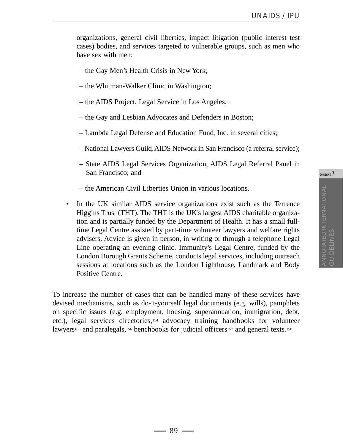organizations, general civil liberties, impact litigation (public interest test cases) bodies, and services targeted to vulnerable groups, such as men who have sex with men:

- the Gay Men's Health Crisis in New York;
- the Whitman-Walker Clinic in Washington;
- the AIDS Project, Legal Service in Los Angeles;
- the Gay and Lesbian Advocates and Defenders in Boston;
- Lambda Legal Defense and Education Fund, Inc. in several cities;
- National Lawyers Guild, AIDS Network in San Francisco (a referral service);
- State AIDS Legal Services Organization, AIDS Legal Referral Panel in San Francisco; and
- the American Civil Liberties Union in various locations.
- In the UK similar AIDS service organizations exist such as the Terrence Higgins Trust (THT). The THT is the UK's largest AIDS charitable organization and is partially funded by the Department of Health. It has a small fulltime Legal Centre assisted by part-time volunteer lawyers and welfare rights advisers. Advice is given in person, in writing or through a telephone Legal Line operating an evening clinic. Immunity's Legal Centre, funded by the London Borough Grants Scheme, conducts legal services, including outreach sessions at locations such as the London Lighthouse, Landmark and Body Positive Centre.

To increase the number of cases that can be handled many of these services have devised mechanisms, such as do-it-yourself legal documents (e.g. wills), pamphlets on specific issues (e.g. employment, housing, superannuation, immigration, debt, etc.), legal services directories,154 advocacy training handbooks for volunteer lawyers<sup>155</sup> and paralegals,<sup>156</sup> benchbooks for judicial officers<sup>157</sup> and general texts.<sup>158</sup>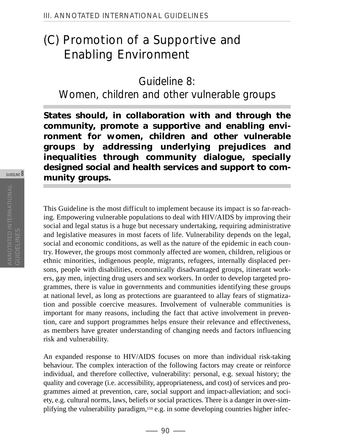# (C) Promotion of a Supportive and Enabling Environment

Guideline 8:

Women, children and other vulnerable groups

**States should, in collaboration with and through the community, promote a supportive and enabling environment for women, children and other vulnerable groups by addressing underlying prejudices and inequalities through community dialogue, specially designed social and health services and support to community groups.** 

This Guideline is the most difficult to implement because its impact is so far-reaching. Empowering vulnerable populations to deal with HIV/AIDS by improving their social and legal status is a huge but necessary undertaking, requiring administrative and legislative measures in most facets of life. Vulnerability depends on the legal, social and economic conditions, as well as the nature of the epidemic in each country. However, the groups most commonly affected are women, children, religious or ethnic minorities, indigenous people, migrants, refugees, internally displaced persons, people with disabilities, economically disadvantaged groups, itinerant workers, gay men, injecting drug users and sex workers. In order to develop targeted programmes, there is value in governments and communities identifying these groups at national level, as long as protections are guaranteed to allay fears of stigmatization and possible coercive measures. Involvement of vulnerable communities is important for many reasons, including the fact that active involvement in prevention, care and support programmes helps ensure their relevance and effectiveness, as members have greater understanding of changing needs and factors influencing risk and vulnerability.

An expanded response to HIV/AIDS focuses on more than individual risk-taking behaviour. The complex interaction of the following factors may create or reinforce individual, and therefore collective, vulnerability: personal, e.g. sexual history; the quality and coverage (i.e. accessibility, appropriateness, and cost) of services and programmes aimed at prevention, care, social support and impact-alleviation; and society, e.g. cultural norms, laws, beliefs or social practices. There is a danger in over-simplifying the vulnerability paradigm,159 e.g. in some developing countries higher infec-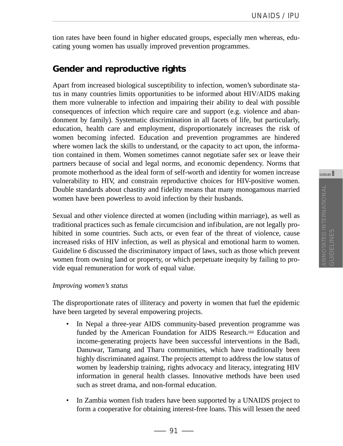tion rates have been found in higher educated groups, especially men whereas, educating young women has usually improved prevention programmes.

### **Gender and reproductive rights**

Apart from increased biological susceptibility to infection, women's subordinate status in many countries limits opportunities to be informed about HIV/AIDS making them more vulnerable to infection and impairing their ability to deal with possible consequences of infection which require care and support (e.g. violence and abandonment by family). Systematic discrimination in all facets of life, but particularly, education, health care and employment, disproportionately increases the risk of women becoming infected. Education and prevention programmes are hindered where women lack the skills to understand, or the capacity to act upon, the information contained in them. Women sometimes cannot negotiate safer sex or leave their partners because of social and legal norms, and economic dependency. Norms that promote motherhood as the ideal form of self-worth and identity for women increase vulnerability to HIV, and constrain reproductive choices for HIV-positive women. Double standards about chastity and fidelity means that many monogamous married women have been powerless to avoid infection by their husbands.

Sexual and other violence directed at women (including within marriage), as well as traditional practices such as female circumcision and infibulation, are not legally prohibited in some countries. Such acts, or even fear of the threat of violence, cause increased risks of HIV infection, as well as physical and emotional harm to women. Guideline 6 discussed the discriminatory impact of laws, such as those which prevent women from owning land or property, or which perpetuate inequity by failing to provide equal remuneration for work of equal value.

#### *Improving women's status*

The disproportionate rates of illiteracy and poverty in women that fuel the epidemic have been targeted by several empowering projects.

- In Nepal a three-year AIDS community-based prevention programme was funded by the American Foundation for AIDS Research.160 Education and income-generating projects have been successful interventions in the Badi, Danuwar, Tamang and Tharu communities, which have traditionally been highly discriminated against. The projects attempt to address the low status of women by leadership training, rights advocacy and literacy, integrating HIV information in general health classes. Innovative methods have been used such as street drama, and non-formal education.
- In Zambia women fish traders have been supported by a UNAIDS project to form a cooperative for obtaining interest-free loans. This will lessen the need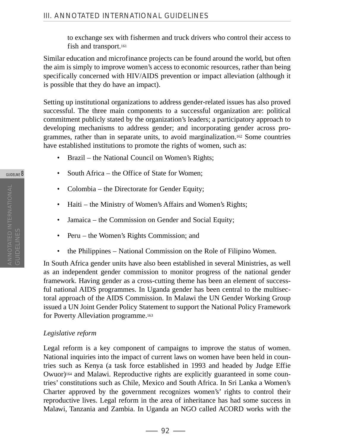to exchange sex with fishermen and truck drivers who control their access to fish and transport.<sup>161</sup>

Similar education and microfinance projects can be found around the world, but often the aim is simply to improve women's access to economic resources, rather than being specifically concerned with HIV/AIDS prevention or impact alleviation (although it is possible that they do have an impact).

Setting up institutional organizations to address gender-related issues has also proved successful. The three main components to a successful organization are: political commitment publicly stated by the organization's leaders; a participatory approach to developing mechanisms to address gender; and incorporating gender across programmes, rather than in separate units, to avoid marginalization.162 Some countries have established institutions to promote the rights of women, such as:

- Brazil the National Council on Women's Rights;
- South Africa the Office of State for Women;
- Colombia the Directorate for Gender Equity;
- Haiti the Ministry of Women's Affairs and Women's Rights;
- Jamaica the Commission on Gender and Social Equity;
- Peru the Women's Rights Commission; and
- the Philippines National Commission on the Role of Filipino Women.

In South Africa gender units have also been established in several Ministries, as well as an independent gender commission to monitor progress of the national gender framework. Having gender as a cross-cutting theme has been an element of successful national AIDS programmes. In Uganda gender has been central to the multisectoral approach of the AIDS Commission. In Malawi the UN Gender Working Group issued a UN Joint Gender Policy Statement to support the National Policy Framework for Poverty Alleviation programme.163

#### *Legislative reform*

Legal reform is a key component of campaigns to improve the status of women. National inquiries into the impact of current laws on women have been held in countries such as Kenya (a task force established in 1993 and headed by Judge Effie Owuor)164 and Malawi. Reproductive rights are explicitly guaranteed in some countries' constitutions such as Chile, Mexico and South Africa. In Sri Lanka a Women's Charter approved by the government recognizes women's' rights to control their reproductive lives. Legal reform in the area of inheritance has had some success in Malawi, Tanzania and Zambia. In Uganda an NGO called ACORD works with the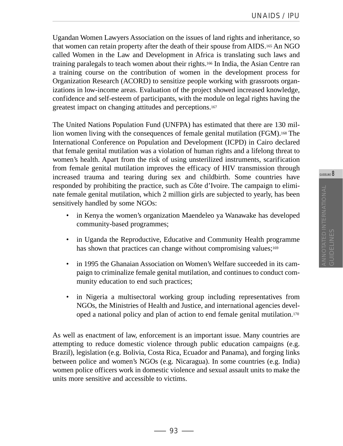Ugandan Women Lawyers Association on the issues of land rights and inheritance, so that women can retain property after the death of their spouse from AIDS.165 An NGO called Women in the Law and Development in Africa is translating such laws and training paralegals to teach women about their rights.166 In India, the Asian Centre ran a training course on the contribution of women in the development process for Organization Research (ACORD) to sensitize people working with grassroots organizations in low-income areas. Evaluation of the project showed increased knowledge, confidence and self-esteem of participants, with the module on legal rights having the greatest impact on changing attitudes and perceptions.167

The United Nations Population Fund (UNFPA) has estimated that there are 130 million women living with the consequences of female genital mutilation (FGM).<sup>168</sup> The International Conference on Population and Development (ICPD) in Cairo declared that female genital mutilation was a violation of human rights and a lifelong threat to women's health. Apart from the risk of using unsterilized instruments, scarification from female genital mutilation improves the efficacy of HIV transmission through increased trauma and tearing during sex and childbirth. Some countries have responded by prohibiting the practice, such as Côte d'Ivoire. The campaign to eliminate female genital mutilation, which 2 million girls are subjected to yearly, has been sensitively handled by some NGOs:

- in Kenya the women's organization Maendeleo ya Wanawake has developed community-based programmes;
- in Uganda the Reproductive, Educative and Community Health programme has shown that practices can change without compromising values;<sup>169</sup>
- in 1995 the Ghanaian Association on Women's Welfare succeeded in its campaign to criminalize female genital mutilation, and continues to conduct community education to end such practices;
- in Nigeria a multisectoral working group including representatives from NGOs, the Ministries of Health and Justice, and international agencies developed a national policy and plan of action to end female genital mutilation.170

As well as enactment of law, enforcement is an important issue. Many countries are attempting to reduce domestic violence through public education campaigns (e.g. Brazil), legislation (e.g. Bolivia, Costa Rica, Ecuador and Panama), and forging links between police and women's NGOs (e.g. Nicaragua). In some countries (e.g. India) women police officers work in domestic violence and sexual assault units to make the units more sensitive and accessible to victims.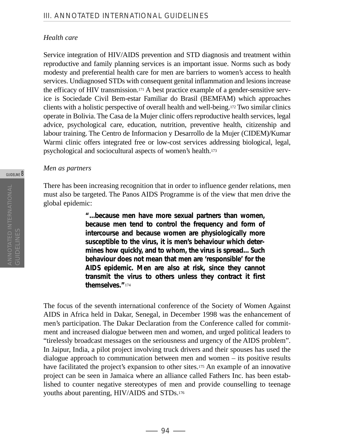#### *Health care*

Service integration of HIV/AIDS prevention and STD diagnosis and treatment within reproductive and family planning services is an important issue. Norms such as body modesty and preferential health care for men are barriers to women's access to health services. Undiagnosed STDs with consequent genital inflammation and lesions increase the efficacy of HIV transmission.171 A best practice example of a gender-sensitive service is Sociedade Civil Bem-estar Familiar do Brasil (BEMFAM) which approaches clients with a holistic perspective of overall health and well-being.172 Two similar clinics operate in Bolivia. The Casa de la Mujer clinic offers reproductive health services, legal advice, psychological care, education, nutrition, preventive health, citizenship and labour training. The Centro de Informacion y Desarrollo de la Mujer (CIDEM)/Kumar Warmi clinic offers integrated free or low-cost services addressing biological, legal, psychological and sociocultural aspects of women's health.173

#### *Men as partners*

There has been increasing recognition that in order to influence gender relations, men must also be targeted. The Panos AIDS Programme is of the view that men drive the global epidemic:

> **"...because men have more sexual partners than women, because men tend to control the frequency and form of intercourse and because women are physiologically more susceptible to the virus, it is men's behaviour which determines how quickly, and to whom, the virus is spread... Such behaviour does not mean that men are 'responsible' for the AIDS epidemic. Men are also at risk, since they cannot transmit the virus to others unless they contract it first themselves."**<sup>174</sup>

The focus of the seventh international conference of the Society of Women Against AIDS in Africa held in Dakar, Senegal, in December 1998 was the enhancement of men's participation. The Dakar Declaration from the Conference called for commitment and increased dialogue between men and women, and urged political leaders to "tirelessly broadcast messages on the seriousness and urgency of the AIDS problem". In Jaipur, India, a pilot project involving truck drivers and their spouses has used the dialogue approach to communication between men and women – its positive results have facilitated the project's expansion to other sites.175 An example of an innovative project can be seen in Jamaica where an alliance called Fathers Inc. has been established to counter negative stereotypes of men and provide counselling to teenage youths about parenting, HIV/AIDS and STDs.176

GUIDELINE<sup>8</sup>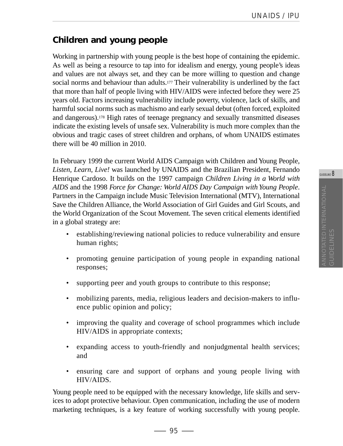## **Children and young people**

Working in partnership with young people is the best hope of containing the epidemic. As well as being a resource to tap into for idealism and energy, young people's ideas and values are not always set, and they can be more willing to question and change social norms and behaviour than adults.177 Their vulnerability is underlined by the fact that more than half of people living with HIV/AIDS were infected before they were 25 years old. Factors increasing vulnerability include poverty, violence, lack of skills, and harmful social norms such as machismo and early sexual debut (often forced, exploited and dangerous).178 High rates of teenage pregnancy and sexually transmitted diseases indicate the existing levels of unsafe sex. Vulnerability is much more complex than the obvious and tragic cases of street children and orphans, of whom UNAIDS estimates there will be 40 million in 2010.

In February 1999 the current World AIDS Campaign with Children and Young People, *Listen, Learn, Live!* was launched by UNAIDS and the Brazilian President, Fernando Henrique Cardoso. It builds on the 1997 campaign *Children Living in a World with AIDS* and the 1998 *Force for Change: World AIDS Day Campaign with Young People*. Partners in the Campaign include Music Television International (MTV), International Save the Children Alliance, the World Association of Girl Guides and Girl Scouts, and the World Organization of the Scout Movement. The seven critical elements identified in a global strategy are:

- establishing/reviewing national policies to reduce vulnerability and ensure human rights;
- promoting genuine participation of young people in expanding national responses;
- supporting peer and youth groups to contribute to this response;
- mobilizing parents, media, religious leaders and decision-makers to influence public opinion and policy;
- improving the quality and coverage of school programmes which include HIV/AIDS in appropriate contexts;
- expanding access to youth-friendly and nonjudgmental health services; and
- ensuring care and support of orphans and young people living with HIV/AIDS.

Young people need to be equipped with the necessary knowledge, life skills and services to adopt protective behaviour. Open communication, including the use of modern marketing techniques, is a key feature of working successfully with young people. GUIDELINE<sup>8</sup>

UNAIDS / IPU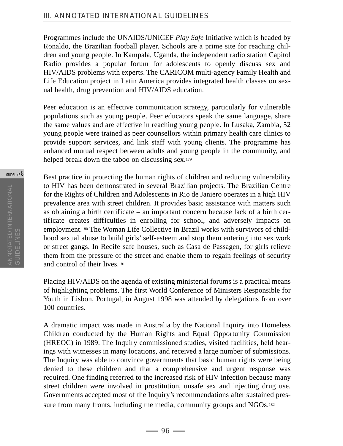Programmes include the UNAIDS/UNICEF *Play Safe* Initiative which is headed by Ronaldo, the Brazilian football player. Schools are a prime site for reaching children and young people. In Kampala, Uganda, the independent radio station Capitol Radio provides a popular forum for adolescents to openly discuss sex and HIV/AIDS problems with experts. The CARICOM multi-agency Family Health and Life Education project in Latin America provides integrated health classes on sexual health, drug prevention and HIV/AIDS education.

Peer education is an effective communication strategy, particularly for vulnerable populations such as young people. Peer educators speak the same language, share the same values and are effective in reaching young people. In Lusaka, Zambia, 52 young people were trained as peer counsellors within primary health care clinics to provide support services, and link staff with young clients. The programme has enhanced mutual respect between adults and young people in the community, and helped break down the taboo on discussing sex.<sup>179</sup>

Best practice in protecting the human rights of children and reducing vulnerability to HIV has been demonstrated in several Brazilian projects. The Brazilian Centre for the Rights of Children and Adolescents in Rio de Janiero operates in a high HIV prevalence area with street children. It provides basic assistance with matters such as obtaining a birth certificate – an important concern because lack of a birth certificate creates difficulties in enrolling for school, and adversely impacts on employment.180 The Woman Life Collective in Brazil works with survivors of childhood sexual abuse to build girls' self-esteem and stop them entering into sex work or street gangs. In Recife safe houses, such as Casa de Passagen, for girls relieve them from the pressure of the street and enable them to regain feelings of security and control of their lives.181

Placing HIV/AIDS on the agenda of existing ministerial forums is a practical means of highlighting problems. The first World Conference of Ministers Responsible for Youth in Lisbon, Portugal, in August 1998 was attended by delegations from over 100 countries.

A dramatic impact was made in Australia by the National Inquiry into Homeless Children conducted by the Human Rights and Equal Opportunity Commission (HREOC) in 1989. The Inquiry commissioned studies, visited facilities, held hearings with witnesses in many locations, and received a large number of submissions. The Inquiry was able to convince governments that basic human rights were being denied to these children and that a comprehensive and urgent response was required. One finding referred to the increased risk of HIV infection because many street children were involved in prostitution, unsafe sex and injecting drug use. Governments accepted most of the Inquiry's recommendations after sustained pressure from many fronts, including the media, community groups and NGOs.<sup>182</sup>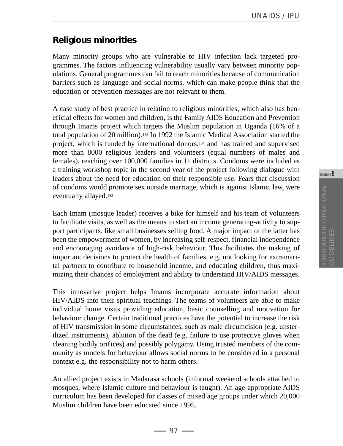## **Religious minorities**

Many minority groups who are vulnerable to HIV infection lack targeted programmes. The factors influencing vulnerability usually vary between minority populations. General programmes can fail to reach minorities because of communication barriers such as language and social norms, which can make people think that the education or prevention messages are not relevant to them.

A case study of best practice in relation to religious minorities, which also has beneficial effects for women and children, is the Family AIDS Education and Prevention through Imams project which targets the Muslim population in Uganda (16% of a total population of 20 million).183 In 1992 the Islamic Medical Association started the project, which is funded by international donors,184 and has trained and supervised more than 8000 religious leaders and volunteers (equal numbers of males and females), reaching over 100,000 families in 11 districts. Condoms were included as a training workshop topic in the second year of the project following dialogue with leaders about the need for education on their responsible use. Fears that discussion of condoms would promote sex outside marriage, which is against Islamic law, were eventually allayed.185

Each Imam (mosque leader) receives a bike for himself and his team of volunteers to facilitate visits, as well as the means to start an income generating-activity to support participants, like small businesses selling food. A major impact of the latter has been the empowerment of women, by increasing self-respect, financial independence and encouraging avoidance of high-risk behaviour. This facilitates the making of important decisions to protect the health of families, e.g. not looking for extramarital partners to contribute to household income, and educating children, thus maximizing their chances of employment and ability to understand HIV/AIDS messages.

This innovative project helps Imams incorporate accurate information about HIV/AIDS into their spiritual teachings. The teams of volunteers are able to make individual home visits providing education, basic counselling and motivation for behaviour change. Certain traditional practices have the potential to increase the risk of HIV transmission in some circumstances, such as male circumcision (e.g. unsterilized instruments), ablution of the dead (e.g. failure to use protective gloves when cleaning bodily orifices) and possibly polygamy. Using trusted members of the community as models for behaviour allows social norms to be considered in a personal context e.g. the responsibility not to harm others.

An allied project exists in Madarasa schools (informal weekend schools attached to mosques, where Islamic culture and behaviour is taught). An age-appropriate AIDS curriculum has been developed for classes of mixed age groups under which 20,000 Muslim children have been educated since 1995.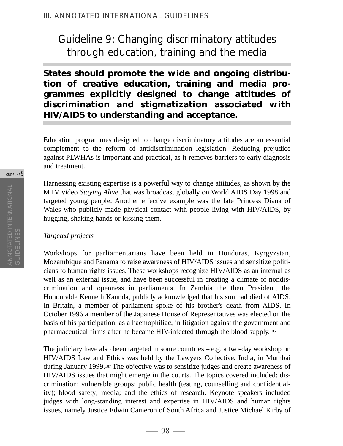Guideline 9: Changing discriminatory attitudes through education, training and the media

### **States should promote the wide and ongoing distribution of creative education, training and media programmes explicitly designed to change attitudes of discrimination and stigmatization associated with HIV/AIDS to understanding and acceptance.**

Education programmes designed to change discriminatory attitudes are an essential complement to the reform of antidiscrimination legislation. Reducing prejudice against PLWHAs is important and practical, as it removes barriers to early diagnosis and treatment.

Harnessing existing expertise is a powerful way to change attitudes, as shown by the MTV video *Staying Alive* that was broadcast globally on World AIDS Day 1998 and targeted young people. Another effective example was the late Princess Diana of Wales who publicly made physical contact with people living with HIV/AIDS, by hugging, shaking hands or kissing them.

#### *Targeted projects*

Workshops for parliamentarians have been held in Honduras, Kyrgyzstan, Mozambique and Panama to raise awareness of HIV/AIDS issues and sensitize politicians to human rights issues. These workshops recognize HIV/AIDS as an internal as well as an external issue, and have been successful in creating a climate of nondiscrimination and openness in parliaments. In Zambia the then President, the Honourable Kenneth Kaunda, publicly acknowledged that his son had died of AIDS. In Britain, a member of parliament spoke of his brother's death from AIDS. In October 1996 a member of the Japanese House of Representatives was elected on the basis of his participation, as a haemophiliac, in litigation against the government and pharmaceutical firms after he became HIV-infected through the blood supply.186

The judiciary have also been targeted in some countries – e.g. a two-day workshop on HIV/AIDS Law and Ethics was held by the Lawyers Collective, India, in Mumbai during January 1999.187 The objective was to sensitize judges and create awareness of HIV/AIDS issues that might emerge in the courts. The topics covered included: discrimination; vulnerable groups; public health (testing, counselling and confidentiality); blood safety; media; and the ethics of research. Keynote speakers included judges with long-standing interest and expertise in HIV/AIDS and human rights issues, namely Justice Edwin Cameron of South Africa and Justice Michael Kirby of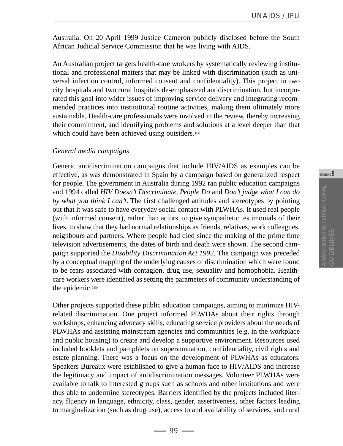Australia. On 20 April 1999 Justice Cameron publicly disclosed before the South African Judicial Service Commission that he was living with AIDS.

An Australian project targets health-care workers by systematically reviewing institutional and professional matters that may be linked with discrimination (such as universal infection control, informed consent and confidentiality). This project in two city hospitals and two rural hospitals de-emphasized antidiscrimination, but incorporated this goal into wider issues of improving service delivery and integrating recommended practices into institutional routine activities, making them ultimately more sustainable. Health-care professionals were involved in the review, thereby increasing their commitment, and identifying problems and solutions at a level deeper than that which could have been achieved using outsiders.<sup>188</sup>

#### *General media campaigns*

Generic antidiscrimination campaigns that include HIV/AIDS as examples can be effective, as was demonstrated in Spain by a campaign based on generalized respect for people. The government in Australia during 1992 ran public education campaigns and 1994 called *HIV Doesn't Discriminate, People Do* and *Don't judge what I can do by what you think I can't*. The first challenged attitudes and stereotypes by pointing out that it was safe to have everyday social contact with PLWHAs. It used real people (with informed consent), rather than actors, to give sympathetic testimonials of their lives, to show that they had normal relationships as friends, relatives, work colleagues, neighbours and partners. Where people had died since the making of the prime time television advertisements, the dates of birth and death were shown. The second campaign supported the *Disability Discrimination Act 1992.* The campaign was preceded by a conceptual mapping of the underlying causes of discrimination which were found to be fears associated with contagion, drug use, sexuality and homophobia. Healthcare workers were identified as setting the parameters of community understanding of the epidemic.189

Other projects supported these public education campaigns, aiming to minimize HIVrelated discrimination. One project informed PLWHAs about their rights through workshops, enhancing advocacy skills, educating service providers about the needs of PLWHAs and assisting mainstream agencies and communities (e.g. in the workplace and public housing) to create and develop a supportive environment. Resources used included booklets and pamphlets on superannuation, confidentiality, civil rights and estate planning. There was a focus on the development of PLWHAs as educators. Speakers Bureaux were established to give a human face to HIV/AIDS and increase the legitimacy and impact of antidiscrimination messages. Volunteer PLWHAs were available to talk to interested groups such as schools and other institutions and were thus able to undermine stereotypes. Barriers identified by the projects included literacy, fluency in language, ethnicity, class, gender, assertiveness, other factors leading to marginalization (such as drug use), access to and availability of services, and rural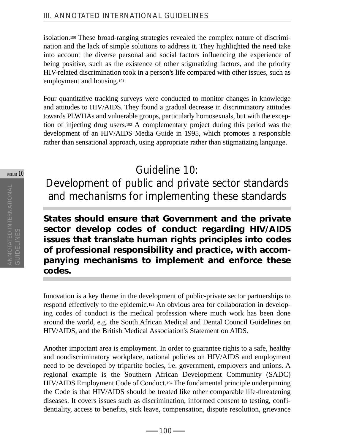isolation.190 These broad-ranging strategies revealed the complex nature of discrimination and the lack of simple solutions to address it. They highlighted the need take into account the diverse personal and social factors influencing the experience of being positive, such as the existence of other stigmatizing factors, and the priority HIV-related discrimination took in a person's life compared with other issues, such as employment and housing.191

Four quantitative tracking surveys were conducted to monitor changes in knowledge and attitudes to HIV/AIDS. They found a gradual decrease in discriminatory attitudes towards PLWHAs and vulnerable groups, particularly homosexuals, but with the exception of injecting drug users.192 A complementary project during this period was the development of an HIV/AIDS Media Guide in 1995, which promotes a responsible rather than sensational approach, using appropriate rather than stigmatizing language.

Guideline 10:

Development of public and private sector standards and mechanisms for implementing these standards

**States should ensure that Government and the private sector develop codes of conduct regarding HIV/AIDS issues that translate human rights principles into codes of professional responsibility and practice, with accompanying mechanisms to implement and enforce these codes.** 

Innovation is a key theme in the development of public-private sector partnerships to respond effectively to the epidemic.193 An obvious area for collaboration in developing codes of conduct is the medical profession where much work has been done around the world, e.g. the South African Medical and Dental Council Guidelines on HIV/AIDS, and the British Medical Association's Statement on AIDS.

Another important area is employment. In order to guarantee rights to a safe, healthy and nondiscriminatory workplace, national policies on HIV/AIDS and employment need to be developed by tripartite bodies, i.e. government, employers and unions. A regional example is the Southern African Development Community (SADC) HIV/AIDS Employment Code of Conduct.194 The fundamental principle underpinning the Code is that HIV/AIDS should be treated like other comparable life-threatening diseases. It covers issues such as discrimination, informed consent to testing, confidentiality, access to benefits, sick leave, compensation, dispute resolution, grievance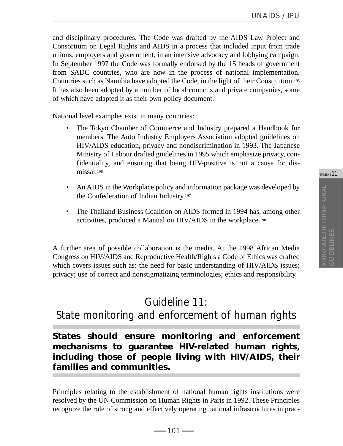ANNOTATED INTERNATIONAL

GUIDELINE 11

GUIDELINES

**GUIDELINES** 

and disciplinary procedures. The Code was drafted by the AIDS Law Project and Consortium on Legal Rights and AIDS in a process that included input from trade unions, employers and government, in an intensive advocacy and lobbying campaign. In September 1997 the Code was formally endorsed by the 15 heads of government from SADC countries, who are now in the process of national implementation. Countries such as Namibia have adopted the Code, in the light of their Constitution.195 It has also been adopted by a number of local councils and private companies, some of which have adapted it as their own policy document.

National level examples exist in many countries:

- The Tokyo Chamber of Commerce and Industry prepared a Handbook for members. The Auto Industry Employers Association adopted guidelines on HIV/AIDS education, privacy and nondiscrimination in 1993. The Japanese Ministry of Labour drafted guidelines in 1995 which emphasize privacy, confidentiality, and ensuring that being HIV-positive is not a cause for dismissal.196
- An AIDS in the Workplace policy and information package was developed by the Confederation of Indian Industry.197
- The Thailand Business Coalition on AIDS formed in 1994 has, among other actitvities, produced a Manual on HIV/AIDS in the workplace.198

A further area of possible collaboration is the media. At the 1998 African Media Congress on HIV/AIDS and Reproductive Health/Rights a Code of Ethics was drafted which covers issues such as: the need for basic understanding of HIV/AIDS issues; privacy; use of correct and nonstigmatizing terminologies; ethics and responsibility.

# Guideline 11:

## State monitoring and enforcement of human rights

## **States should ensure monitoring and enforcement mechanisms to guarantee HIV-related human rights, including those of people living with HIV/AIDS, their families and communities.**

Principles relating to the establishment of national human rights institutions were resolved by the UN Commission on Human Rights in Paris in 1992. These Principles recognize the role of strong and effectively operating national infrastructures in prac-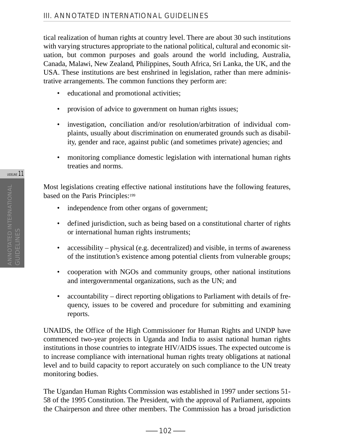tical realization of human rights at country level. There are about 30 such institutions with varying structures appropriate to the national political, cultural and economic situation, but common purposes and goals around the world including, Australia, Canada, Malawi, New Zealand, Philippines, South Africa, Sri Lanka, the UK, and the USA. These institutions are best enshrined in legislation, rather than mere administrative arrangements. The common functions they perform are:

- educational and promotional activities;
- provision of advice to government on human rights issues;
- investigation, conciliation and/or resolution/arbitration of individual complaints, usually about discrimination on enumerated grounds such as disability, gender and race, against public (and sometimes private) agencies; and
- monitoring compliance domestic legislation with international human rights treaties and norms.

Most legislations creating effective national institutions have the following features, based on the Paris Principles:199

- independence from other organs of government;
- defined jurisdiction, such as being based on a constitutional charter of rights or international human rights instruments;
- accessibility physical (e.g. decentralized) and visible, in terms of awareness of the institution's existence among potential clients from vulnerable groups;
- cooperation with NGOs and community groups, other national institutions and intergovernmental organizations, such as the UN; and
- accountability direct reporting obligations to Parliament with details of frequency, issues to be covered and procedure for submitting and examining reports.

UNAIDS, the Office of the High Commissioner for Human Rights and UNDP have commenced two-year projects in Uganda and India to assist national human rights institutions in those countries to integrate HIV/AIDS issues. The expected outcome is to increase compliance with international human rights treaty obligations at national level and to build capacity to report accurately on such compliance to the UN treaty monitoring bodies.

The Ugandan Human Rights Commission was established in 1997 under sections 51- 58 of the 1995 Constitution. The President, with the approval of Parliament, appoints the Chairperson and three other members. The Commission has a broad jurisdiction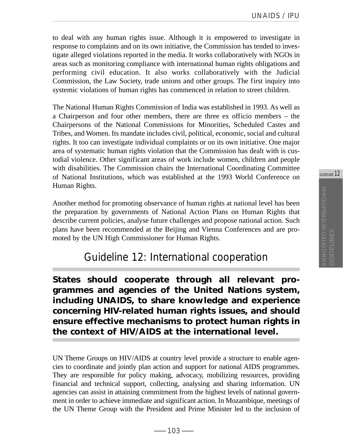to deal with any human rights issue. Although it is empowered to investigate in response to complaints and on its own initiative, the Commission has tended to investigate alleged violations reported in the media. It works collaboratively with NGOs in areas such as monitoring compliance with international human rights obligations and performing civil education. It also works collaboratively with the Judicial Commission, the Law Society, trade unions and other groups. The first inquiry into systemic violations of human rights has commenced in relation to street children.

The National Human Rights Commission of India was established in 1993. As well as a Chairperson and four other members, there are three ex officio members – the Chairpersons of the National Commissions for Minorities, Scheduled Castes and Tribes, and Women. Its mandate includes civil, political, economic, social and cultural rights. It too can investigate individual complaints or on its own initiative. One major area of systematic human rights violation that the Commission has dealt with is custodial violence. Other significant areas of work include women, children and people with disabilities. The Commission chairs the International Coordinating Committee of National Institutions, which was established at the 1993 World Conference on Human Rights.

Another method for promoting observance of human rights at national level has been the preparation by governments of National Action Plans on Human Rights that describe current policies, analyse future challenges and propose national action. Such plans have been recommended at the Beijing and Vienna Conferences and are promoted by the UN High Commissioner for Human Rights.

## Guideline 12: International cooperation

**States should cooperate through all relevant programmes and agencies of the United Nations system, including UNAIDS, to share knowledge and experience concerning HIV-related human rights issues, and should ensure effective mechanisms to protect human rights in the context of HIV/AIDS at the international level.** 

UN Theme Groups on HIV/AIDS at country level provide a structure to enable agencies to coordinate and jointly plan action and support for national AIDS programmes. They are responsible for policy making, advocacy, mobilizing resources, providing financial and technical support, collecting, analysing and sharing information. UN agencies can assist in attaining commitment from the highest levels of national government in order to achieve immediate and significant action. In Mozambique, meetings of the UN Theme Group with the President and Prime Minister led to the inclusion of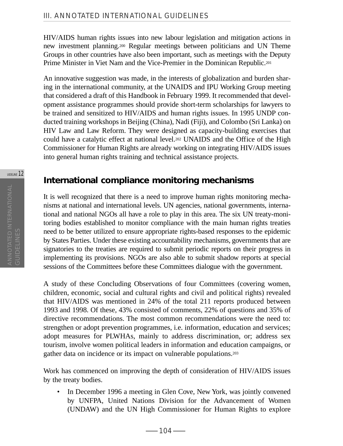HIV/AIDS human rights issues into new labour legislation and mitigation actions in new investment planning.200 Regular meetings between politicians and UN Theme Groups in other countries have also been important, such as meetings with the Deputy Prime Minister in Viet Nam and the Vice-Premier in the Dominican Republic.201

An innovative suggestion was made, in the interests of globalization and burden sharing in the international community, at the UNAIDS and IPU Working Group meeting that considered a draft of this Handbook in February 1999. It recommended that development assistance programmes should provide short-term scholarships for lawyers to be trained and sensitized to HIV/AIDS and human rights issues. In 1995 UNDP conducted training workshops in Beijing (China), Nadi (Fiji), and Colombo (Sri Lanka) on HIV Law and Law Reform. They were designed as capacity-building exercises that could have a catalytic effect at national level.202 UNAIDS and the Office of the High Commissioner for Human Rights are already working on integrating HIV/AIDS issues into general human rights training and technical assistance projects.

### **International compliance monitoring mechanisms**

It is well recognized that there is a need to improve human rights monitoring mechanisms at national and international levels. UN agencies, national governments, international and national NGOs all have a role to play in this area. The six UN treaty-monitoring bodies established to monitor compliance with the main human rights treaties need to be better utilized to ensure appropriate rights-based responses to the epidemic by States Parties. Under these existing accountability mechanisms, governments that are signatories to the treaties are required to submit periodic reports on their progress in implementing its provisions. NGOs are also able to submit shadow reports at special sessions of the Committees before these Committees dialogue with the government.

A study of these Concluding Observations of four Committees (covering women, children, economic, social and cultural rights and civil and political rights) revealed that HIV/AIDS was mentioned in 24% of the total 211 reports produced between 1993 and 1998. Of these, 43% consisted of comments, 22% of questions and 35% of directive recommendations. The most common recommendations were the need to: strengthen or adopt prevention programmes, i.e. information, education and services; adopt measures for PLWHAs, mainly to address discrimination, or; address sex tourism, involve women political leaders in information and education campaigns, or gather data on incidence or its impact on vulnerable populations.203

Work has commenced on improving the depth of consideration of HIV/AIDS issues by the treaty bodies.

• In December 1996 a meeting in Glen Cove, New York, was jointly convened by UNFPA, United Nations Division for the Advancement of Women (UNDAW) and the UN High Commissioner for Human Rights to explore

UIDELINE 12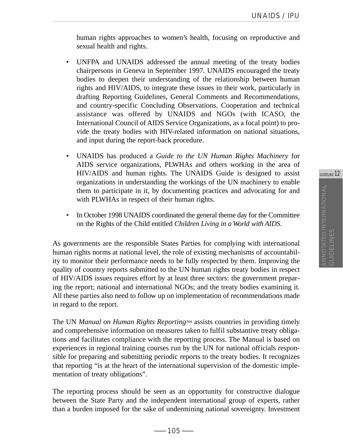human rights approaches to women's health, focusing on reproductive and sexual health and rights.

- UNFPA and UNAIDS addressed the annual meeting of the treaty bodies chairpersons in Geneva in September 1997. UNAIDS encouraged the treaty bodies to deepen their understanding of the relationship between human rights and HIV/AIDS, to integrate these issues in their work, particularly in drafting Reporting Guidelines, General Comments and Recommendations, and country-specific Concluding Observations. Cooperation and technical assistance was offered by UNAIDS and NGOs (with ICASO, the International Council of AIDS Service Organizations, as a focal point) to provide the treaty bodies with HIV-related information on national situations, and input during the report-back procedure.
- UNAIDS has produced a *Guide to the UN Human Rights Machinery* for AIDS service organizations, PLWHAs and others working in the area of HIV/AIDS and human rights. The UNAIDS Guide is designed to assist organizations in understanding the workings of the UN machinery to enable them to participate in it, by documenting practices and advocating for and with PLWHAs in respect of their human rights.
- In October 1998 UNAIDS coordinated the general theme day for the Committee on the Rights of the Child entitled *Children Living in a World with AIDS*.

As governments are the responsible States Parties for complying with international human rights norms at national level, the role of existing mechanisms of accountability to monitor their performance needs to be fully respected by them. Improving the quality of country reports submitted to the UN human rights treaty bodies in respect of HIV/AIDS issues requires effort by at least three sectors: the government preparing the report; national and international NGOs; and the treaty bodies examining it. All these parties also need to follow up on implementation of recommendations made in regard to the report.

The UN *Manual on Human Rights Reporting*<sup>204</sup> assists countries in providing timely and comprehensive information on measures taken to fulfil substantive treaty obligations and facilitates compliance with the reporting process. The Manual is based on experiences in regional training courses run by the UN for national officials responsible for preparing and submitting periodic reports to the treaty bodies. It recognizes that reporting "is at the heart of the international supervision of the domestic implementation of treaty obligations".

The reporting process should be seen as an opportunity for constructive dialogue between the State Party and the independent international group of experts, rather than a burden imposed for the sake of undermining national sovereignty. Investment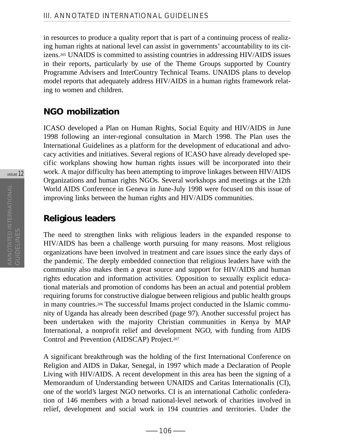in resources to produce a quality report that is part of a continuing process of realizing human rights at national level can assist in governments' accountability to its citizens.205 UNAIDS is committed to assisting countries in addressing HIV/AIDS issues in their reports, particularly by use of the Theme Groups supported by Country Programme Advisers and InterCountry Technical Teams. UNAIDS plans to develop model reports that adequately address HIV/AIDS in a human rights framework relating to women and children.

### **NGO mobilization**

ICASO developed a Plan on Human Rights, Social Equity and HIV/AIDS in June 1998 following an inter-regional consultation in March 1998. The Plan uses the International Guidelines as a platform for the development of educational and advocacy activities and initiatives. Several regions of ICASO have already developed specific workplans showing how human rights issues will be incorporated into their work. A major difficulty has been attempting to improve linkages between HIV/AIDS Organizations and human rights NGOs. Several workshops and meetings at the 12th World AIDS Conference in Geneva in June-July 1998 were focused on this issue of improving links between the human rights and HIV/AIDS communities.

#### **Religious leaders**

The need to strengthen links with religious leaders in the expanded response to HIV/AIDS has been a challenge worth pursuing for many reasons. Most religious organizations have been involved in treatment and care issues since the early days of the pandemic. The deeply embedded connection that religious leaders have with the community also makes them a great source and support for HIV/AIDS and human rights education and information activities. Opposition to sexually explicit educational materials and promotion of condoms has been an actual and potential problem requiring forums for constructive dialogue between religious and public health groups in many countries.206 The successful Imams project conducted in the Islamic community of Uganda has already been described (page 97). Another successful project has been undertaken with the majority Christian communities in Kenya by MAP International, a nonprofit relief and development NGO, with funding from AIDS Control and Prevention (AIDSCAP) Project.207

A significant breakthrough was the holding of the first International Conference on Religion and AIDS in Dakar, Senegal, in 1997 which made a Declaration of People Living with HIV/AIDS. A recent development in this area has been the signing of a Memorandum of Understanding between UNAIDS and Caritas Internationalis (CI), one of the world's largest NGO networks. CI is an international Catholic confederation of 146 members with a broad national-level network of charities involved in relief, development and social work in 194 countries and territories. Under the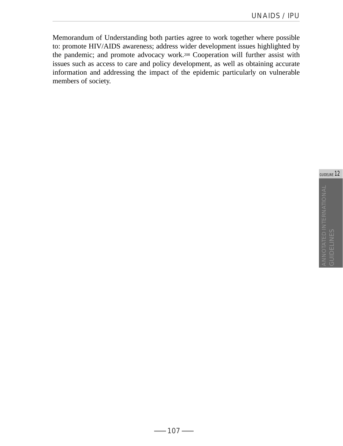Memorandum of Understanding both parties agree to work together where possible to: promote HIV/AIDS awareness; address wider development issues highlighted by the pandemic; and promote advocacy work.208 Cooperation will further assist with issues such as access to care and policy development, as well as obtaining accurate information and addressing the impact of the epidemic particularly on vulnerable members of society.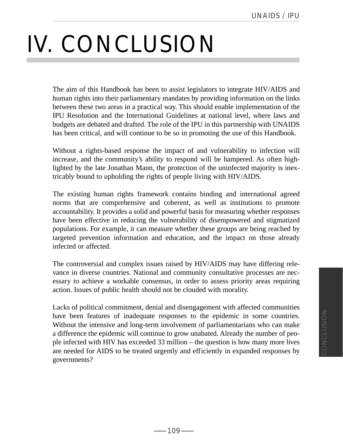# IV. CONCLUSION

The aim of this Handbook has been to assist legislators to integrate HIV/AIDS and human rights into their parliamentary mandates by providing information on the links between these two areas in a practical way. This should enable implementation of the IPU Resolution and the International Guidelines at national level, where laws and budgets are debated and drafted. The role of the IPU in this partnership with UNAIDS has been critical, and will continue to be so in promoting the use of this Handbook.

Without a rights-based response the impact of and vulnerability to infection will increase, and the community's ability to respond will be hampered. As often highlighted by the late Jonathan Mann, the protection of the uninfected majority is inextricably bound to upholding the rights of people living with HIV/AIDS.

The existing human rights framework contains binding and international agreed norms that are comprehensive and coherent, as well as institutions to promote accountability. It provides a solid and powerful basis for measuring whether responses have been effective in reducing the vulnerability of disempowered and stigmatized populations. For example, it can measure whether these groups are being reached by targeted prevention information and education, and the impact on those already infected or affected.

The controversial and complex issues raised by HIV/AIDS may have differing relevance in diverse countries. National and community consultative processes are necessary to achieve a workable consensus, in order to assess priority areas requiring action. Issues of public health should not be clouded with morality.

Lacks of political commitment, denial and disengagement with affected communities have been features of inadequate responses to the epidemic in some countries. Without the intensive and long-term involvement of parliamentarians who can make a difference the epidemic will continue to grow unabated. Already the number of people infected with HIV has exceeded 33 million – the question is how many more lives are needed for AIDS to be treated urgently and efficiently in expanded responses by governments?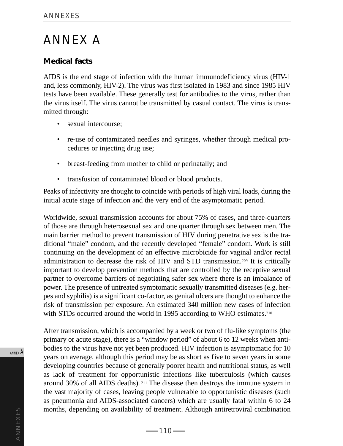# ANNEX A

#### **Medical facts**

AIDS is the end stage of infection with the human immunodeficiency virus (HIV-1 and, less commonly, HIV-2). The virus was first isolated in 1983 and since 1985 HIV tests have been available. These generally test for antibodies to the virus, rather than the virus itself. The virus cannot be transmitted by casual contact. The virus is transmitted through:

- sexual intercourse:
- re-use of contaminated needles and syringes, whether through medical procedures or injecting drug use;
- breast-feeding from mother to child or perinatally; and
- transfusion of contaminated blood or blood products.

Peaks of infectivity are thought to coincide with periods of high viral loads, during the initial acute stage of infection and the very end of the asymptomatic period.

Worldwide, sexual transmission accounts for about 75% of cases, and three-quarters of those are through heterosexual sex and one quarter through sex between men. The main barrier method to prevent transmission of HIV during penetrative sex is the traditional "male" condom, and the recently developed "female" condom. Work is still continuing on the development of an effective microbicide for vaginal and/or rectal administration to decrease the risk of HIV and STD transmission.209 It is critically important to develop prevention methods that are controlled by the receptive sexual partner to overcome barriers of negotiating safer sex where there is an imbalance of power. The presence of untreated symptomatic sexually transmitted diseases (e.g. herpes and syphilis) is a significant co-factor, as genital ulcers are thought to enhance the risk of transmission per exposure. An estimated 340 million new cases of infection with STDs occurred around the world in 1995 according to WHO estimates.<sup>210</sup>

After transmission, which is accompanied by a week or two of flu-like symptoms (the primary or acute stage), there is a "window period" of about 6 to 12 weeks when antibodies to the virus have not yet been produced. HIV infection is asymptomatic for 10 years on average, although this period may be as short as five to seven years in some developing countries because of generally poorer health and nutritional status, as well as lack of treatment for opportunistic infections like tuberculosis (which causes around 30% of all AIDS deaths). <sup>211</sup> The disease then destroys the immune system in the vast majority of cases, leaving people vulnerable to opportunistic diseases (such as pneumonia and AIDS-associated cancers) which are usually fatal within 6 to 24 months, depending on availability of treatment. Although antiretroviral combination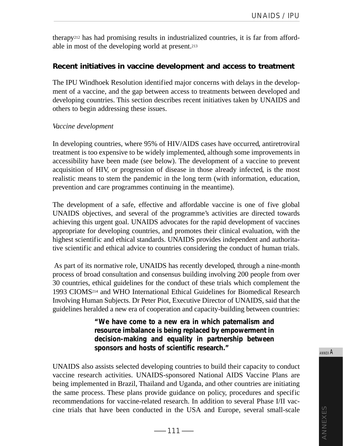therapy212 has had promising results in industrialized countries, it is far from affordable in most of the developing world at present.213

#### **Recent initiatives in vaccine development and access to treatment**

The IPU Windhoek Resolution identified major concerns with delays in the development of a vaccine, and the gap between access to treatments between developed and developing countries. This section describes recent initiatives taken by UNAIDS and others to begin addressing these issues.

#### *Vaccine development*

In developing countries, where 95% of HIV/AIDS cases have occurred, antiretroviral treatment is too expensive to be widely implemented, although some improvements in accessibility have been made (see below). The development of a vaccine to prevent acquisition of HIV, or progression of disease in those already infected, is the most realistic means to stem the pandemic in the long term (with information, education, prevention and care programmes continuing in the meantime).

The development of a safe, effective and affordable vaccine is one of five global UNAIDS objectives, and several of the programme's activities are directed towards achieving this urgent goal. UNAIDS advocates for the rapid development of vaccines appropriate for developing countries, and promotes their clinical evaluation, with the highest scientific and ethical standards. UNAIDS provides independent and authoritative scientific and ethical advice to countries considering the conduct of human trials.

As part of its normative role, UNAIDS has recently developed, through a nine-month process of broad consultation and consensus building involving 200 people from over 30 countries, ethical guidelines for the conduct of these trials which complement the 1993 CIOMS214 and WHO International Ethical Guidelines for Biomedical Research Involving Human Subjects. Dr Peter Piot, Executive Director of UNAIDS, said that the guidelines heralded a new era of cooperation and capacity-building between countries:

> **"We have come to a new era in which paternalism and resource imbalance is being replaced by empowerment in decision-making and equality in partnership between sponsors and hosts of scientific research."**

UNAIDS also assists selected developing countries to build their capacity to conduct vaccine research activities. UNAIDS-sponsored National AIDS Vaccine Plans are being implemented in Brazil, Thailand and Uganda, and other countries are initiating the same process. These plans provide guidance on policy, procedures and specific recommendations for vaccine-related research. In addition to several Phase I/II vaccine trials that have been conducted in the USA and Europe, several small-scale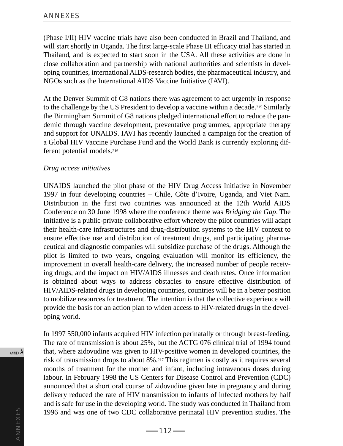(Phase I/II) HIV vaccine trials have also been conducted in Brazil and Thailand, and will start shortly in Uganda. The first large-scale Phase III efficacy trial has started in Thailand, and is expected to start soon in the USA. All these activities are done in close collaboration and partnership with national authorities and scientists in developing countries, international AIDS-research bodies, the pharmaceutical industry, and NGOs such as the International AIDS Vaccine Initiative (IAVI).

At the Denver Summit of G8 nations there was agreement to act urgently in response to the challenge by the US President to develop a vaccine within a decade.215 Similarly the Birmingham Summit of G8 nations pledged international effort to reduce the pandemic through vaccine development, preventative programmes, appropriate therapy and support for UNAIDS. IAVI has recently launched a campaign for the creation of a Global HIV Vaccine Purchase Fund and the World Bank is currently exploring different potential models.216

#### *Drug access initiatives*

UNAIDS launched the pilot phase of the HIV Drug Access Initiative in November 1997 in four developing countries – Chile, Côte d'Ivoire, Uganda, and Viet Nam. Distribution in the first two countries was announced at the 12th World AIDS Conference on 30 June 1998 where the conference theme was *Bridging the Gap*. The Initiative is a public-private collaborative effort whereby the pilot countries will adapt their health-care infrastructures and drug-distribution systems to the HIV context to ensure effective use and distribution of treatment drugs, and participating pharmaceutical and diagnostic companies will subsidize purchase of the drugs. Although the pilot is limited to two years, ongoing evaluation will monitor its efficiency, the improvement in overall health-care delivery, the increased number of people receiving drugs, and the impact on HIV/AIDS illnesses and death rates. Once information is obtained about ways to address obstacles to ensure effective distribution of HIV/AIDS-related drugs in developing countries, countries will be in a better position to mobilize resources for treatment. The intention is that the collective experience will provide the basis for an action plan to widen access to HIV-related drugs in the developing world.

In 1997 550,000 infants acquired HIV infection perinatally or through breast-feeding. The rate of transmission is about 25%, but the ACTG 076 clinical trial of 1994 found that, where zidovudine was given to HIV-positive women in developed countries, the risk of transmission drops to about 8%.217 This regimen is costly as it requires several months of treatment for the mother and infant, including intravenous doses during labour. In February 1998 the US Centers for Disease Control and Prevention (CDC) announced that a short oral course of zidovudine given late in pregnancy and during delivery reduced the rate of HIV transmission to infants of infected mothers by half and is safe for use in the developing world. The study was conducted in Thailand from 1996 and was one of two CDC collaborative perinatal HIV prevention studies. The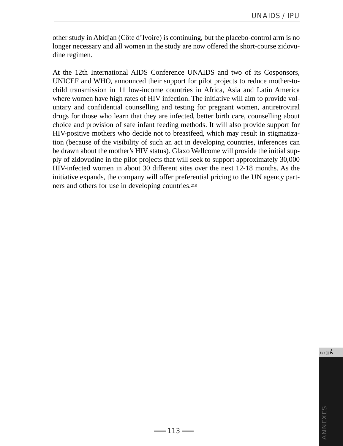other study in Abidjan (Côte d'Ivoire) is continuing, but the placebo-control arm is no longer necessary and all women in the study are now offered the short-course zidovudine regimen.

At the 12th International AIDS Conference UNAIDS and two of its Cosponsors, UNICEF and WHO, announced their support for pilot projects to reduce mother-tochild transmission in 11 low-income countries in Africa, Asia and Latin America where women have high rates of HIV infection. The initiative will aim to provide voluntary and confidential counselling and testing for pregnant women, antiretroviral drugs for those who learn that they are infected, better birth care, counselling about choice and provision of safe infant feeding methods. It will also provide support for HIV-positive mothers who decide not to breastfeed, which may result in stigmatization (because of the visibility of such an act in developing countries, inferences can be drawn about the mother's HIV status). Glaxo Wellcome will provide the initial supply of zidovudine in the pilot projects that will seek to support approximately 30,000 HIV-infected women in about 30 different sites over the next 12-18 months. As the initiative expands, the company will offer preferential pricing to the UN agency partners and others for use in developing countries.218

ANNEX<sub>A</sub>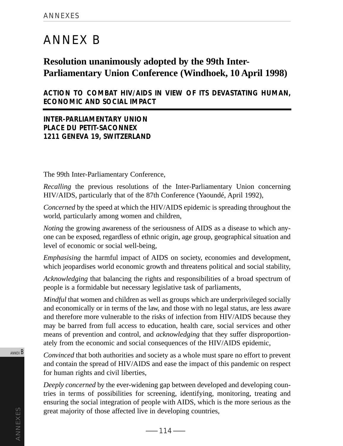# ANNEX B

#### **Resolution unanimously adopted by the 99th Inter-Parliamentary Union Conference (Windhoek, 10 April 1998)**

**ACTION TO COMBAT HIV/AIDS IN VIEW OF ITS DEVASTATING HUMAN, ECONOMIC AND SOCIAL IMPACT**

**INTER-PARLIAMENTARY UNION PLACE DU PETIT-SACONNEX 1211 GENEVA 19, SWITZERLAND**

The 99th Inter-Parliamentary Conference,

*Recalling* the previous resolutions of the Inter-Parliamentary Union concerning HIV/AIDS, particularly that of the 87th Conference (Yaoundé, April 1992),

*Concerned* by the speed at which the HIV/AIDS epidemic is spreading throughout the world, particularly among women and children,

*Noting* the growing awareness of the seriousness of AIDS as a disease to which anyone can be exposed, regardless of ethnic origin, age group, geographical situation and level of economic or social well-being,

*Emphasising* the harmful impact of AIDS on society, economies and development, which jeopardises world economic growth and threatens political and social stability,

*Acknowledging* that balancing the rights and responsibilities of a broad spectrum of people is a formidable but necessary legislative task of parliaments,

*Mindful* that women and children as well as groups which are underprivileged socially and economically or in terms of the law, and those with no legal status, are less aware and therefore more vulnerable to the risks of infection from HIV/AIDS because they may be barred from full access to education, health care, social services and other means of prevention and control, and *acknowledging* that they suffer disproportionately from the economic and social consequences of the HIV/AIDS epidemic,

*Convinced* that both authorities and society as a whole must spare no effort to prevent and contain the spread of HIV/AIDS and ease the impact of this pandemic on respect for human rights and civil liberties,

*Deeply concerned* by the ever-widening gap between developed and developing countries in terms of possibilities for screening, identifying, monitoring, treating and ensuring the social integration of people with AIDS, which is the more serious as the great majority of those affected live in developing countries,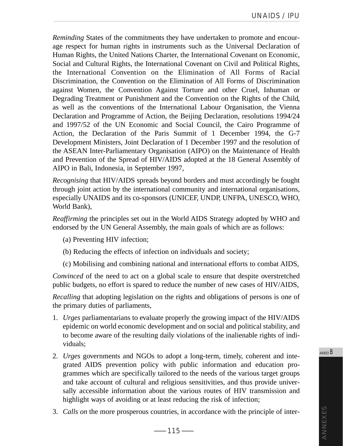*Reminding* States of the commitments they have undertaken to promote and encourage respect for human rights in instruments such as the Universal Declaration of Human Rights, the United Nations Charter, the International Covenant on Economic, Social and Cultural Rights, the International Covenant on Civil and Political Rights, the International Convention on the Elimination of All Forms of Racial Discrimination, the Convention on the Elimination of All Forms of Discrimination against Women, the Convention Against Torture and other Cruel, Inhuman or Degrading Treatment or Punishment and the Convention on the Rights of the Child, as well as the conventions of the International Labour Organisation, the Vienna Declaration and Programme of Action, the Beijing Declaration, resolutions 1994/24 and 1997/52 of the UN Economic and Social Council, the Cairo Programme of Action, the Declaration of the Paris Summit of 1 December 1994, the G-7 Development Ministers, Joint Declaration of 1 December 1997 and the resolution of the ASEAN Inter-Parliamentary Organisation (AIPO) on the Maintenance of Health and Prevention of the Spread of HIV/AIDS adopted at the 18 General Assembly of AIPO in Bali, Indonesia, in September 1997,

*Recognising* that HIV/AIDS spreads beyond borders and must accordingly be fought through joint action by the international community and international organisations, especially UNAIDS and its co-sponsors (UNICEF, UNDP, UNFPA, UNESCO, WHO, World Bank),

*Reaffirming* the principles set out in the World AIDS Strategy adopted by WHO and endorsed by the UN General Assembly, the main goals of which are as follows:

- (a) Preventing HIV infection;
- (b) Reducing the effects of infection on individuals and society;
- (c) Mobilising and combining national and international efforts to combat AIDS,

*Convinced* of the need to act on a global scale to ensure that despite overstretched public budgets, no effort is spared to reduce the number of new cases of HIV/AIDS,

*Recalling* that adopting legislation on the rights and obligations of persons is one of the primary duties of parliaments,

- 1. *Urges* parliamentarians to evaluate properly the growing impact of the HIV/AIDS epidemic on world economic development and on social and political stability, and to become aware of the resulting daily violations of the inalienable rights of individuals;
- 2. *Urges* governments and NGOs to adopt a long-term, timely, coherent and integrated AIDS prevention policy with public information and education programmes which are specifically tailored to the needs of the various target groups and take account of cultural and religious sensitivities, and thus provide universally accessible information about the various routes of HIV transmission and highlight ways of avoiding or at least reducing the risk of infection;
- 3. *Calls on* the more prosperous countries, in accordance with the principle of inter-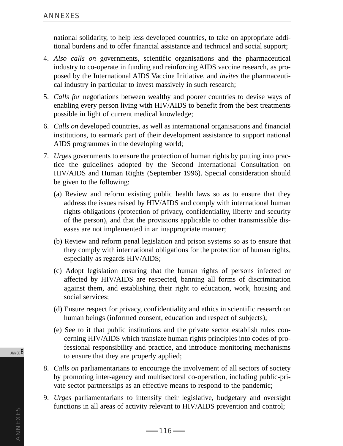national solidarity, to help less developed countries, to take on appropriate additional burdens and to offer financial assistance and technical and social support;

- 4. *Also calls on* governments, scientific organisations and the pharmaceutical industry to co-operate in funding and reinforcing AIDS vaccine research, as proposed by the International AIDS Vaccine Initiative, and *invites* the pharmaceutical industry in particular to invest massively in such research;
- 5. *Calls for* negotiations between wealthy and poorer countries to devise ways of enabling every person living with HIV/AIDS to benefit from the best treatments possible in light of current medical knowledge;
- 6. *Calls on* developed countries, as well as international organisations and financial institutions, to earmark part of their development assistance to support national AIDS programmes in the developing world;
- 7. *Urges* governments to ensure the protection of human rights by putting into practice the guidelines adopted by the Second International Consultation on HIV/AIDS and Human Rights (September 1996). Special consideration should be given to the following:
	- (a) Review and reform existing public health laws so as to ensure that they address the issues raised by HIV/AIDS and comply with international human rights obligations (protection of privacy, confidentiality, liberty and security of the person), and that the provisions applicable to other transmissible diseases are not implemented in an inappropriate manner;
	- (b) Review and reform penal legislation and prison systems so as to ensure that they comply with international obligations for the protection of human rights, especially as regards HIV/AIDS;
	- (c) Adopt legislation ensuring that the human rights of persons infected or affected by HIV/AIDS are respected, banning all forms of discrimination against them, and establishing their right to education, work, housing and social services;
	- (d) Ensure respect for privacy, confidentiality and ethics in scientific research on human beings (informed consent, education and respect of subjects);
	- (e) See to it that public institutions and the private sector establish rules concerning HIV/AIDS which translate human rights principles into codes of professional responsibility and practice, and introduce monitoring mechanisms to ensure that they are properly applied;
- 8. *Calls on* parliamentarians to encourage the involvement of all sectors of society by promoting inter-agency and multisectoral co-operation, including public-private sector partnerships as an effective means to respond to the pandemic;
- 9. *Urges* parliamentarians to intensify their legislative, budgetary and oversight functions in all areas of activity relevant to HIV/AIDS prevention and control;

ANNEX B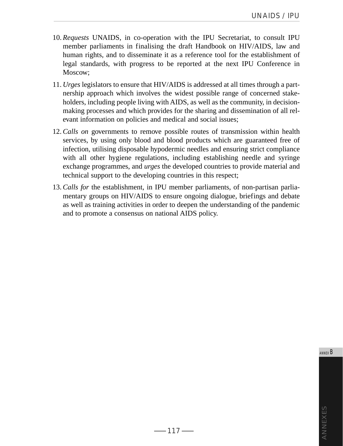- 10. *Requests* UNAIDS, in co-operation with the IPU Secretariat, to consult IPU member parliaments in finalising the draft Handbook on HIV/AIDS, law and human rights, and to disseminate it as a reference tool for the establishment of legal standards, with progress to be reported at the next IPU Conference in Moscow;
- 11. *Urges* legislators to ensure that HIV/AIDS is addressed at all times through a partnership approach which involves the widest possible range of concerned stakeholders, including people living with AIDS, as well as the community, in decisionmaking processes and which provides for the sharing and dissemination of all relevant information on policies and medical and social issues;
- 12. *Calls on* governments to remove possible routes of transmission within health services, by using only blood and blood products which are guaranteed free of infection, utilising disposable hypodermic needles and ensuring strict compliance with all other hygiene regulations, including establishing needle and syringe exchange programmes, and *urges* the developed countries to provide material and technical support to the developing countries in this respect;
- 13. *Calls for* the establishment, in IPU member parliaments, of non-partisan parliamentary groups on HIV/AIDS to ensure ongoing dialogue, briefings and debate as well as training activities in order to deepen the understanding of the pandemic and to promote a consensus on national AIDS policy.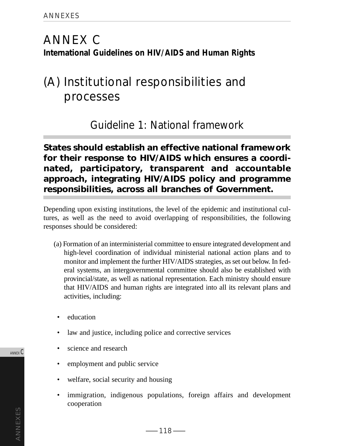# ANNEX C

**International Guidelines on HIV/AIDS and Human Rights**

# (A) Institutional responsibilities and processes

Guideline 1: National framework

#### **States should establish an effective national framework for their response to HIV/AIDS which ensures a coordinated, participatory, transparent and accountable approach, integrating HIV/AIDS policy and programme responsibilities, across all branches of Government.**

Depending upon existing institutions, the level of the epidemic and institutional cultures, as well as the need to avoid overlapping of responsibilities, the following responses should be considered:

- (a) Formation of an interministerial committee to ensure integrated development and high-level coordination of individual ministerial national action plans and to monitor and implement the further HIV/AIDS strategies, as set out below. In federal systems, an intergovernmental committee should also be established with provincial/state, as well as national representation. Each ministry should ensure that HIV/AIDS and human rights are integrated into all its relevant plans and activities, including:
	- education
	- law and justice, including police and corrective services
	- science and research
- employment and public service
- welfare, social security and housing
- immigration, indigenous populations, foreign affairs and development cooperation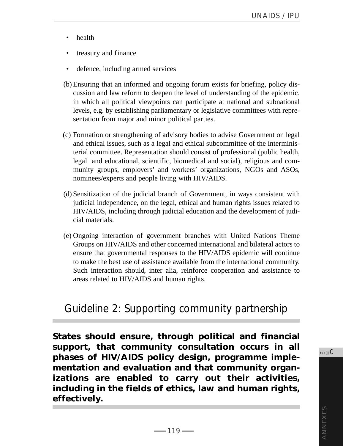- health
- treasury and finance
- defence, including armed services
- (b) Ensuring that an informed and ongoing forum exists for briefing, policy discussion and law reform to deepen the level of understanding of the epidemic, in which all political viewpoints can participate at national and subnational levels, e.g. by establishing parliamentary or legislative committees with representation from major and minor political parties.
- (c) Formation or strengthening of advisory bodies to advise Government on legal and ethical issues, such as a legal and ethical subcommittee of the interministerial committee. Representation should consist of professional (public health, legal and educational, scientific, biomedical and social), religious and community groups, employers' and workers' organizations, NGOs and ASOs, nominees/experts and people living with HIV/AIDS.
- (d) Sensitization of the judicial branch of Government, in ways consistent with judicial independence, on the legal, ethical and human rights issues related to HIV/AIDS, including through judicial education and the development of judicial materials.
- (e) Ongoing interaction of government branches with United Nations Theme Groups on HIV/AIDS and other concerned international and bilateral actors to ensure that governmental responses to the HIV/AIDS epidemic will continue to make the best use of assistance available from the international community. Such interaction should, inter alia, reinforce cooperation and assistance to areas related to HIV/AIDS and human rights.

## Guideline 2: Supporting community partnership

**States should ensure, through political and financial support, that community consultation occurs in all phases of HIV/AIDS policy design, programme implementation and evaluation and that community organizations are enabled to carry out their activities, including in the fields of ethics, law and human rights, effectively.**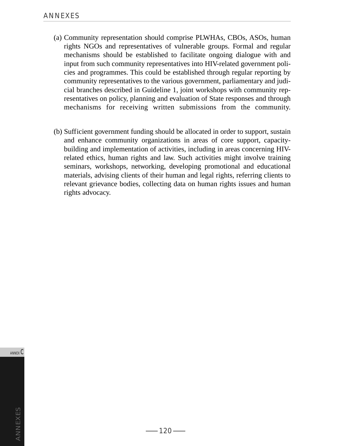- (a) Community representation should comprise PLWHAs, CBOs, ASOs, human rights NGOs and representatives of vulnerable groups. Formal and regular mechanisms should be established to facilitate ongoing dialogue with and input from such community representatives into HIV-related government policies and programmes. This could be established through regular reporting by community representatives to the various government, parliamentary and judicial branches described in Guideline 1, joint workshops with community representatives on policy, planning and evaluation of State responses and through mechanisms for receiving written submissions from the community.
- (b) Sufficient government funding should be allocated in order to support, sustain and enhance community organizations in areas of core support, capacitybuilding and implementation of activities, including in areas concerning HIVrelated ethics, human rights and law. Such activities might involve training seminars, workshops, networking, developing promotional and educational materials, advising clients of their human and legal rights, referring clients to relevant grievance bodies, collecting data on human rights issues and human rights advocacy.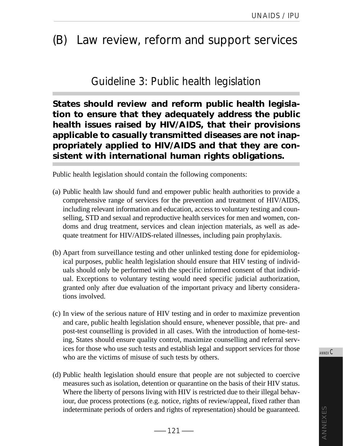# (B) Law review, reform and support services

## Guideline 3: Public health legislation

**States should review and reform public health legislation to ensure that they adequately address the public health issues raised by HIV/AIDS, that their provisions applicable to casually transmitted diseases are not inappropriately applied to HIV/AIDS and that they are consistent with international human rights obligations.**

Public health legislation should contain the following components:

- (a) Public health law should fund and empower public health authorities to provide a comprehensive range of services for the prevention and treatment of HIV/AIDS, including relevant information and education, access to voluntary testing and counselling, STD and sexual and reproductive health services for men and women, condoms and drug treatment, services and clean injection materials, as well as adequate treatment for HIV/AIDS-related illnesses, including pain prophylaxis.
- (b) Apart from surveillance testing and other unlinked testing done for epidemiological purposes, public health legislation should ensure that HIV testing of individuals should only be performed with the specific informed consent of that individual. Exceptions to voluntary testing would need specific judicial authorization, granted only after due evaluation of the important privacy and liberty considerations involved.
- (c) In view of the serious nature of HIV testing and in order to maximize prevention and care, public health legislation should ensure, whenever possible, that pre- and post-test counselling is provided in all cases. With the introduction of home-testing, States should ensure quality control, maximize counselling and referral services for those who use such tests and establish legal and support services for those who are the victims of misuse of such tests by others.
- (d) Public health legislation should ensure that people are not subjected to coercive measures such as isolation, detention or quarantine on the basis of their HIV status. Where the liberty of persons living with HIV is restricted due to their illegal behaviour, due process protections (e.g. notice, rights of review/appeal, fixed rather than indeterminate periods of orders and rights of representation) should be guaranteed.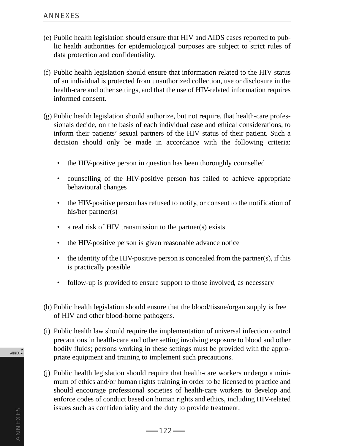- (e) Public health legislation should ensure that HIV and AIDS cases reported to public health authorities for epidemiological purposes are subject to strict rules of data protection and confidentiality.
- (f) Public health legislation should ensure that information related to the HIV status of an individual is protected from unauthorized collection, use or disclosure in the health-care and other settings, and that the use of HIV-related information requires informed consent.
- (g) Public health legislation should authorize, but not require, that health-care professionals decide, on the basis of each individual case and ethical considerations, to inform their patients' sexual partners of the HIV status of their patient. Such a decision should only be made in accordance with the following criteria:
	- the HIV-positive person in question has been thoroughly counselled
	- counselling of the HIV-positive person has failed to achieve appropriate behavioural changes
	- the HIV-positive person has refused to notify, or consent to the notification of his/her partner(s)
	- a real risk of HIV transmission to the partner(s) exists
	- the HIV-positive person is given reasonable advance notice
	- the identity of the HIV-positive person is concealed from the partner(s), if this is practically possible
	- follow-up is provided to ensure support to those involved, as necessary
- (h) Public health legislation should ensure that the blood/tissue/organ supply is free of HIV and other blood-borne pathogens.
- (i) Public health law should require the implementation of universal infection control precautions in health-care and other setting involving exposure to blood and other bodily fluids; persons working in these settings must be provided with the appropriate equipment and training to implement such precautions.
- (j) Public health legislation should require that health-care workers undergo a minimum of ethics and/or human rights training in order to be licensed to practice and should encourage professional societies of health-care workers to develop and enforce codes of conduct based on human rights and ethics, including HIV-related issues such as confidentiality and the duty to provide treatment.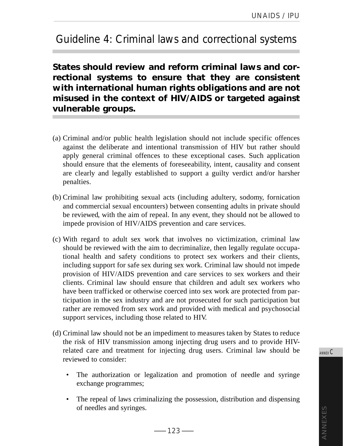## Guideline 4: Criminal laws and correctional systems

#### **States should review and reform criminal laws and correctional systems to ensure that they are consistent with international human rights obligations and are not misused in the context of HIV/AIDS or targeted against vulnerable groups.**

- (a) Criminal and/or public health legislation should not include specific offences against the deliberate and intentional transmission of HIV but rather should apply general criminal offences to these exceptional cases. Such application should ensure that the elements of foreseeability, intent, causality and consent are clearly and legally established to support a guilty verdict and/or harsher penalties.
- (b) Criminal law prohibiting sexual acts (including adultery, sodomy, fornication and commercial sexual encounters) between consenting adults in private should be reviewed, with the aim of repeal. In any event, they should not be allowed to impede provision of HIV/AIDS prevention and care services.
- (c) With regard to adult sex work that involves no victimization, criminal law should be reviewed with the aim to decriminalize, then legally regulate occupational health and safety conditions to protect sex workers and their clients, including support for safe sex during sex work. Criminal law should not impede provision of HIV/AIDS prevention and care services to sex workers and their clients. Criminal law should ensure that children and adult sex workers who have been trafficked or otherwise coerced into sex work are protected from participation in the sex industry and are not prosecuted for such participation but rather are removed from sex work and provided with medical and psychosocial support services, including those related to HIV.
- (d) Criminal law should not be an impediment to measures taken by States to reduce the risk of HIV transmission among injecting drug users and to provide HIVrelated care and treatment for injecting drug users. Criminal law should be reviewed to consider:
	- The authorization or legalization and promotion of needle and syringe exchange programmes;
	- The repeal of laws criminalizing the possession, distribution and dispensing of needles and syringes.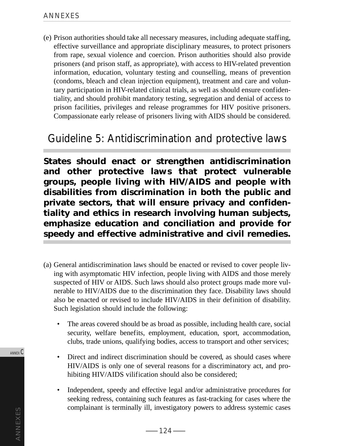(e) Prison authorities should take all necessary measures, including adequate staffing, effective surveillance and appropriate disciplinary measures, to protect prisoners from rape, sexual violence and coercion. Prison authorities should also provide prisoners (and prison staff, as appropriate), with access to HIV-related prevention information, education, voluntary testing and counselling, means of prevention (condoms, bleach and clean injection equipment), treatment and care and voluntary participation in HIV-related clinical trials, as well as should ensure confidentiality, and should prohibit mandatory testing, segregation and denial of access to prison facilities, privileges and release programmes for HIV positive prisoners. Compassionate early release of prisoners living with AIDS should be considered.

#### Guideline 5: Antidiscrimination and protective laws

**States should enact or strengthen antidiscrimination and other protective laws that protect vulnerable groups, people living with HIV/AIDS and people with disabilities from discrimination in both the public and private sectors, that will ensure privacy and confidentiality and ethics in research involving human subjects, emphasize education and conciliation and provide for speedy and effective administrative and civil remedies.**

- (a) General antidiscrimination laws should be enacted or revised to cover people living with asymptomatic HIV infection, people living with AIDS and those merely suspected of HIV or AIDS. Such laws should also protect groups made more vulnerable to HIV/AIDS due to the discrimination they face. Disability laws should also be enacted or revised to include HIV/AIDS in their definition of disability. Such legislation should include the following:
	- The areas covered should be as broad as possible, including health care, social security, welfare benefits, employment, education, sport, accommodation, clubs, trade unions, qualifying bodies, access to transport and other services;
	- Direct and indirect discrimination should be covered, as should cases where HIV/AIDS is only one of several reasons for a discriminatory act, and prohibiting HIV/AIDS vilification should also be considered;
	- Independent, speedy and effective legal and/or administrative procedures for seeking redress, containing such features as fast-tracking for cases where the complainant is terminally ill, investigatory powers to address systemic cases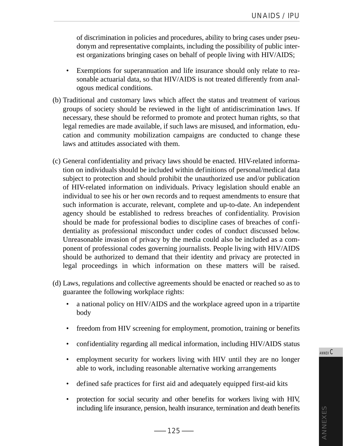of discrimination in policies and procedures, ability to bring cases under pseudonym and representative complaints, including the possibility of public interest organizations bringing cases on behalf of people living with HIV/AIDS;

- Exemptions for superannuation and life insurance should only relate to reasonable actuarial data, so that HIV/AIDS is not treated differently from analogous medical conditions.
- (b) Traditional and customary laws which affect the status and treatment of various groups of society should be reviewed in the light of antidiscrimination laws. If necessary, these should be reformed to promote and protect human rights, so that legal remedies are made available, if such laws are misused, and information, education and community mobilization campaigns are conducted to change these laws and attitudes associated with them.
- (c) General confidentiality and privacy laws should be enacted. HIV-related information on individuals should be included within definitions of personal/medical data subject to protection and should prohibit the unauthorized use and/or publication of HIV-related information on individuals. Privacy legislation should enable an individual to see his or her own records and to request amendments to ensure that such information is accurate, relevant, complete and up-to-date. An independent agency should be established to redress breaches of confidentiality. Provision should be made for professional bodies to discipline cases of breaches of confidentiality as professional misconduct under codes of conduct discussed below. Unreasonable invasion of privacy by the media could also be included as a component of professional codes governing journalists. People living with HIV/AIDS should be authorized to demand that their identity and privacy are protected in legal proceedings in which information on these matters will be raised.
- (d) Laws, regulations and collective agreements should be enacted or reached so as to guarantee the following workplace rights:
	- a national policy on HIV/AIDS and the workplace agreed upon in a tripartite body
	- freedom from HIV screening for employment, promotion, training or benefits
	- confidentiality regarding all medical information, including HIV/AIDS status
	- employment security for workers living with HIV until they are no longer able to work, including reasonable alternative working arrangements
	- defined safe practices for first aid and adequately equipped first-aid kits
	- protection for social security and other benefits for workers living with HIV, including life insurance, pension, health insurance, termination and death benefits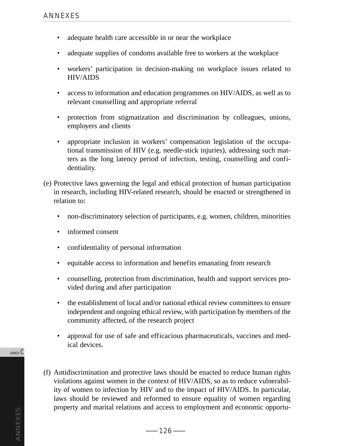- adequate health care accessible in or near the workplace
- adequate supplies of condoms available free to workers at the workplace
- workers' participation in decision-making on workplace issues related to HIV/AIDS
- access to information and education programmes on HIV/AIDS, as well as to relevant counselling and appropriate referral
- protection from stigmatization and discrimination by colleagues, unions, employers and clients
- appropriate inclusion in workers' compensation legislation of the occupational transmission of HIV (e.g. needle-stick injuries), addressing such matters as the long latency period of infection, testing, counselling and confidentiality.
- (e) Protective laws governing the legal and ethical protection of human participation in research, including HIV-related research, should be enacted or strengthened in relation to:
	- non-discriminatory selection of participants, e.g. women, children, minorities
	- informed consent
	- confidentiality of personal information
	- equitable access to information and benefits emanating from research
	- counselling, protection from discrimination, health and support services provided during and after participation
	- the establishment of local and/or national ethical review committees to ensure independent and ongoing ethical review, with participation by members of the community affected, of the research project
	- approval for use of safe and efficacious pharmaceuticals, vaccines and medical devices.

(f) Antidiscrimination and protective laws should be enacted to reduce human rights

violations against women in the context of HIV/AIDS, so as to reduce vulnerability of women to infection by HIV and to the impact of HIV/AIDS. In particular, laws should be reviewed and reformed to ensure equality of women regarding property and marital relations and access to employment and economic opportu-

ANNEXES

ANNEXES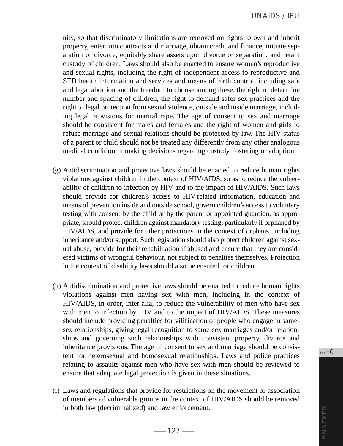nity, so that discriminatory limitations are removed on rights to own and inherit property, enter into contracts and marriage, obtain credit and finance, initiate separation or divorce, equitably share assets upon divorce or separation, and retain custody of children. Laws should also be enacted to ensure women's reproductive and sexual rights, including the right of independent access to reproductive and STD health information and services and means of birth control, including safe and legal abortion and the freedom to choose among these, the right to determine number and spacing of children, the right to demand safer sex practices and the right to legal protection from sexual violence, outside and inside marriage, including legal provisions for marital rape. The age of consent to sex and marriage should be consistent for males and females and the right of women and girls to refuse marriage and sexual relations should be protected by law. The HIV status of a parent or child should not be treated any differently from any other analogous medical condition in making decisions regarding custody, fostering or adoption.

- (g) Antidiscrimination and protective laws should be enacted to reduce human rights violations against children in the context of HIV/AIDS, so as to reduce the vulnerability of children to infection by HIV and to the impact of HIV/AIDS. Such laws should provide for children's access to HIV-related information, education and means of prevention inside and outside school, govern children's access to voluntary testing with consent by the child or by the parent or appointed guardian, as appropriate, should protect children against mandatory testing, particularly if orphaned by HIV/AIDS, and provide for other protections in the context of orphans, including inheritance and/or support. Such legislation should also protect children against sexual abuse, provide for their rehabilitation if abused and ensure that they are considered victims of wrongful behaviour, not subject to penalties themselves. Protection in the context of disability laws should also be ensured for children.
- (h) Antidiscrimination and protective laws should be enacted to reduce human rights violations against men having sex with men, including in the context of HIV/AIDS, in order, inter alia, to reduce the vulnerability of men who have sex with men to infection by HIV and to the impact of HIV/AIDS. These measures should include providing penalties for vilification of people who engage in samesex relationships, giving legal recognition to same-sex marriages and/or relationships and governing such relationships with consistent property, divorce and inheritance provisions. The age of consent to sex and marriage should be consistent for heterosexual and homosexual relationships. Laws and police practices relating to assaults against men who have sex with men should be reviewed to ensure that adequate legal protection is given in these situations.
- (i) Laws and regulations that provide for restrictions on the movement or association of members of vulnerable groups in the context of HIV/AIDS should be removed in both law (decriminalized) and law enforcement.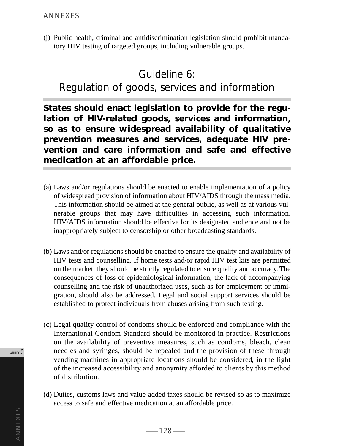(j) Public health, criminal and antidiscrimination legislation should prohibit mandatory HIV testing of targeted groups, including vulnerable groups.

## Guideline 6:

## Regulation of goods, services and information

**States should enact legislation to provide for the regulation of HIV-related goods, services and information, so as to ensure widespread availability of qualitative prevention measures and services, adequate HIV prevention and care information and safe and effective medication at an affordable price.** 

- (a) Laws and/or regulations should be enacted to enable implementation of a policy of widespread provision of information about HIV/AIDS through the mass media. This information should be aimed at the general public, as well as at various vulnerable groups that may have difficulties in accessing such information. HIV/AIDS information should be effective for its designated audience and not be inappropriately subject to censorship or other broadcasting standards.
- (b) Laws and/or regulations should be enacted to ensure the quality and availability of HIV tests and counselling. If home tests and/or rapid HIV test kits are permitted on the market, they should be strictly regulated to ensure quality and accuracy. The consequences of loss of epidemiological information, the lack of accompanying counselling and the risk of unauthorized uses, such as for employment or immigration, should also be addressed. Legal and social support services should be established to protect individuals from abuses arising from such testing.
- (c) Legal quality control of condoms should be enforced and compliance with the International Condom Standard should be monitored in practice. Restrictions on the availability of preventive measures, such as condoms, bleach, clean needles and syringes, should be repealed and the provision of these through vending machines in appropriate locations should be considered, in the light of the increased accessibility and anonymity afforded to clients by this method of distribution.
- (d) Duties, customs laws and value-added taxes should be revised so as to maximize access to safe and effective medication at an affordable price.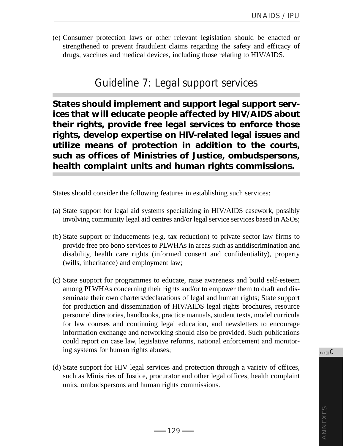(e) Consumer protection laws or other relevant legislation should be enacted or strengthened to prevent fraudulent claims regarding the safety and efficacy of drugs, vaccines and medical devices, including those relating to HIV/AIDS.

Guideline 7: Legal support services

**States should implement and support legal support services that will educate people affected by HIV/AIDS about their rights, provide free legal services to enforce those rights, develop expertise on HIV-related legal issues and utilize means of protection in addition to the courts, such as offices of Ministries of Justice, ombudspersons, health complaint units and human rights commissions.** 

States should consider the following features in establishing such services:

- (a) State support for legal aid systems specializing in HIV/AIDS casework, possibly involving community legal aid centres and/or legal service services based in ASOs;
- (b) State support or inducements (e.g. tax reduction) to private sector law firms to provide free pro bono services to PLWHAs in areas such as antidiscrimination and disability, health care rights (informed consent and confidentiality), property (wills, inheritance) and employment law;
- (c) State support for programmes to educate, raise awareness and build self-esteem among PLWHAs concerning their rights and/or to empower them to draft and disseminate their own charters/declarations of legal and human rights; State support for production and dissemination of HIV/AIDS legal rights brochures, resource personnel directories, handbooks, practice manuals, student texts, model curricula for law courses and continuing legal education, and newsletters to encourage information exchange and networking should also be provided. Such publications could report on case law, legislative reforms, national enforcement and monitoring systems for human rights abuses;
- (d) State support for HIV legal services and protection through a variety of offices, such as Ministries of Justice, procurator and other legal offices, health complaint units, ombudspersons and human rights commissions.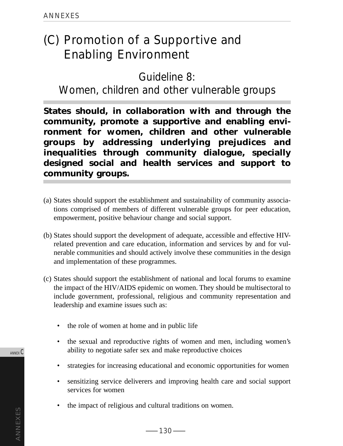# (C) Promotion of a Supportive and Enabling Environment

Guideline 8:

Women, children and other vulnerable groups

**States should, in collaboration with and through the community, promote a supportive and enabling environment for women, children and other vulnerable groups by addressing underlying prejudices and inequalities through community dialogue, specially designed social and health services and support to community groups.** 

- (a) States should support the establishment and sustainability of community associations comprised of members of different vulnerable groups for peer education, empowerment, positive behaviour change and social support.
- (b) States should support the development of adequate, accessible and effective HIVrelated prevention and care education, information and services by and for vulnerable communities and should actively involve these communities in the design and implementation of these programmes.
- (c) States should support the establishment of national and local forums to examine the impact of the HIV/AIDS epidemic on women. They should be multisectoral to include government, professional, religious and community representation and leadership and examine issues such as:
	- the role of women at home and in public life
	- the sexual and reproductive rights of women and men, including women's ability to negotiate safer sex and make reproductive choices
	- strategies for increasing educational and economic opportunities for women
	- sensitizing service deliverers and improving health care and social support services for women
	- the impact of religious and cultural traditions on women.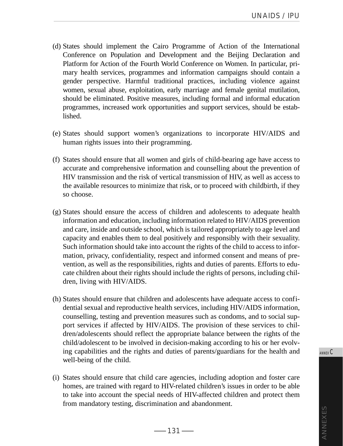- (d) States should implement the Cairo Programme of Action of the International Conference on Population and Development and the Beijing Declaration and Platform for Action of the Fourth World Conference on Women. In particular, primary health services, programmes and information campaigns should contain a gender perspective. Harmful traditional practices, including violence against women, sexual abuse, exploitation, early marriage and female genital mutilation, should be eliminated. Positive measures, including formal and informal education programmes, increased work opportunities and support services, should be established.
- (e) States should support women's organizations to incorporate HIV/AIDS and human rights issues into their programming.
- (f) States should ensure that all women and girls of child-bearing age have access to accurate and comprehensive information and counselling about the prevention of HIV transmission and the risk of vertical transmission of HIV, as well as access to the available resources to minimize that risk, or to proceed with childbirth, if they so choose.
- (g) States should ensure the access of children and adolescents to adequate health information and education, including information related to HIV/AIDS prevention and care, inside and outside school, which is tailored appropriately to age level and capacity and enables them to deal positively and responsibly with their sexuality. Such information should take into account the rights of the child to access to information, privacy, confidentiality, respect and informed consent and means of prevention, as well as the responsibilities, rights and duties of parents. Efforts to educate children about their rights should include the rights of persons, including children, living with HIV/AIDS.
- (h) States should ensure that children and adolescents have adequate access to confidential sexual and reproductive health services, including HIV/AIDS information, counselling, testing and prevention measures such as condoms, and to social support services if affected by HIV/AIDS. The provision of these services to children/adolescents should reflect the appropriate balance between the rights of the child/adolescent to be involved in decision-making according to his or her evolving capabilities and the rights and duties of parents/guardians for the health and well-being of the child.
- (i) States should ensure that child care agencies, including adoption and foster care homes, are trained with regard to HIV-related children's issues in order to be able to take into account the special needs of HIV-affected children and protect them from mandatory testing, discrimination and abandonment.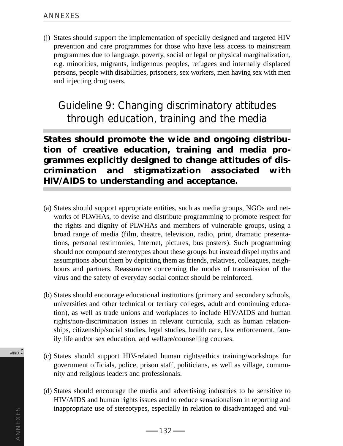(j) States should support the implementation of specially designed and targeted HIV prevention and care programmes for those who have less access to mainstream programmes due to language, poverty, social or legal or physical marginalization, e.g. minorities, migrants, indigenous peoples, refugees and internally displaced persons, people with disabilities, prisoners, sex workers, men having sex with men and injecting drug users.

Guideline 9: Changing discriminatory attitudes through education, training and the media

#### **States should promote the wide and ongoing distribution of creative education, training and media programmes explicitly designed to change attitudes of discrimination and stigmatization associated with HIV/AIDS to understanding and acceptance.**

- (a) States should support appropriate entities, such as media groups, NGOs and networks of PLWHAs, to devise and distribute programming to promote respect for the rights and dignity of PLWHAs and members of vulnerable groups, using a broad range of media (film, theatre, television, radio, print, dramatic presentations, personal testimonies, Internet, pictures, bus posters). Such programming should not compound stereotypes about these groups but instead dispel myths and assumptions about them by depicting them as friends, relatives, colleagues, neighbours and partners. Reassurance concerning the modes of transmission of the virus and the safety of everyday social contact should be reinforced.
- (b) States should encourage educational institutions (primary and secondary schools, universities and other technical or tertiary colleges, adult and continuing education), as well as trade unions and workplaces to include HIV/AIDS and human rights/non-discrimination issues in relevant curricula, such as human relationships, citizenship/social studies, legal studies, health care, law enforcement, family life and/or sex education, and welfare/counselling courses.
- (c) States should support HIV-related human rights/ethics training/workshops for government officials, police, prison staff, politicians, as well as village, community and religious leaders and professionals.
- (d) States should encourage the media and advertising industries to be sensitive to HIV/AIDS and human rights issues and to reduce sensationalism in reporting and inappropriate use of stereotypes, especially in relation to disadvantaged and vul-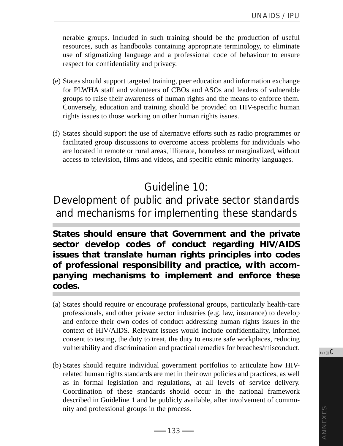nerable groups. Included in such training should be the production of useful resources, such as handbooks containing appropriate terminology, to eliminate use of stigmatizing language and a professional code of behaviour to ensure respect for confidentiality and privacy.

- (e) States should support targeted training, peer education and information exchange for PLWHA staff and volunteers of CBOs and ASOs and leaders of vulnerable groups to raise their awareness of human rights and the means to enforce them. Conversely, education and training should be provided on HIV-specific human rights issues to those working on other human rights issues.
- (f) States should support the use of alternative efforts such as radio programmes or facilitated group discussions to overcome access problems for individuals who are located in remote or rural areas, illiterate, homeless or marginalized, without access to television, films and videos, and specific ethnic minority languages.

## Guideline 10:

## Development of public and private sector standards and mechanisms for implementing these standards

**States should ensure that Government and the private sector develop codes of conduct regarding HIV/AIDS issues that translate human rights principles into codes of professional responsibility and practice, with accompanying mechanisms to implement and enforce these codes.** 

- (a) States should require or encourage professional groups, particularly health-care professionals, and other private sector industries (e.g. law, insurance) to develop and enforce their own codes of conduct addressing human rights issues in the context of HIV/AIDS. Relevant issues would include confidentiality, informed consent to testing, the duty to treat, the duty to ensure safe workplaces, reducing vulnerability and discrimination and practical remedies for breaches/misconduct.
- (b) States should require individual government portfolios to articulate how HIVrelated human rights standards are met in their own policies and practices, as well as in formal legislation and regulations, at all levels of service delivery. Coordination of these standards should occur in the national framework described in Guideline 1 and be publicly available, after involvement of community and professional groups in the process.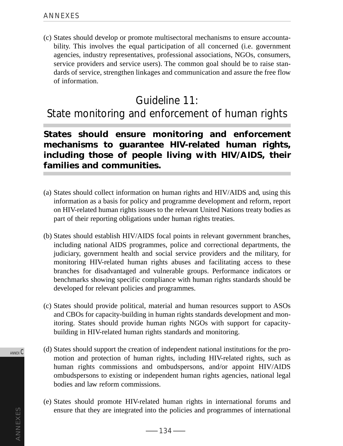(c) States should develop or promote multisectoral mechanisms to ensure accountability. This involves the equal participation of all concerned (i.e. government agencies, industry representatives, professional associations, NGOs, consumers, service providers and service users). The common goal should be to raise standards of service, strengthen linkages and communication and assure the free flow of information.

# Guideline 11:

#### State monitoring and enforcement of human rights

#### **States should ensure monitoring and enforcement mechanisms to guarantee HIV-related human rights, including those of people living with HIV/AIDS, their families and communities.**

- (a) States should collect information on human rights and HIV/AIDS and, using this information as a basis for policy and programme development and reform, report on HIV-related human rights issues to the relevant United Nations treaty bodies as part of their reporting obligations under human rights treaties.
- (b) States should establish HIV/AIDS focal points in relevant government branches, including national AIDS programmes, police and correctional departments, the judiciary, government health and social service providers and the military, for monitoring HIV-related human rights abuses and facilitating access to these branches for disadvantaged and vulnerable groups. Performance indicators or benchmarks showing specific compliance with human rights standards should be developed for relevant policies and programmes.
- (c) States should provide political, material and human resources support to ASOs and CBOs for capacity-building in human rights standards development and monitoring. States should provide human rights NGOs with support for capacitybuilding in HIV-related human rights standards and monitoring.
- (d) States should support the creation of independent national institutions for the promotion and protection of human rights, including HIV-related rights, such as human rights commissions and ombudspersons, and/or appoint HIV/AIDS ombudspersons to existing or independent human rights agencies, national legal bodies and law reform commissions.
- (e) States should promote HIV-related human rights in international forums and ensure that they are integrated into the policies and programmes of international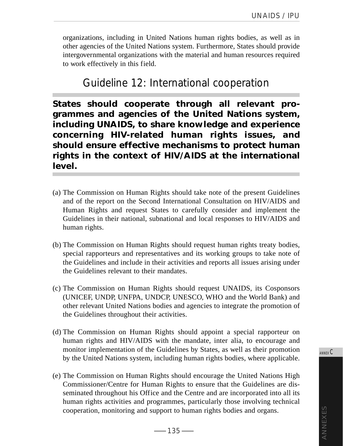organizations, including in United Nations human rights bodies, as well as in other agencies of the United Nations system. Furthermore, States should provide intergovernmental organizations with the material and human resources required to work effectively in this field.

#### Guideline 12: International cooperation

**States should cooperate through all relevant programmes and agencies of the United Nations system, including UNAIDS, to share knowledge and experience concerning HIV-related human rights issues, and should ensure effective mechanisms to protect human rights in the context of HIV/AIDS at the international level.** 

- (a) The Commission on Human Rights should take note of the present Guidelines and of the report on the Second International Consultation on HIV/AIDS and Human Rights and request States to carefully consider and implement the Guidelines in their national, subnational and local responses to HIV/AIDS and human rights.
- (b) The Commission on Human Rights should request human rights treaty bodies, special rapporteurs and representatives and its working groups to take note of the Guidelines and include in their activities and reports all issues arising under the Guidelines relevant to their mandates.
- (c) The Commission on Human Rights should request UNAIDS, its Cosponsors (UNICEF, UNDP, UNFPA, UNDCP, UNESCO, WHO and the World Bank) and other relevant United Nations bodies and agencies to integrate the promotion of the Guidelines throughout their activities.
- (d) The Commission on Human Rights should appoint a special rapporteur on human rights and HIV/AIDS with the mandate, inter alia, to encourage and monitor implementation of the Guidelines by States, as well as their promotion by the United Nations system, including human rights bodies, where applicable.
- (e) The Commission on Human Rights should encourage the United Nations High Commissioner/Centre for Human Rights to ensure that the Guidelines are disseminated throughout his Office and the Centre and are incorporated into all its human rights activities and programmes, particularly those involving technical cooperation, monitoring and support to human rights bodies and organs.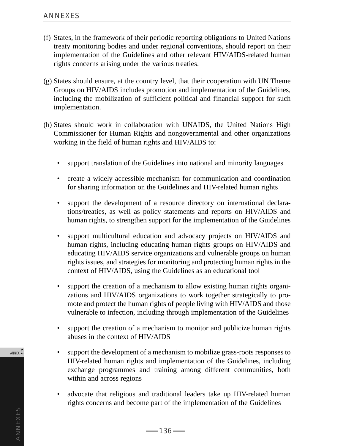- (f) States, in the framework of their periodic reporting obligations to United Nations treaty monitoring bodies and under regional conventions, should report on their implementation of the Guidelines and other relevant HIV/AIDS-related human rights concerns arising under the various treaties.
- (g) States should ensure, at the country level, that their cooperation with UN Theme Groups on HIV/AIDS includes promotion and implementation of the Guidelines, including the mobilization of sufficient political and financial support for such implementation.
- (h) States should work in collaboration with UNAIDS, the United Nations High Commissioner for Human Rights and nongovernmental and other organizations working in the field of human rights and HIV/AIDS to:
	- support translation of the Guidelines into national and minority languages
	- create a widely accessible mechanism for communication and coordination for sharing information on the Guidelines and HIV-related human rights
	- support the development of a resource directory on international declarations/treaties, as well as policy statements and reports on HIV/AIDS and human rights, to strengthen support for the implementation of the Guidelines
	- support multicultural education and advocacy projects on HIV/AIDS and human rights, including educating human rights groups on HIV/AIDS and educating HIV/AIDS service organizations and vulnerable groups on human rights issues, and strategies for monitoring and protecting human rights in the context of HIV/AIDS, using the Guidelines as an educational tool
	- support the creation of a mechanism to allow existing human rights organizations and HIV/AIDS organizations to work together strategically to promote and protect the human rights of people living with HIV/AIDS and those vulnerable to infection, including through implementation of the Guidelines
	- support the creation of a mechanism to monitor and publicize human rights abuses in the context of HIV/AIDS
	- support the development of a mechanism to mobilize grass-roots responses to HIV-related human rights and implementation of the Guidelines, including exchange programmes and training among different communities, both within and across regions
	- advocate that religious and traditional leaders take up HIV-related human rights concerns and become part of the implementation of the Guidelines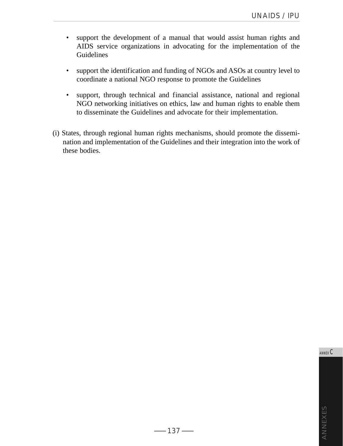- support the development of a manual that would assist human rights and AIDS service organizations in advocating for the implementation of the **Guidelines**
- support the identification and funding of NGOs and ASOs at country level to coordinate a national NGO response to promote the Guidelines
- support, through technical and financial assistance, national and regional NGO networking initiatives on ethics, law and human rights to enable them to disseminate the Guidelines and advocate for their implementation.
- (i) States, through regional human rights mechanisms, should promote the dissemination and implementation of the Guidelines and their integration into the work of these bodies.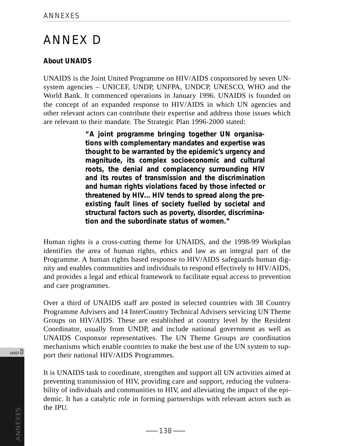# ANNEX D

#### **About UNAIDS**

UNAIDS is the Joint United Programme on HIV/AIDS cosponsored by seven UNsystem agencies – UNICEF, UNDP, UNFPA, UNDCP, UNESCO, WHO and the World Bank. It commenced operations in January 1996. UNAIDS is founded on the concept of an expanded response to HIV/AIDS in which UN agencies and other relevant actors can contribute their expertise and address those issues which are relevant to their mandate. The Strategic Plan 1996-2000 stated:

> **"A joint programme bringing together UN organisations with complementary mandates and expertise was thought to be warranted by the epidemic's urgency and magnitude, its complex socioeconomic and cultural roots, the denial and complacency surrounding HIV and its routes of transmission and the discrimination and human rights violations faced by those infected or threatened by HIV... HIV tends to spread along the preexisting fault lines of society fuelled by societal and structural factors such as poverty, disorder, discrimination and the subordinate status of women."**

Human rights is a cross-cutting theme for UNAIDS, and the 1998-99 Workplan identifies the area of human rights, ethics and law as an integral part of the Programme. A human rights based response to HIV/AIDS safeguards human dignity and enables communities and individuals to respond effectively to HIV/AIDS, and provides a legal and ethical framework to facilitate equal access to prevention and care programmes.

Over a third of UNAIDS staff are posted in selected countries with 38 Country Programme Advisers and 14 InterCountry Technical Advisers servicing UN Theme Groups on HIV/AIDS. These are established at country level by the Resident Coordinator, usually from UNDP, and include national government as well as UNAIDS Cosponsor representatives. The UN Theme Groups are coordination mechanisms which enable countries to make the best use of the UN system to support their national HIV/AIDS Programmes.

It is UNAIDS task to coordinate, strengthen and support all UN activities aimed at preventing transmission of HIV, providing care and support, reducing the vulnerability of individuals and communities to HIV, and alleviating the impact of the epidemic. It has a catalytic role in forming partnerships with relevant actors such as the IPU.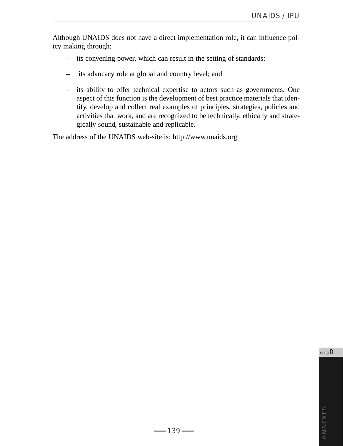Although UNAIDS does not have a direct implementation role, it can influence policy making through:

- its convening power, which can result in the setting of standards;
- its advocacy role at global and country level; and
- its ability to offer technical expertise to actors such as governments. One aspect of this function is the development of best practice materials that identify, develop and collect real examples of principles, strategies, policies and activities that work, and are recognized to be technically, ethically and strategically sound, sustainable and replicable.

The address of the UNAIDS web-site is: http://www.unaids.org

ANNEXES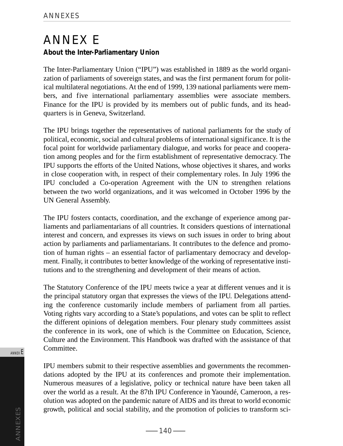#### ANNEX E **About the Inter-Parliamentary Union**

The Inter-Parliamentary Union ("IPU") was established in 1889 as the world organization of parliaments of sovereign states, and was the first permanent forum for political multilateral negotiations. At the end of 1999, 139 national parliaments were members, and five international parliamentary assemblies were associate members. Finance for the IPU is provided by its members out of public funds, and its headquarters is in Geneva, Switzerland.

The IPU brings together the representatives of national parliaments for the study of political, economic, social and cultural problems of international significance. It is the focal point for worldwide parliamentary dialogue, and works for peace and cooperation among peoples and for the firm establishment of representative democracy. The IPU supports the efforts of the United Nations, whose objectives it shares, and works in close cooperation with, in respect of their complementary roles. In July 1996 the IPU concluded a Co-operation Agreement with the UN to strengthen relations between the two world organizations, and it was welcomed in October 1996 by the UN General Assembly.

The IPU fosters contacts, coordination, and the exchange of experience among parliaments and parliamentarians of all countries. It considers questions of international interest and concern, and expresses its views on such issues in order to bring about action by parliaments and parliamentarians. It contributes to the defence and promotion of human rights – an essential factor of parliamentary democracy and development. Finally, it contributes to better knowledge of the working of representative institutions and to the strengthening and development of their means of action.

The Statutory Conference of the IPU meets twice a year at different venues and it is the principal statutory organ that expresses the views of the IPU. Delegations attending the conference customarily include members of parliament from all parties. Voting rights vary according to a State's populations, and votes can be split to reflect the different opinions of delegation members. Four plenary study committees assist the conference in its work, one of which is the Committee on Education, Science, Culture and the Environment. This Handbook was drafted with the assistance of that Committee.

IPU members submit to their respective assemblies and governments the recommendations adopted by the IPU at its conferences and promote their implementation. Numerous measures of a legislative, policy or technical nature have been taken all over the world as a result. At the 87th IPU Conference in Yaoundé, Cameroon, a resolution was adopted on the pandemic nature of AIDS and its threat to world economic growth, political and social stability, and the promotion of policies to transform sci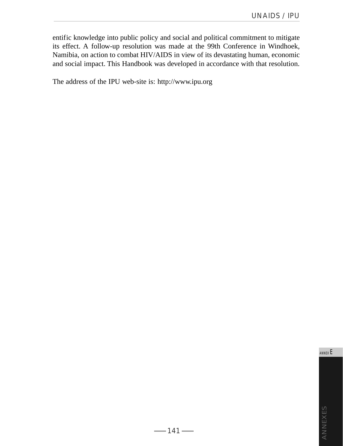entific knowledge into public policy and social and political commitment to mitigate its effect. A follow-up resolution was made at the 99th Conference in Windhoek, Namibia, on action to combat HIV/AIDS in view of its devastating human, economic and social impact. This Handbook was developed in accordance with that resolution.

The address of the IPU web-site is: http://www.ipu.org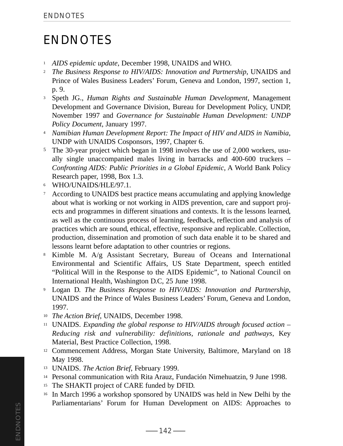# ENDNOTES

- <sup>1</sup> *AIDS epidemic update*, December 1998, UNAIDS and WHO.
- <sup>2</sup> *The Business Response to HIV/AIDS: Innovation and Partnership*, UNAIDS and Prince of Wales Business Leaders' Forum, Geneva and London, 1997, section 1, p. 9.
- <sup>3</sup> Speth JG., *Human Rights and Sustainable Human Development*, Management Development and Governance Division, Bureau for Development Policy, UNDP, November 1997 and *Governance for Sustainable Human Development: UNDP Policy Document*, January 1997.
- <sup>4</sup> *Namibian Human Development Report: The Impact of HIV and AIDS in Namibia*, UNDP with UNAIDS Cosponsors, 1997, Chapter 6.
- <sup>5</sup> The 30-year project which began in 1998 involves the use of 2,000 workers, usually single unaccompanied males living in barracks and 400-600 truckers – *Confronting AIDS: Public Priorities in a Global Epidemic*, A World Bank Policy Research paper, 1998, Box 1.3.
- <sup>6</sup> WHO/UNAIDS/HLE/97.1.
- <sup>7</sup> According to UNAIDS best practice means accumulating and applying knowledge about what is working or not working in AIDS prevention, care and support projects and programmes in different situations and contexts. It is the lessons learned, as well as the continuous process of learning, feedback, reflection and analysis of practices which are sound, ethical, effective, responsive and replicable. Collection, production, dissemination and promotion of such data enable it to be shared and lessons learnt before adaptation to other countries or regions.
- <sup>8</sup> Kimble M. A/g Assistant Secretary, Bureau of Oceans and International Environmental and Scientific Affairs, US State Department, speech entitled "Political Will in the Response to the AIDS Epidemic", to National Council on International Health, Washington D.C, 25 June 1998.
- <sup>9</sup> Logan D. *The Business Response to HIV/AIDS: Innovation and Partnership*, UNAIDS and the Prince of Wales Business Leaders' Forum, Geneva and London, 1997.
- <sup>10</sup> *The Action Brief*, UNAIDS, December 1998.
- <sup>11</sup> UNAIDS. *Expanding the global response to HIV/AIDS through focused action – Reducing risk and vulnerability: definitions, rationale and pathways*, Key Material, Best Practice Collection, 1998.
- <sup>12</sup> Commencement Address, Morgan State University, Baltimore, Maryland on 18 May 1998.
- <sup>13</sup> UNAIDS. *The Action Brief*, February 1999.
- <sup>14</sup> Personal communication with Rita Arauz, Fundación Nimehuatzin, 9 June 1998.
- <sup>15</sup> The SHAKTI project of CARE funded by DFID.
- <sup>16</sup> In March 1996 a workshop sponsored by UNAIDS was held in New Delhi by the Parliamentarians' Forum for Human Development on AIDS: Approaches to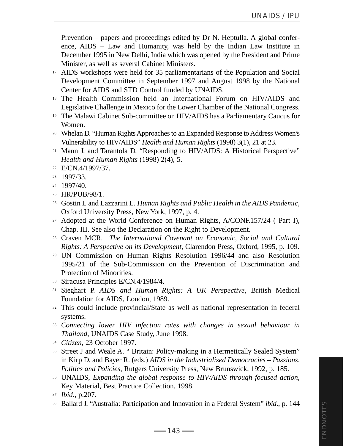Prevention – papers and proceedings edited by Dr N. Heptulla. A global conference, AIDS – Law and Humanity, was held by the Indian Law Institute in December 1995 in New Delhi, India which was opened by the President and Prime Minister, as well as several Cabinet Ministers.

- <sup>17</sup> AIDS workshops were held for 35 parliamentarians of the Population and Social Development Committee in September 1997 and August 1998 by the National Center for AIDS and STD Control funded by UNAIDS.
- <sup>18</sup> The Health Commission held an International Forum on HIV/AIDS and Legislative Challenge in Mexico for the Lower Chamber of the National Congress.
- <sup>19</sup> The Malawi Cabinet Sub-committee on HIV/AIDS has a Parliamentary Caucus for Women.
- <sup>20</sup> Whelan D. "Human Rights Approaches to an Expanded Response to Address Women's Vulnerability to HIV/AIDS" *Health and Human Rights* (1998) 3(1), 21 at 23.
- <sup>21</sup> Mann J. and Tarantola D. "Responding to HIV/AIDS: A Historical Perspective" *Health and Human Rights* (1998) 2(4), 5.
- <sup>22</sup> E/CN.4/1997/37.
- <sup>23</sup> 1997/33.
- <sup>24</sup> 1997/40.
- <sup>25</sup> HR/PUB/98/1.
- <sup>26</sup> Gostin L and Lazzarini L. *Human Rights and Public Health in the AIDS Pandemic*, Oxford University Press, New York, 1997, p. 4.
- <sup>27</sup> Adopted at the World Conference on Human Rights, A/CONF.157/24 ( Part I), Chap. III. See also the Declaration on the Right to Development.
- <sup>28</sup> Craven MCR. *The International Covenant on Economic, Social and Cultural Rights: A Perspective on its Development*, Clarendon Press, Oxford, 1995, p. 109.
- <sup>29</sup> UN Commission on Human Rights Resolution 1996/44 and also Resolution 1995/21 of the Sub-Commission on the Prevention of Discrimination and Protection of Minorities.
- <sup>30</sup> Siracusa Principles E/CN.4/1984/4.
- <sup>31</sup> Sieghart P. *AIDS and Human Rights: A UK Perspective*, British Medical Foundation for AIDS, London, 1989.
- <sup>32</sup> This could include provincial/State as well as national representation in federal systems.
- <sup>33</sup> *Connecting lower HIV infection rates with changes in sexual behaviour in Thailand*, UNAIDS Case Study, June 1998.
- <sup>34</sup> *Citizen*, 23 October 1997.
- <sup>35</sup> Street J and Weale A. " Britain: Policy-making in a Hermetically Sealed System" in Kirp D. and Bayer R. (eds.) *AIDS in the Industrialized Democracies – Passions, Politics and Policies*, Rutgers University Press, New Brunswick, 1992, p. 185.
- <sup>36</sup> UNAIDS, *Expanding the global response to HIV/AIDS through focused action*, Key Material, Best Practice Collection, 1998.
- <sup>37</sup> *Ibid.,* p.207.
- <sup>38</sup> Ballard J. "Australia: Participation and Innovation in a Federal System" *ibid*., p. 144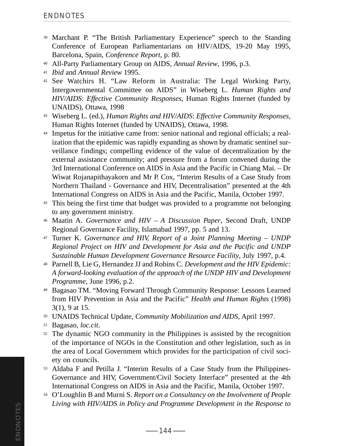- <sup>39</sup> Marchant P. "The British Parliamentary Experience" speech to the Standing Conference of European Parliamentarians on HIV/AIDS, 19-20 May 1995, Barcelona, Spain, *Conference Report*, p. 80.
- <sup>40</sup> All-Party Parliamentary Group on AIDS, *Annual Review*, 1996, p.3.
- <sup>41</sup> *Ibid* and *Annual Review* 1995.
- <sup>42</sup> See Watchirs H. "Law Reform in Australia: The Legal Working Party, Intergovernmental Committee on AIDS" in Wiseberg L. *Human Rights and HIV/AIDS*: *Effective Community Responses*, Human Rights Internet (funded by UNAIDS), Ottawa, 1998
- <sup>43</sup> Wiseberg L. (ed.), *Human Rights and HIV/AIDS*: *Effective Community Responses*, Human Rights Internet (funded by UNAIDS), Ottawa, 1998.
- <sup>44</sup> Impetus for the initiative came from: senior national and regional officials; a realization that the epidemic was rapidly expanding as shown by dramatic sentinel surveillance findings; compelling evidence of the value of decentralization by the external assistance community; and pressure from a forum convened during the 3rd International Conference on AIDS in Asia and the Pacific in Chiang Mai. – Dr Wiwat Rojanapithayakorn and Mr P. Cox, "Interim Results of a Case Study from Northern Thailand - Governance and HIV, Decentralisation" presented at the 4th International Congress on AIDS in Asia and the Pacific, Manila, October 1997.
- <sup>45</sup> This being the first time that budget was provided to a programme not belonging to any government ministry.
- <sup>46</sup> Maatin A. *Governance and HIV A Discussion Paper*, Second Draft, UNDP Regional Governance Facility, Islamabad 1997, pp. 5 and 13.
- <sup>47</sup> Turner K. *Governance and HIV, Report of a Joint Planning Meeting UNDP Regional Project on HIV and Development for Asia and the Pacific and UNDP Sustainable Human Development Governance Resource Facility*, July 1997, p.4.
- <sup>48</sup> Parnell B, Lie G, Hernandez JJ and Robins C. *Development and the HIV Epidemic: A forward-looking evaluation of the approach of the UNDP HIV and Development Programme*, June 1996, p.2.
- <sup>49</sup> Bagasao TM. "Moving Forward Through Community Response: Lessons Learned from HIV Prevention in Asia and the Pacific" *Health and Human Rights* (1998) 3(1), 9 at 15.
- <sup>50</sup> UNAIDS Technical Update, *Community Mobilization and AIDS*, April 1997.
- <sup>51</sup> Bagasao, *loc.cit*.
- <sup>52</sup> The dynamic NGO community in the Philippines is assisted by the recognition of the importance of NGOs in the Constitution and other legislation, such as in the area of Local Government which provides for the participation of civil society on councils.
- <sup>53</sup> Aldaba F and Petilla J. "Interim Results of a Case Study from the Philippines-Governance and HIV, Government/Civil Society Interface" presented at the 4th International Congress on AIDS in Asia and the Pacific, Manila, October 1997.
- <sup>54</sup> O'Loughlin B and Murni S. *Report on a Consultancy on the Involvement of People Living with HIV/AIDS in Policy and Programme Development in the Response to*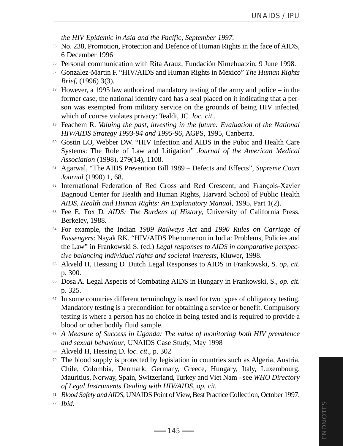ENDNOTES

*the HIV Epidemic in Asia and the Pacific, September 1997.*

- <sup>55</sup> No. 238, Promotion, Protection and Defence of Human Rights in the face of AIDS, 6 December 1996
- <sup>56</sup> Personal communication with Rita Arauz, Fundación Nimehuatzin, 9 June 1998.
- <sup>57</sup> Gonzalez-Martin F. "HIV/AIDS and Human Rights in Mexico" *The Human Rights Brief*, (1996) 3(3).
- <sup>58</sup> However, a 1995 law authorized mandatory testing of the army and police in the former case, the national identity card has a seal placed on it indicating that a person was exempted from military service on the grounds of being HIV infected, which of course violates privacy: Tealdi, JC*. loc. cit*..
- <sup>59</sup> Feachem R. *Valuing the past, investing in the future: Evaluation of the National HIV/AIDS Strategy 1993-94 and 1995-96*, AGPS, 1995, Canberra.
- <sup>60</sup> Gostin LO, Webber DW. "HIV Infection and AIDS in the Pubic and Health Care Systems: The Role of Law and Litigation" *Journal of the American Medical Association* (1998), 279(14), 1108.
- <sup>61</sup> Agarwal, "The AIDS Prevention Bill 1989 Defects and Effects", *Supreme Court Journal* (1990) 1, 68.
- <sup>62</sup> International Federation of Red Cross and Red Crescent, and François-Xavier Bagnoud Center for Health and Human Rights, Harvard School of Public Health *AIDS, Health and Human Rights: An Explanatory Manual*, 1995, Part 1(2).
- <sup>63</sup> Fee E, Fox D. *AIDS: The Burdens of History*, University of California Press, Berkeley, 1988.
- <sup>64</sup> For example, the Indian *1989 Railways Act* and *1990 Rules on Carriage of Passengers*: Nayak RK. "HIV/AIDS Phenomenon in India: Problems, Policies and the Law" in Frankowski S. (ed.) *Legal responses to AIDS in comparative perspective balancing individual rights and societal interests*, Kluwer, 1998.
- <sup>65</sup> Akveld H, Hessing D. Dutch Legal Responses to AIDS in Frankowski, S*. op. cit*. p. 300.
- <sup>66</sup> Dosa A. Legal Aspects of Combating AIDS in Hungary in Frankowski, S., *op. cit*. p. 325.
- <sup>67</sup> In some countries different terminology is used for two types of obligatory testing. Mandatory testing is a precondition for obtaining a service or benefit. Compulsory testing is where a person has no choice in being tested and is required to provide a blood or other bodily fluid sample.
- <sup>68</sup> *A Measure of Success in Uganda: The value of monitoring both HIV prevalence and sexual behaviour*, UNAIDS Case Study, May 1998
- <sup>69</sup> Akveld H, Hessing D. *loc. cit*., p. 302
- <sup>70</sup> The blood supply is protected by legislation in countries such as Algeria, Austria, Chile, Colombia, Denmark, Germany, Greece, Hungary, Italy, Luxembourg, Mauritius, Norway, Spain, Switzerland, Turkey and Viet Nam - see *WHO Directory of Legal Instruments Dealing with HIV/AIDS*, *op. cit.*
- <sup>71</sup> *Blood Safety and AIDS*, UNAIDS Point of View, Best Practice Collection, October 1997.
- <sup>72</sup> *Ibid.*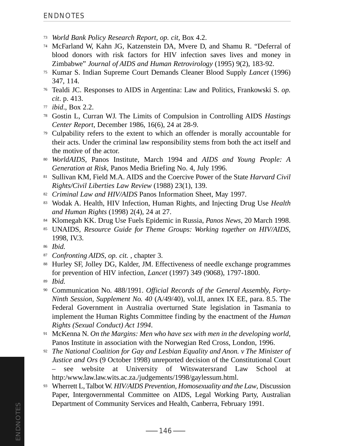- <sup>73</sup> *World Bank Policy Research Report, op. cit,* Box 4.2.
- <sup>74</sup> McFarland W, Kahn JG, Katzenstein DA, Mvere D, and Shamu R. "Deferral of blood donors with risk factors for HIV infection saves lives and money in Zimbabwe" *Journal of AIDS and Human Retrovirology* (1995) 9(2), 183-92.
- <sup>75</sup> Kumar S. Indian Supreme Court Demands Cleaner Blood Supply *Lancet* (1996) 347, 114.
- <sup>76</sup> Tealdi JC. Responses to AIDS in Argentina: Law and Politics, Frankowski S. *op. cit*. p. 413.
- <sup>77</sup> *ibid*., Box 2.2.
- <sup>78</sup> Gostin L, Curran WJ. The Limits of Compulsion in Controlling AIDS *Hastings Center Report*, December 1986, 16(6), 24 at 28-9.
- <sup>79</sup> Culpability refers to the extent to which an offender is morally accountable for their acts. Under the criminal law responsibility stems from both the act itself and the motive of the actor.
- <sup>80</sup> *WorldAIDS*, Panos Institute, March 1994 and *AIDS and Young People: A Generation at Risk*, Panos Media Briefing No. 4, July 1996.
- <sup>81</sup> Sullivan KM, Field M.A. AIDS and the Coercive Power of the State *Harvard Civil Rights/Civil Liberties Law Review* (1988) 23(1), 139.
- <sup>82</sup> *Criminal Law and HIV/AIDS* Panos Information Sheet, May 1997.
- <sup>83</sup> Wodak A. Health, HIV Infection, Human Rights, and Injecting Drug Use *Health and Human Rights* (1998) 2(4), 24 at 27.
- <sup>84</sup> Klomegah KK. Drug Use Fuels Epidemic in Russia, *Panos News*, 20 March 1998.
- <sup>85</sup> UNAIDS, *Resource Guide for Theme Groups: Working together on HIV/AIDS,* 1998, IV.3.
- <sup>86</sup> *Ibid.*
- <sup>87</sup> *Confronting AIDS, op. cit.* , chapter 3.
- <sup>88</sup> Hurley SF, Jolley DG, Kalder, JM. Effectiveness of needle exchange programmes for prevention of HIV infection, *Lancet* (1997) 349 (9068), 1797-1800.
- <sup>89</sup> *Ibid.*
- <sup>90</sup> Communication No. 488/1991. *Official Records of the General Assembly, Forty-Ninth Session, Supplement No. 40* (A/49/40), vol.II, annex IX EE, para. 8.5. The Federal Government in Australia overturned State legislation in Tasmania to implement the Human Rights Committee finding by the enactment of the *Human Rights (Sexual Conduct) Act 1994*.
- <sup>91</sup> McKenna N. *On the Margins: Men who have sex with men in the developing world,* Panos Institute in association with the Norwegian Red Cross, London, 1996.
- <sup>92</sup> *The National Coalition for Gay and Lesbian Equality and Anon. v The Minister of Justice and Ors* (9 October 1998) unreported decision of the Constitutional Court – see website at University of Witswatersrand Law School at http:/www.law.law.wits.ac.za./judgements/1998/gaylessum.html.
- <sup>93</sup> Wherrett L, Talbot W. *HIV/AIDS Prevention, Homosexuality and the Law*, Discussion Paper, Intergovernmental Committee on AIDS, Legal Working Party, Australian Department of Community Services and Health, Canberra, February 1991.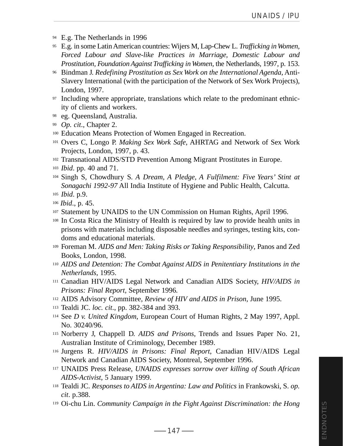- <sup>94</sup> E.g. The Netherlands in 1996
- <sup>95</sup> E.g. in some Latin American countries: Wijers M, Lap-Chew L. *Trafficking in Women, Forced Labour and Slave-like Practices in Marriage, Domestic Labour and Prostitution, Foundation Against Trafficking in Women*, the Netherlands, 1997, p. 153.
- <sup>96</sup> Bindman J. *Redefining Prostitution as Sex Work on the International Agenda*, Anti-Slavery International (with the participation of the Network of Sex Work Projects), London, 1997.
- <sup>97</sup> Including where appropriate, translations which relate to the predominant ethnicity of clients and workers.
- <sup>98</sup> eg. Queensland, Australia.
- <sup>99</sup> *Op. cit*., Chapter 2.
- <sup>100</sup> Education Means Protection of Women Engaged in Recreation.
- <sup>101</sup> Overs C, Longo P. *Making Sex Work Safe*, AHRTAG and Network of Sex Work Projects, London, 1997, p. 43.
- <sup>102</sup> Transnational AIDS/STD Prevention Among Migrant Prostitutes in Europe.
- <sup>103</sup> *Ibid*. pp. 40 and 71.
- <sup>104</sup> Singh S, Chowdhury S*. A Dream, A Pledge, A Fulfilment: Five Years' Stint at Sonagachi 1992-97* All India Institute of Hygiene and Public Health, Calcutta.
- <sup>105</sup> *Ibid*. p.9.
- <sup>106</sup> *Ibid*., p. 45.
- <sup>107</sup> Statement by UNAIDS to the UN Commission on Human Rights, April 1996.
- <sup>108</sup> In Costa Rica the Ministry of Health is required by law to provide health units in prisons with materials including disposable needles and syringes, testing kits, condoms and educational materials.
- <sup>109</sup> Foreman M. *AIDS and Men: Taking Risks or Taking Responsibility*, Panos and Zed Books, London, 1998.
- <sup>110</sup> *AIDS and Detention: The Combat Against AIDS in Penitentiary Institutions in the Netherlands*, 1995.
- <sup>111</sup> Canadian HIV/AIDS Legal Network and Canadian AIDS Society, *HIV/AIDS in Prisons: Final Report,* September 1996*.*
- <sup>112</sup> AIDS Advisory Committee, *Review of HIV and AIDS in Prison*, June 1995.
- <sup>113</sup> Tealdi JC. *loc. cit*., pp. 382-384 and 393.
- <sup>114</sup> See *D v. United Kingdom*, European Court of Human Rights, 2 May 1997, Appl. No. 30240/96.
- <sup>115</sup> Norberry J, Chappell D. *AIDS and Prisons*, Trends and Issues Paper No. 21, Australian Institute of Criminology, December 1989.
- <sup>116</sup> Jurgens R. *HIV/AIDS in Prisons: Final Report*, Canadian HIV/AIDS Legal Network and Canadian AIDS Society, Montreal, September 1996.
- <sup>117</sup> UNAIDS Press Release, *UNAIDS expresses sorrow over killing of South African AIDS-Activist*, 5 January 1999.
- <sup>118</sup> Tealdi JC. *Responses to AIDS in Argentina: Law and Politics* in Frankowski, S. *op. cit*. p.388.
- <sup>119</sup> Oi-chu Lin. *Community Campaign in the Fight Against Discrimination: the Hong*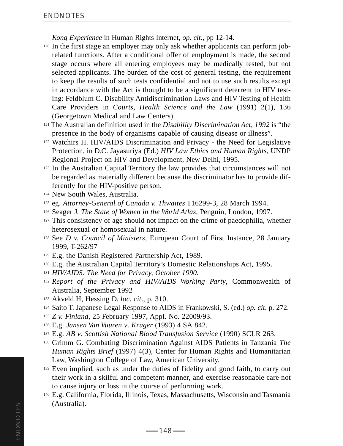*Kong Experience* in Human Rights Internet, *op. cit*., pp 12-14.

- <sup>120</sup> In the first stage an employer may only ask whether applicants can perform jobrelated functions. After a conditional offer of employment is made, the second stage occurs where all entering employees may be medically tested, but not selected applicants. The burden of the cost of general testing, the requirement to keep the results of such tests confidential and not to use such results except in accordance with the Act is thought to be a significant deterrent to HIV testing: Feldblum C. Disability Antidiscrimination Laws and HIV Testing of Health Care Providers in *Courts, Health Science and the Law* (1991) 2(1), 136 (Georgetown Medical and Law Centers).
- <sup>121</sup> The Australian definition used in the *Disability Discrimination Act, 1992* is "the presence in the body of organisms capable of causing disease or illness".
- <sup>122</sup> Watchirs H. HIV/AIDS Discrimination and Privacy the Need for Legislative Protection, in D.C. Jayasuriya (Ed.) *HIV Law Ethics and Human Rights*, UNDP Regional Project on HIV and Development, New Delhi, 1995.
- <sup>123</sup> In the Australian Capital Territory the law provides that circumstances will not be regarded as materially different because the discriminator has to provide differently for the HIV-positive person.
- <sup>124</sup> New South Wales, Australia.
- <sup>125</sup> eg. *Attorney-General of Canada v. Thwaites* T16299-3, 28 March 1994.
- <sup>126</sup> Seager J. *The State of Women in the World Atlas*, Penguin, London, 1997.
- <sup>127</sup> This consistency of age should not impact on the crime of paedophilia, whether heterosexual or homosexual in nature.
- <sup>128</sup> See *D v. Council of Ministers*, European Court of First Instance, 28 January 1999, T-262/97
- <sup>129</sup> E.g. the Danish Registered Partnership Act, 1989.
- <sup>130</sup> E.g. the Australian Capital Territory's Domestic Relationships Act, 1995.
- <sup>131</sup> *HIV/AIDS: The Need for Privacy, October 1990.*
- <sup>132</sup> *Report of the Privacy and HIV/AIDS Working Party*, Commonwealth of Australia, September 1992
- <sup>133</sup> Akveld H, Hessing D. *loc. cit*., p. 310.
- <sup>134</sup> Saito T. Japanese Legal Response to AIDS in Frankowski, S. (ed.) *op. cit*. p. 272.
- <sup>135</sup> *Z v. Finland*, 25 February 1997, Appl. No. 22009/93.
- <sup>136</sup> E.g. *Jansen Van Vuuren v*. *Kruger* (1993) 4 SA 842.
- <sup>137</sup> E.g. *AB v*. *Scottish National Blood Transfusion Service* (1990) SCLR 263.
- <sup>138</sup> Grimm G. Combating Discrimination Against AIDS Patients in Tanzania *The Human Rights Brief* (1997) 4(3), Center for Human Rights and Humanitarian Law, Washington College of Law, American University.
- <sup>139</sup> Even implied, such as under the duties of fidelity and good faith, to carry out their work in a skilful and competent manner, and exercise reasonable care not to cause injury or loss in the course of performing work.
- <sup>140</sup> E.g. California, Florida, Illinois, Texas, Massachusetts, Wisconsin and Tasmania (Australia).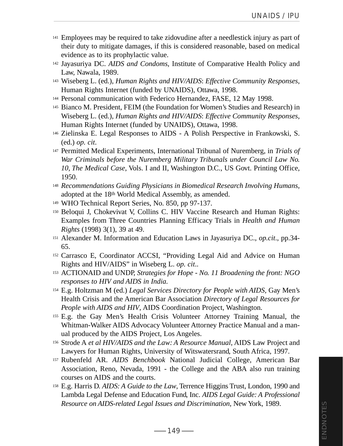- <sup>141</sup> Employees may be required to take zidovudine after a needlestick injury as part of their duty to mitigate damages, if this is considered reasonable, based on medical evidence as to its prophylactic value.
- <sup>142</sup> Jayasuriya DC. *AIDS and Condoms*, Institute of Comparative Health Policy and Law, Nawala, 1989.
- <sup>143</sup> Wiseberg L. (ed.), *Human Rights and HIV/AIDS*: *Effective Community Responses*, Human Rights Internet (funded by UNAIDS), Ottawa, 1998.
- <sup>144</sup> Personal communication with Federico Hernandez, FASE, 12 May 1998.
- <sup>145</sup> Bianco M. President, FEIM (the Foundation for Women's Studies and Research) in Wiseberg L. (ed.), *Human Rights and HIV/AIDS*: *Effective Community Responses*, Human Rights Internet (funded by UNAIDS), Ottawa, 1998.
- <sup>146</sup> Zielinska E. Legal Responses to AIDS A Polish Perspective in Frankowski, S. (ed.) *op. cit*.
- <sup>147</sup> Permitted Medical Experiments, International Tribunal of Nuremberg, in *Trials of War Criminals before the Nuremberg Military Tribunals under Council Law No. 10, The Medical Case*, Vols. I and II, Washington D.C., US Govt. Printing Office, 1950.
- <sup>148</sup> *Recommendations Guiding Physicians in Biomedical Research Involving Humans*, adopted at the 18th World Medical Assembly, as amended.
- <sup>149</sup> WHO Technical Report Series, No. 850, pp 97-137.
- <sup>150</sup> Beloqui J, Chokevivat V, Collins C. HIV Vaccine Research and Human Rights: Examples from Three Countries Planning Efficacy Trials in *Health and Human Rights* (1998) 3(1), 39 at 49.
- <sup>151</sup> Alexander M. Information and Education Laws in Jayasuriya DC., *op.cit*., pp.34- 65.
- <sup>152</sup> Carrasco E, Coordinator ACCSI, "Providing Legal Aid and Advice on Human Rights and HIV/AIDS" in Wiseberg L. *op. cit*..
- <sup>153</sup> ACTIONAID and UNDP, *Strategies for Hope No. 11 Broadening the front: NGO responses to HIV and AIDS in India.*
- <sup>154</sup> E.g. Holtzman M (ed.) *Legal Services Directory for People with AIDS,* Gay Men's Health Crisis and the American Bar Association *Directory of Legal Resources for People with AIDS and HIV*, AIDS Coordination Project, Washington.
- <sup>155</sup> E.g. the Gay Men's Health Crisis Volunteer Attorney Training Manual, the Whitman-Walker AIDS Advocacy Volunteer Attorney Practice Manual and a manual produced by the AIDS Project, Los Angeles.
- <sup>156</sup> Strode A *et al HIV/AIDS and the Law: A Resource Manual*, AIDS Law Project and Lawyers for Human Rights, University of Witswatersrand, South Africa, 1997.
- <sup>157</sup> Rubenfeld AR. *AIDS Benchbook* National Judicial College, American Bar Association, Reno, Nevada, 1991 - the College and the ABA also run training courses on AIDS and the courts.
- <sup>158</sup> E.g. Harris D. *AIDS: A Guide to the Law*, Terrence Higgins Trust, London, 1990 and Lambda Legal Defense and Education Fund, Inc. *AIDS Legal Guide: A Professional Resource on AIDS-related Legal Issues and Discrimination*, New York, 1989.

ENDNOTES ENDNOTES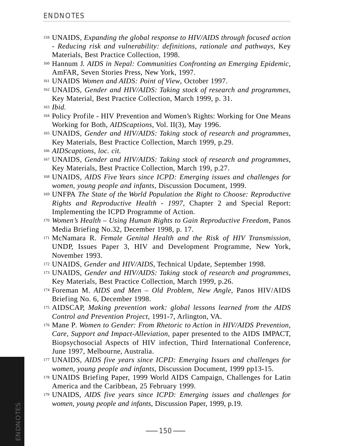- <sup>159</sup> UNAIDS, *Expanding the global response to HIV/AIDS through focused action - Reducing risk and vulnerability: definitions, rationale and pathways*, Key Materials, Best Practice Collection, 1998.
- <sup>160</sup> Hannum J. *AIDS in Nepal: Communities Confronting an Emerging Epidemic*, AmFAR, Seven Stories Press, New York, 1997.
- <sup>161</sup> UNAIDS *Women and AIDS: Point of View*, October 1997.
- <sup>162</sup> UNAIDS, *Gender and HIV/AIDS: Taking stock of research and programmes*, Key Material, Best Practice Collection, March 1999, p. 31.
- <sup>163</sup> *Ibid.*
- <sup>164</sup> Policy Profile HIV Prevention and Women's Rights: Working for One Means Working for Both, *AIDScaptions*, Vol. II(3), May 1996.
- <sup>165</sup> UNAIDS, *Gender and HIV/AIDS: Taking stock of research and programmes*, Key Materials, Best Practice Collection, March 1999, p.29.
- <sup>166</sup> *AIDScaptions, loc. cit.*
- <sup>167</sup> UNAIDS, *Gender and HIV/AIDS: Taking stock of research and programmes,* Key Materials, Best Practice Collection, March 199, p.27.
- <sup>168</sup> UNAIDS, *AIDS Five Years since ICPD: Emerging issues and challenges for women, young people and infants*, Discussion Document, 1999.
- <sup>169</sup> UNFPA *The State of the World Population the Right to Choose: Reproductive Rights and Reproductive Health - 1997,* Chapter 2 and Special Report: Implementing the ICPD Programme of Action.
- <sup>170</sup> *Women's Health Using Human Rights to Gain Reproductive Freedom*, Panos Media Briefing No.32, December 1998, p. 17.
- <sup>171</sup> McNamara R. *Female Genital Health and the Risk of HIV Transmission*, UNDP, Issues Paper 3, HIV and Development Programme, New York, November 1993.
- <sup>172</sup> UNAIDS, *Gender and HIV/AIDS,* Technical Update, September 1998.
- <sup>173</sup> UNAIDS, *Gender and HIV/AIDS: Taking stock of research and programmes,* Key Materials, Best Practice Collection, March 1999, p.26.
- <sup>174</sup> Foreman M. *AIDS and Men Old Problem, New Angle,* Panos HIV/AIDS Briefing No. 6, December 1998.
- <sup>175</sup> AIDSCAP, *Making prevention work: global lessons learned from the AIDS Control and Prevention Project,* 1991-7, Arlington, VA.
- <sup>176</sup> Mane P*. Women to Gender: From Rhetoric to Action in HIV/AIDS Prevention, Care, Support and Impact-Alleviation*, paper presented to the AIDS IMPACT, Biopsychosocial Aspects of HIV infection, Third International Conference, June 1997, Melbourne, Australia.
- <sup>177</sup> UNAIDS, *AIDS five years since ICPD: Emerging Issues and challenges for women, young people and infants*, Discussion Document, 1999 pp13-15.
- <sup>178</sup> UNAIDS Briefing Paper, 1999 World AIDS Campaign, Challenges for Latin America and the Caribbean, 25 February 1999.
- <sup>179</sup> UNAIDS, *AIDS five years since ICPD: Emerging issues and challenges for women, young people and infants*, Discussion Paper, 1999, p.19.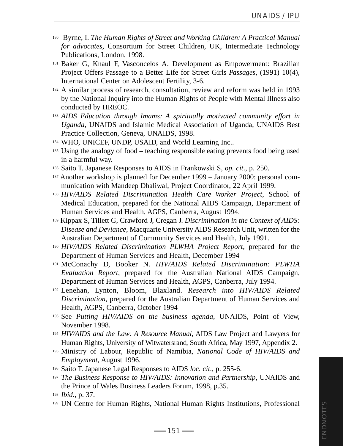- <sup>180</sup> Byrne, I. *The Human Rights of Street and Working Children: A Practical Manual for advocates,* Consortium for Street Children, UK, Intermediate Technology Publications, London, 1998.
- <sup>181</sup> Baker G, Knaul F, Vasconcelos A. Development as Empowerment: Brazilian Project Offers Passage to a Better Life for Street Girls *Passages*, (1991) 10(4), International Center on Adolescent Fertility, 3-6.
- <sup>182</sup> A similar process of research, consultation, review and reform was held in 1993 by the National Inquiry into the Human Rights of People with Mental Illness also conducted by HREOC.
- <sup>183</sup> *AIDS Education through Imams: A spiritually motivated community effort in Uganda*, UNAIDS and Islamic Medical Association of Uganda, UNAIDS Best Practice Collection, Geneva, UNAIDS, 1998.
- <sup>184</sup> WHO, UNICEF, UNDP, USAID, and World Learning Inc..
- <sup>185</sup> Using the analogy of food teaching responsible eating prevents food being used in a harmful way.
- <sup>186</sup> Saito T. Japanese Responses to AIDS in Frankowski S, *op. cit*., p. 250.
- <sup>187</sup> Another workshop is planned for December 1999 January 2000: personal communication with Mandeep Dhaliwal, Project Coordinator, 22 April 1999.
- <sup>188</sup> *HIV/AIDS Related Discrimination Health Care Worker Project*, School of Medical Education, prepared for the National AIDS Campaign, Department of Human Services and Health, AGPS, Canberra, August 1994.
- <sup>189</sup> Kippax S, Tillett G, Crawford J, Cregan J. *Discrimination in the Context of AIDS: Disease and Deviance*, Macquarie University AIDS Research Unit, written for the Australian Department of Community Services and Health, July 1991.
- <sup>190</sup> *HIV/AIDS Related Discrimination PLWHA Project Report*, prepared for the Department of Human Services and Health, December 1994
- <sup>191</sup> McConachy D, Booker N. *HIV/AIDS Related Discrimination: PLWHA Evaluation Report*, prepared for the Australian National AIDS Campaign, Department of Human Services and Health, AGPS, Canberra, July 1994.
- <sup>192</sup> Lenehan, Lynton, Bloom, Blaxland. *Research into HIV/AIDS Related Discrimination*, prepared for the Australian Department of Human Services and Health, AGPS, Canberra, October 1994
- <sup>193</sup> See *Putting HIV/AIDS on the business agenda*, UNAIDS, Point of View, November 1998.
- <sup>194</sup> *HIV/AIDS and the Law: A Resource Manual*, AIDS Law Project and Lawyers for Human Rights, University of Witwatersrand, South Africa, May 1997, Appendix 2.
- <sup>195</sup> Ministry of Labour, Republic of Namibia, *National Code of HIV/AIDS and Employment*, August 1996.
- <sup>196</sup> Saito T. Japanese Legal Responses to AIDS *loc. cit*., p. 255-6.
- <sup>197</sup> *The Business Response to HIV/AIDS: Innovation and Partnership*, UNAIDS and the Prince of Wales Business Leaders Forum, 1998, p.35.
- <sup>198</sup> *Ibid.,* p. 37.
- <sup>199</sup> UN Centre for Human Rights, National Human Rights Institutions, Professional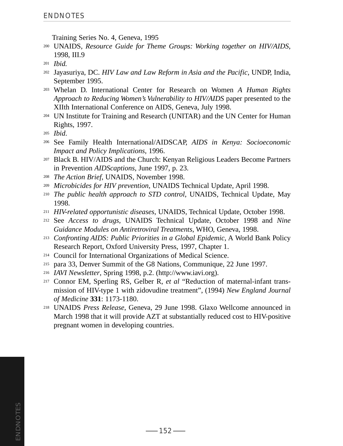Training Series No. 4, Geneva, 1995

<sup>200</sup> UNAIDS, *Resource Guide for Theme Groups: Working together on HIV/AIDS*, 1998, III.9

- <sup>202</sup> Jayasuriya, DC. *HIV Law and Law Reform in Asia and the Pacific*, UNDP, India, September 1995.
- <sup>203</sup> Whelan D. International Center for Research on Women *A Human Rights Approach to Reducing Women's Vulnerability to HIV/AIDS* paper presented to the XIIth International Conference on AIDS, Geneva, July 1998.
- <sup>204</sup> UN Institute for Training and Research (UNITAR) and the UN Center for Human Rights, 1997.
- <sup>205</sup> *Ibid*.
- <sup>206</sup> See Family Health International/AIDSCAP, *AIDS in Kenya: Socioeconomic Impact and Policy Implications*, 1996.
- <sup>207</sup> Black B. HIV/AIDS and the Church: Kenyan Religious Leaders Become Partners in Prevention *AIDScaptions*, June 1997, p. 23.
- <sup>208</sup> *The Action Brief*, UNAIDS, November 1998.
- <sup>209</sup> *Microbicides for HIV prevention*, UNAIDS Technical Update, April 1998.
- <sup>210</sup> *The public health approach to STD control*, UNAIDS, Technical Update, May 1998.
- <sup>211</sup> *HIV-related opportunistic diseases*, UNAIDS, Technical Update, October 1998.
- <sup>212</sup> See *Access to drugs*, UNAIDS Technical Update, October 1998 and *Nine Guidance Modules on Antiretroviral Treatments*, WHO, Geneva, 1998.
- <sup>213</sup> *Confronting AIDS: Public Priorities in a Global Epidemic*, A World Bank Policy Research Report, Oxford University Press, 1997, Chapter 1.
- <sup>214</sup> Council for International Organizations of Medical Science.
- <sup>215</sup> para 33, Denver Summit of the G8 Nations, Communique, 22 June 1997.
- <sup>216</sup> *IAVI Newsletter*, Spring 1998, p.2. (http://www.iavi.org).
- <sup>217</sup> Connor EM, Sperling RS, Gelber R, *et al* "Reduction of maternal-infant transmission of HIV-type 1 with zidovudine treatment", (1994) *New England Journal of Medicine* **331**: 1173-1180.
- <sup>218</sup> UNAIDS *Press Release*, Geneva, 29 June 1998. Glaxo Wellcome announced in March 1998 that it will provide AZT at substantially reduced cost to HIV-positive pregnant women in developing countries.

<sup>201</sup> *Ibid.*